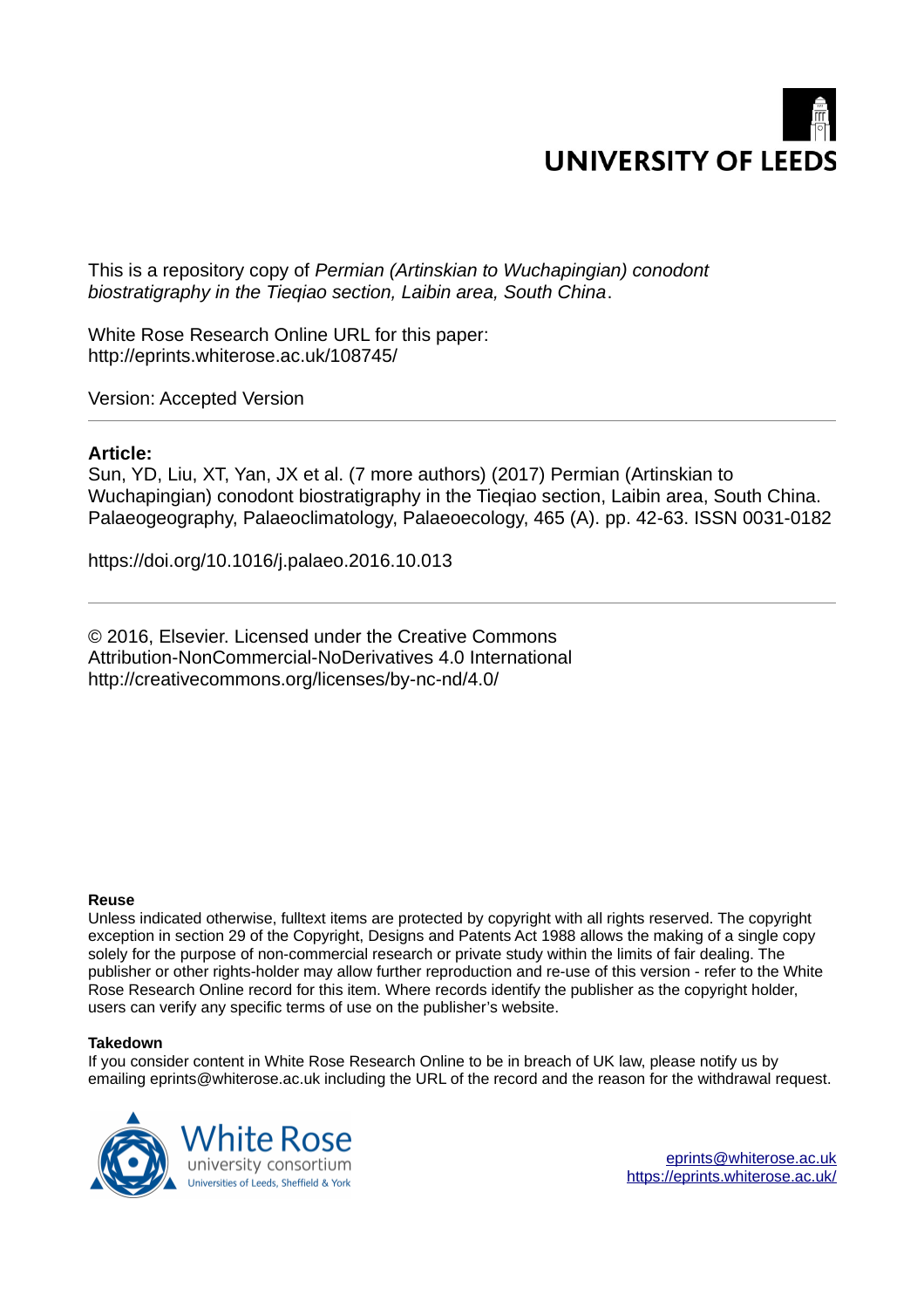

This is a repository copy of *Permian (Artinskian to Wuchapingian) conodont biostratigraphy in the Tieqiao section, Laibin area, South China*.

White Rose Research Online URL for this paper: http://eprints.whiterose.ac.uk/108745/

Version: Accepted Version

# **Article:**

Sun, YD, Liu, XT, Yan, JX et al. (7 more authors) (2017) Permian (Artinskian to Wuchapingian) conodont biostratigraphy in the Tieqiao section, Laibin area, South China. Palaeogeography, Palaeoclimatology, Palaeoecology, 465 (A). pp. 42-63. ISSN 0031-0182

https://doi.org/10.1016/j.palaeo.2016.10.013

© 2016, Elsevier. Licensed under the Creative Commons Attribution-NonCommercial-NoDerivatives 4.0 International http://creativecommons.org/licenses/by-nc-nd/4.0/

#### **Reuse**

Unless indicated otherwise, fulltext items are protected by copyright with all rights reserved. The copyright exception in section 29 of the Copyright, Designs and Patents Act 1988 allows the making of a single copy solely for the purpose of non-commercial research or private study within the limits of fair dealing. The publisher or other rights-holder may allow further reproduction and re-use of this version - refer to the White Rose Research Online record for this item. Where records identify the publisher as the copyright holder, users can verify any specific terms of use on the publisher's website.

#### **Takedown**

If you consider content in White Rose Research Online to be in breach of UK law, please notify us by emailing eprints@whiterose.ac.uk including the URL of the record and the reason for the withdrawal request.

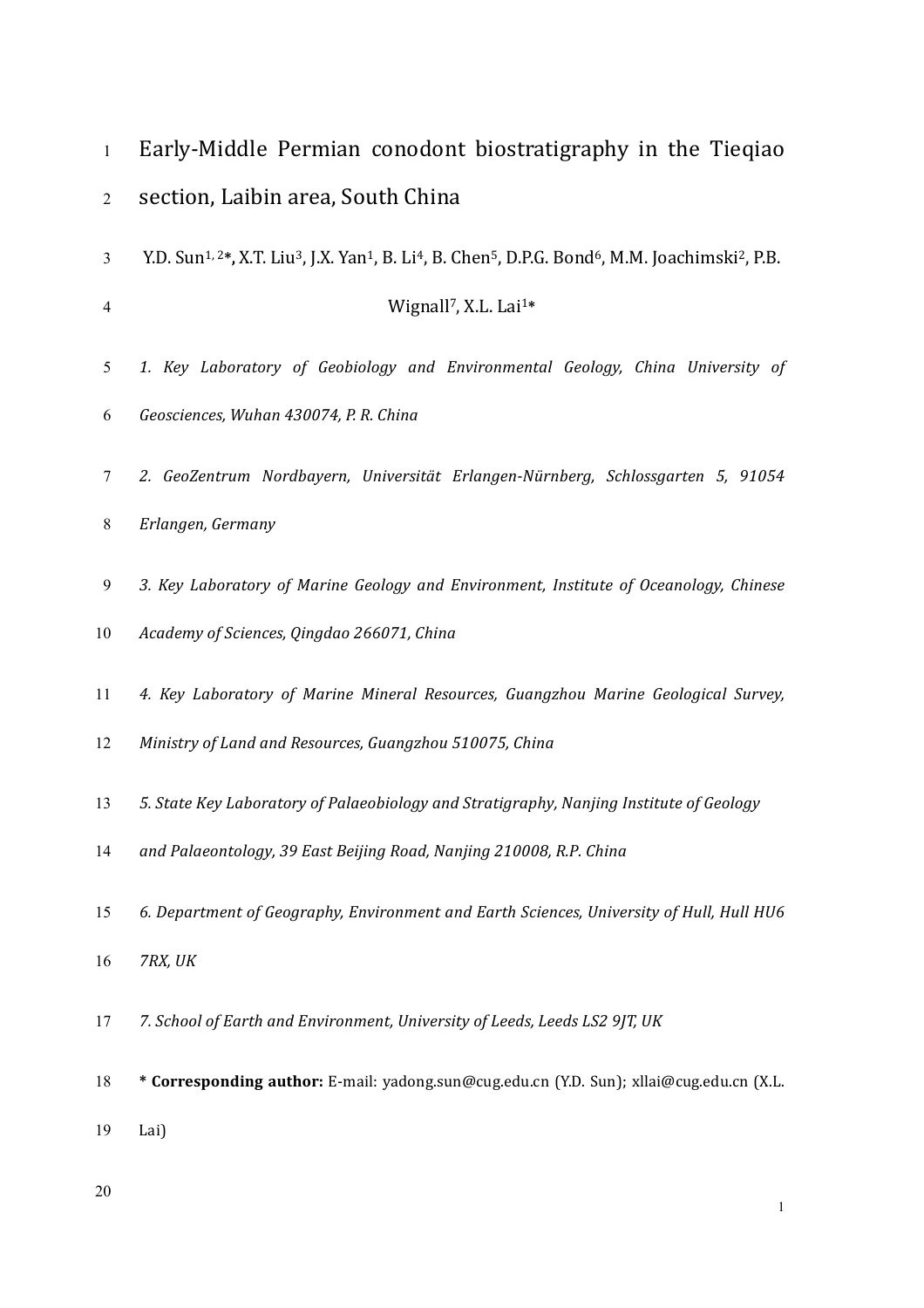| $\mathbf{1}$   | Early-Middle Permian conodont biostratigraphy in the Tieqiao                                                                                                                          |
|----------------|---------------------------------------------------------------------------------------------------------------------------------------------------------------------------------------|
| 2              | section, Laibin area, South China                                                                                                                                                     |
| 3              | Y.D. Sun <sup>1,2*</sup> , X.T. Liu <sup>3</sup> , J.X. Yan <sup>1</sup> , B. Li <sup>4</sup> , B. Chen <sup>5</sup> , D.P.G. Bond <sup>6</sup> , M.M. Joachimski <sup>2</sup> , P.B. |
| $\overline{4}$ | Wignall <sup>7</sup> , X.L. Lai <sup>1*</sup>                                                                                                                                         |
| 5              | 1. Key Laboratory of Geobiology and Environmental Geology, China University of                                                                                                        |
| 6              | Geosciences, Wuhan 430074, P.R. China                                                                                                                                                 |
| 7              | 2. GeoZentrum Nordbayern, Universität Erlangen-Nürnberg, Schlossgarten 5, 91054                                                                                                       |
| 8              | Erlangen, Germany                                                                                                                                                                     |
| 9              | 3. Key Laboratory of Marine Geology and Environment, Institute of Oceanology, Chinese                                                                                                 |
| 10             | Academy of Sciences, Qingdao 266071, China                                                                                                                                            |
| 11             | 4. Key Laboratory of Marine Mineral Resources, Guangzhou Marine Geological Survey,                                                                                                    |
| 12             | Ministry of Land and Resources, Guangzhou 510075, China                                                                                                                               |
| 13             | 5. State Key Laboratory of Palaeobiology and Stratigraphy, Nanjing Institute of Geology                                                                                               |
| 14             | and Palaeontology, 39 East Beijing Road, Nanjing 210008, R.P. China                                                                                                                   |
| 15             | 6. Department of Geography, Environment and Earth Sciences, University of Hull, Hull HU6                                                                                              |
| 16             | 7RX, UK                                                                                                                                                                               |
| 17             | 7. School of Earth and Environment, University of Leeds, Leeds LS2 9JT, UK                                                                                                            |
| 18             | * Corresponding author: E-mail: yadong.sun@cug.edu.cn (Y.D. Sun); xllai@cug.edu.cn (X.L.                                                                                              |
| 19             | Lai)                                                                                                                                                                                  |
| 20             | 1                                                                                                                                                                                     |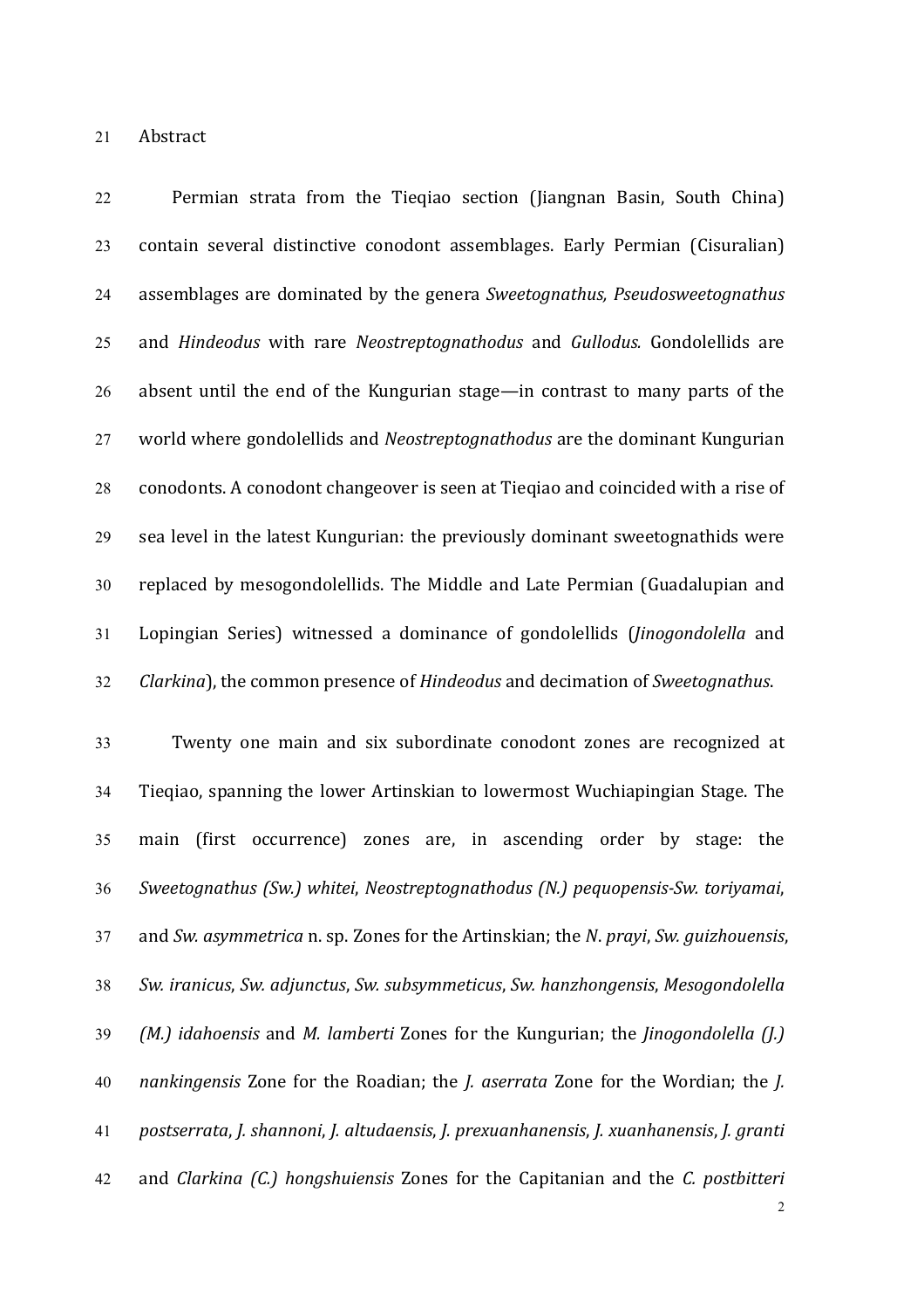21 Abstract

22 **Permian strata from the Tieqiao section (Jiangnan Basin, South China)** 23 contain several distinctive conodont assemblages. Early Permian (Cisuralian) 24 assemblages are dominated by the genera *Sweetognathus, Pseudosweetognathus* 25 and *Hindeodus* with rare *Neostreptognathodus* and *Gullodus*. Gondolellids are 26 absent until the end of the Kungurian stage—in contrast to many parts of the 27 world where gondolellids and *Neostreptognathodus* are the dominant Kungurian 28 conodonts. A conodont changeover is seen at Tieqiao and coincided with a rise of 29 sea level in the latest Kungurian: the previously dominant sweetognathids were 30 replaced by mesogondolellids. The Middle and Late Permian (Guadalupian and 31 Lopingian Series) witnessed a dominance of gondolellids (*Jinogondolella* and 32 *Clarkina*), the common presence of *Hindeodus* and decimation of *Sweetognathus*.

33 Twenty one main and six subordinate conodont zones are recognized at 34 Tieqiao, spanning the lower Artinskian to lowermost Wuchiapingian Stage. The 35 main (first occurrence) zones are, in ascending order by stage: the *Sweetognathus (Sw.) whitei*, *Neostreptognathodus (N.) pequopensis-Sw. toriyamai*, and *Sw. asymmetrica* n. sp. Zones for the Artinskian; the *N*. *prayi*, *Sw. guizhouensis*, *Sw. iranicus*, *Sw. adjunctus*, *Sw. subsymmeticus*, *Sw. hanzhongensis*, *Mesogondolella (M.) idahoensis* and *M. lamberti* Zones for the Kungurian; the *Jinogondolella (J.) nankingensis* Zone for the Roadian; the *J. aserrata* Zone for the Wordian; the *J. postserrata*, *J. shannoni*, *J. altudaensis*, *J. prexuanhanensis*, *J. xuanhanensis*, *J. granti* and *Clarkina (C.) hongshuiensis* Zones for the Capitanian and the *C. postbitteri*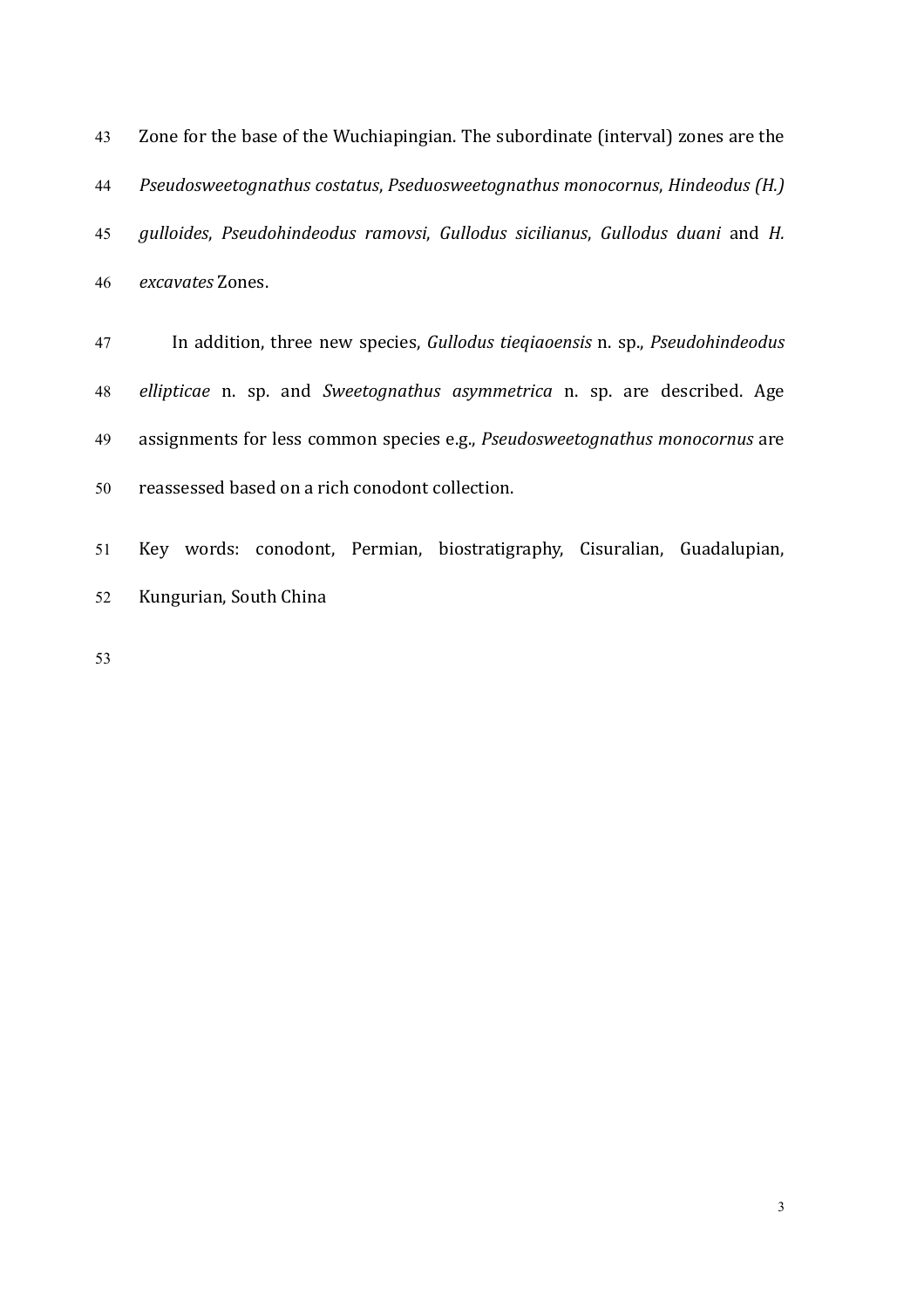43 Zone for the base of the Wuchiapingian. The subordinate (interval) zones are the *Pseudosweetognathus costatus, Pseduosweetognathus monocornus, Hindeodus (H.) gulloides*, *Pseudohindeodus ramovsi*, *Gullodus sicilianus*, *Gullodus duani* and *H. excavates* Zones.

47 In addition, three new species, *Gullodus tieqiaoensis* n. sp., *Pseudohindeodus* 48 *ellipticae* n. sp. and *Sweetognathus asymmetrica* n. sp. are described. Age 49 assignments for less common species e.g., *Pseudosweetognathus monocornus* are 50 reassessed based on a rich conodont collection.

51 Key words: conodont, Permian, biostratigraphy, Cisuralian, Guadalupian, 52 Kungurian, South China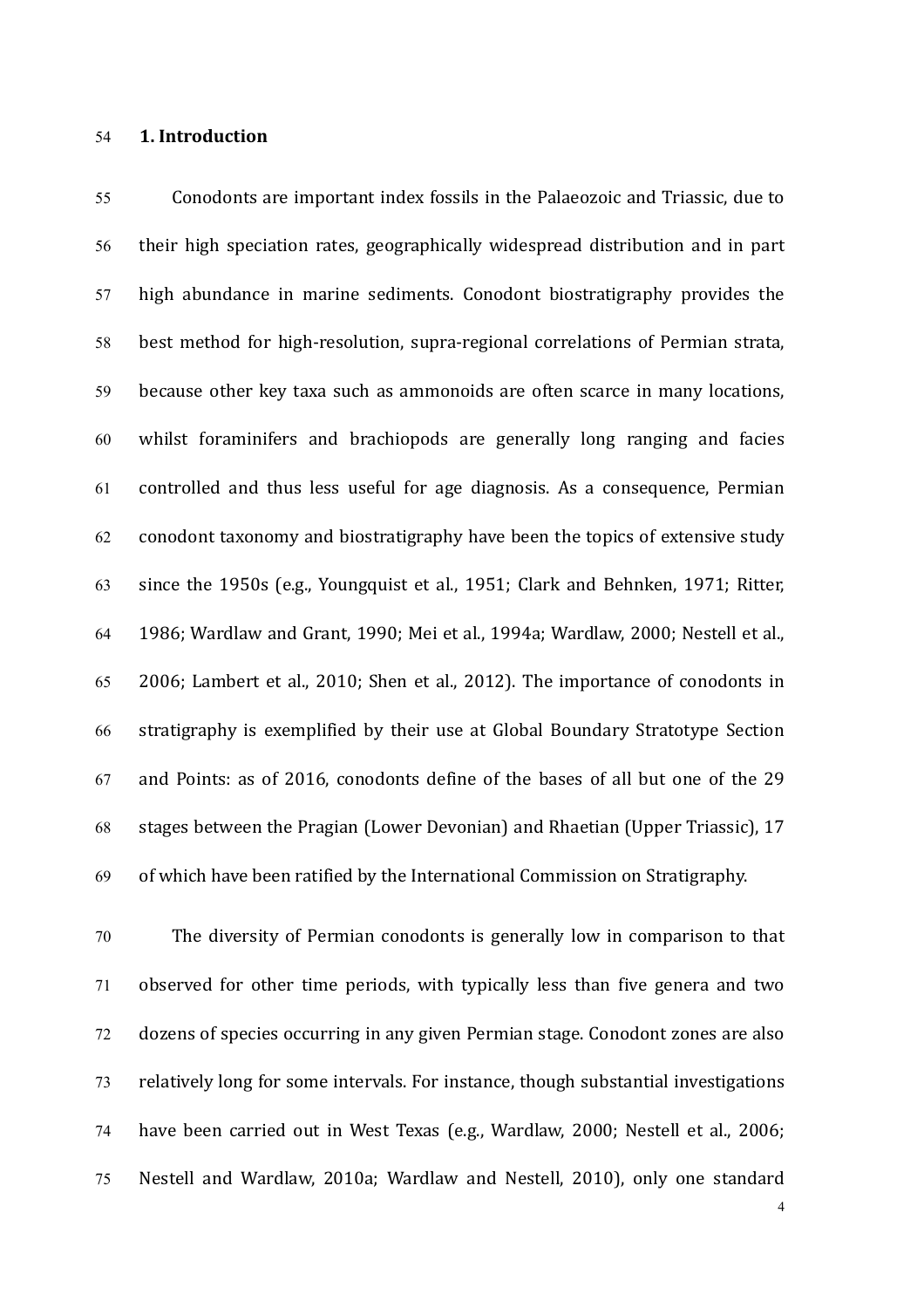# 54 **1. Introduction**

55 Conodonts are important index fossils in the Palaeozoic and Triassic, due to 56 their high speciation rates, geographically widespread distribution and in part 57 high abundance in marine sediments. Conodont biostratigraphy provides the 58 best method for high-resolution, supra-regional correlations of Permian strata, 59 because other key taxa such as ammonoids are often scarce in many locations, 60 whilst foraminifers and brachiopods are generally long ranging and facies 61 controlled and thus less useful for age diagnosis. As a consequence, Permian 62 conodont taxonomy and biostratigraphy have been the topics of extensive study 63 since the 1950s (e.g., Youngquist et al., 1951; Clark and Behnken, 1971; Ritter, 64 1986; Wardlaw and Grant, 1990; Mei et al., 1994a; Wardlaw, 2000; Nestell et al., 65 2006; Lambert et al., 2010; Shen et al., 2012). The importance of conodonts in 66 stratigraphy is exemplified by their use at Global Boundary Stratotype Section 67 and Points: as of 2016, conodonts define of the bases of all but one of the 29 68 stages between the Pragian (Lower Devonian) and Rhaetian (Upper Triassic), 17  $69$  of which have been ratified by the International Commission on Stratigraphy.

70 The diversity of Permian conodonts is generally low in comparison to that 71 observed for other time periods, with typically less than five genera and two 72 dozens of species occurring in any given Permian stage. Conodont zones are also 73 relatively long for some intervals. For instance, though substantial investigations 74 have been carried out in West Texas (e.g., Wardlaw, 2000; Nestell et al., 2006; 75 Nestell and Wardlaw, 2010a; Wardlaw and Nestell, 2010), only one standard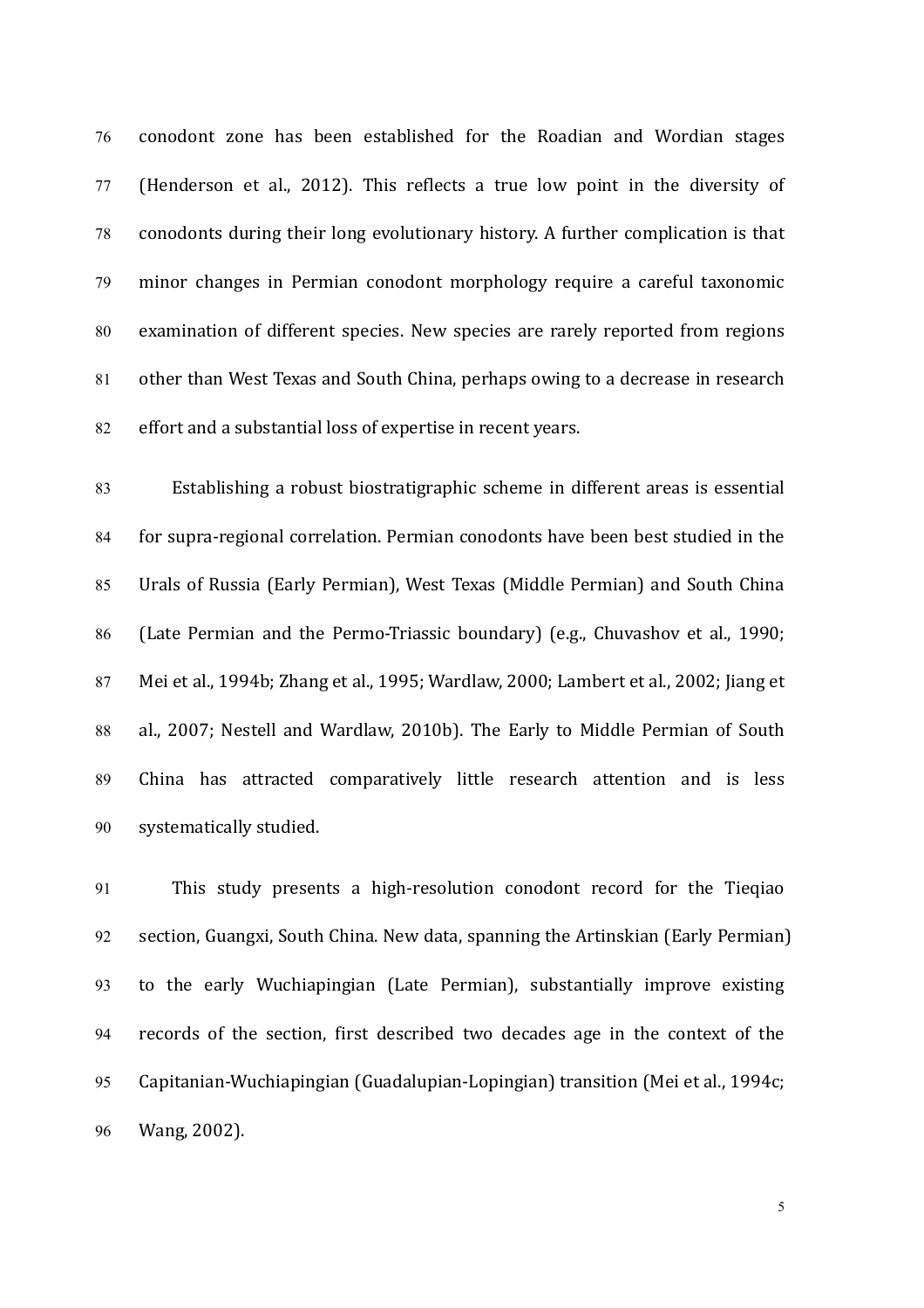76 conodont zone has been established for the Roadian and Wordian stages 77 (Henderson et al., 2012). This reflects a true low point in the diversity of 78 conodonts during their long evolutionary history. A further complication is that 79 minor changes in Permian conodont morphology require a careful taxonomic 80 examination of different species. New species are rarely reported from regions 81 other than West Texas and South China, perhaps owing to a decrease in research 82 effort and a substantial loss of expertise in recent years.

83 Establishing a robust biostratigraphic scheme in different areas is essential 84 for supra-regional correlation. Permian conodonts have been best studied in the 85 Urals of Russia (Early Permian), West Texas (Middle Permian) and South China 86 (Late Permian and the Permo-Triassic boundary) (e.g., Chuvashov et al., 1990; 87 Mei et al., 1994b; Zhang et al., 1995; Wardlaw, 2000; Lambert et al., 2002; Jiang et 88 al., 2007; Nestell and Wardlaw, 2010b). The Early to Middle Permian of South 89 China has attracted comparatively little research attention and is less 90 systematically studied.

91 This study presents a high-resolution conodont record for the Tieqiao 92 section, Guangxi, South China. New data, spanning the Artinskian (Early Permian) 93 to the early Wuchiapingian (Late Permian), substantially improve existing 94 records of the section, first described two decades age in the context of the 95 Capitanian-Wuchiapingian (Guadalupian-Lopingian) transition (Mei et al., 1994c; 96 Wang, 2002).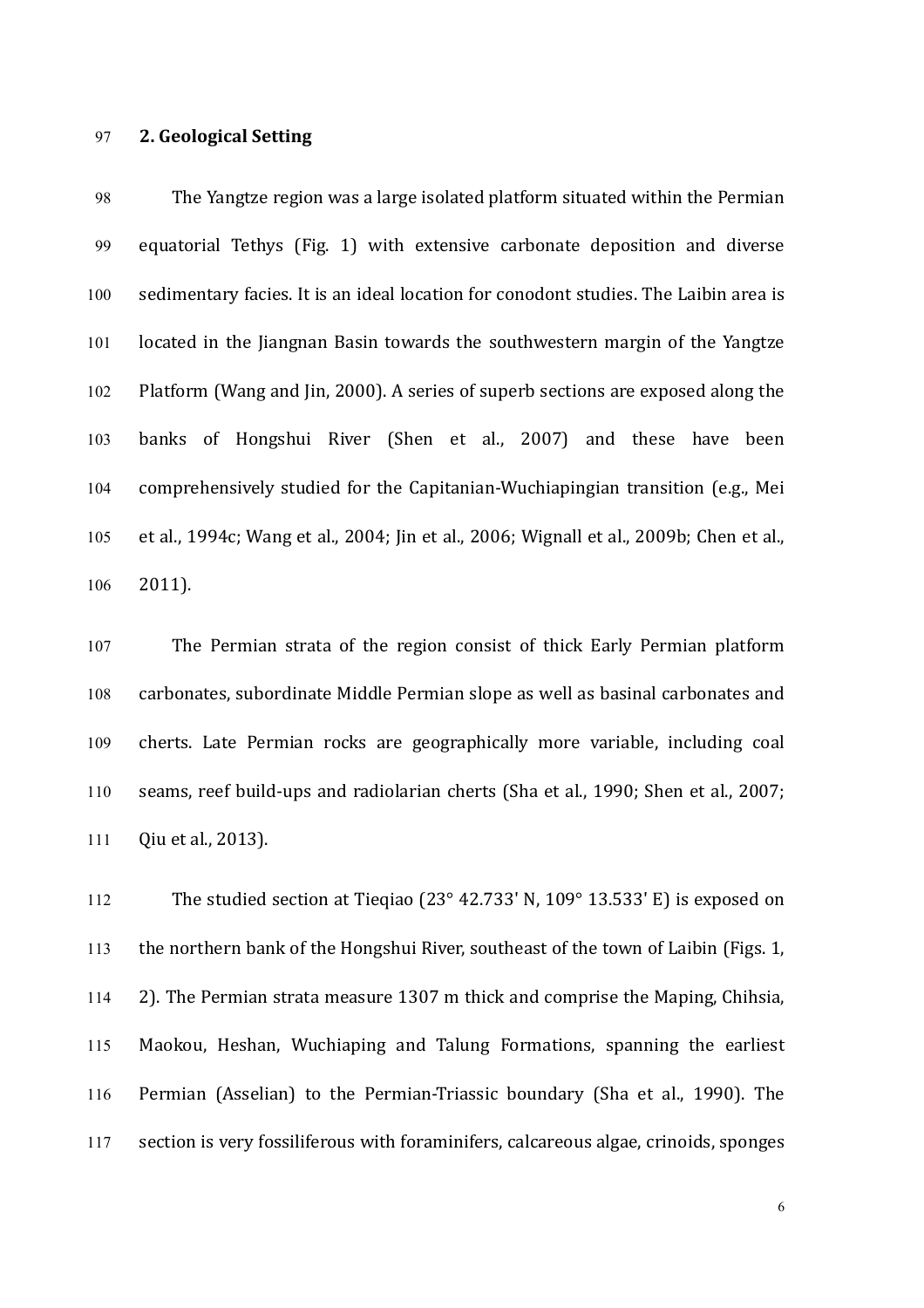# 97 **2. Geological Setting**

98 The Yangtze region was a large isolated platform situated within the Permian 99 equatorial Tethys (Fig. 1) with extensive carbonate deposition and diverse 100 sedimentary facies. It is an ideal location for conodont studies. The Laibin area is 101 located in the Jiangnan Basin towards the southwestern margin of the Yangtze 102 Platform (Wang and Jin, 2000). A series of superb sections are exposed along the 103 banks of Hongshui River (Shen et al., 2007) and these have been 104 comprehensively studied for the Capitanian-Wuchiapingian transition (e.g., Mei 105 et al., 1994c; Wang et al., 2004; Jin et al., 2006; Wignall et al., 2009b; Chen et al., 106 2011). 

107 The Permian strata of the region consist of thick Early Permian platform 108 carbonates, subordinate Middle Permian slope as well as basinal carbonates and 109 cherts. Late Permian rocks are geographically more variable, including coal 110 seams, reef build-ups and radiolarian cherts (Sha et al., 1990; Shen et al., 2007; 111 Qiu et al., 2013).

112 The studied section at Tieqiao  $(23^\circ, 42.733'$  N,  $109^\circ, 13.533'$  E) is exposed on 113 the northern bank of the Hongshui River, southeast of the town of Laibin (Figs. 1, 114  $\,$  2). The Permian strata measure 1307 m thick and comprise the Maping, Chihsia, 115 Maokou, Heshan, Wuchiaping and Talung Formations, spanning the earliest 116 Permian (Asselian) to the Permian-Triassic boundary (Sha et al., 1990). The 117 section is very fossiliferous with foraminifers, calcareous algae, crinoids, sponges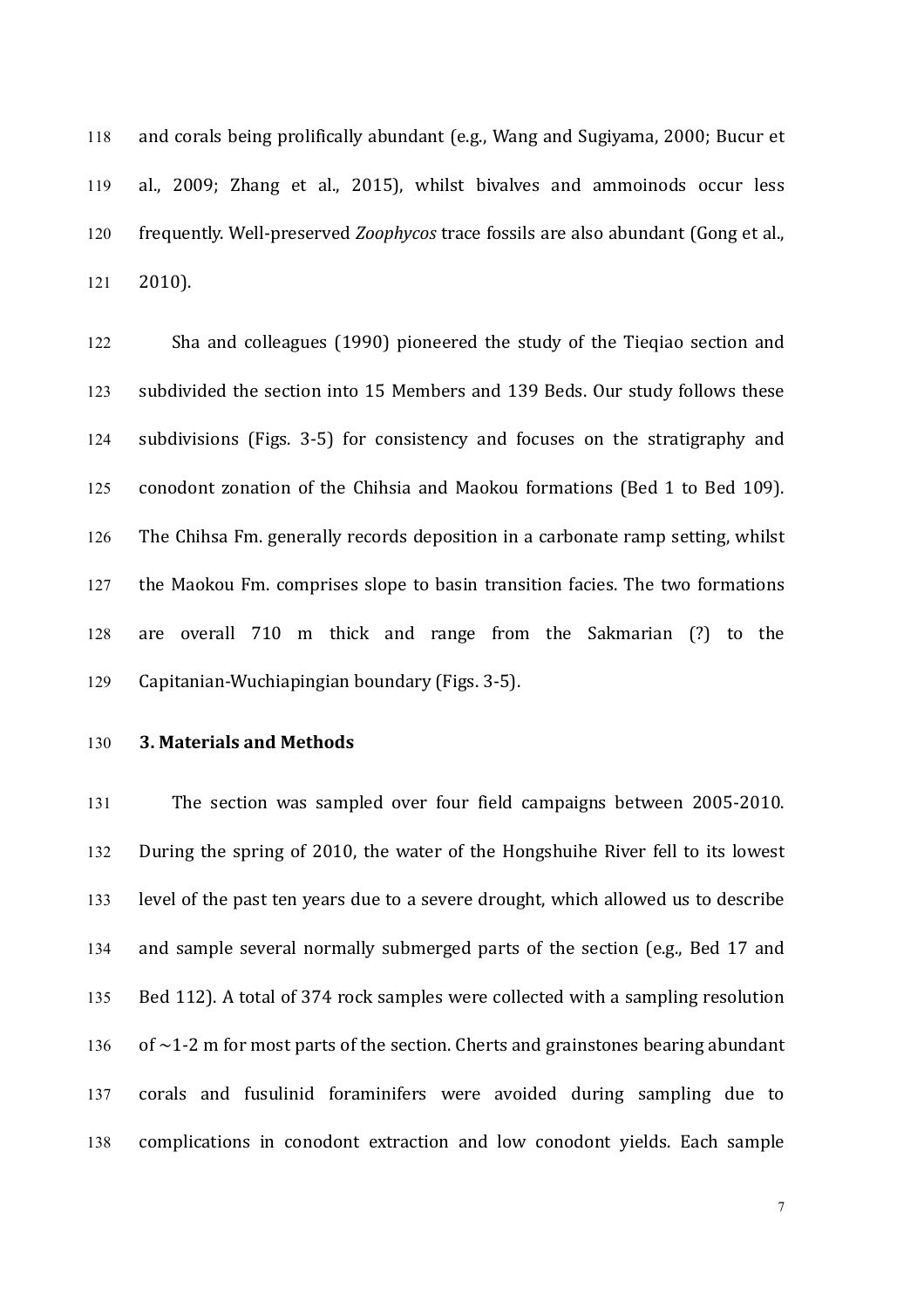118 and corals being prolifically abundant (e.g., Wang and Sugiyama, 2000; Bucur et 119 al., 2009; Zhang et al., 2015), whilst bivalves and ammoinods occur less 120 frequently. Well-preserved *Zoophycos* trace fossils are also abundant (Gong et al., 121 2010).

122 Sha and colleagues (1990) pioneered the study of the Tieqiao section and 123 subdivided the section into 15 Members and 139 Beds. Our study follows these 124 subdivisions (Figs. 3-5) for consistency and focuses on the stratigraphy and 125 conodont zonation of the Chihsia and Maokou formations (Bed 1 to Bed 109). 126 The Chihsa Fm. generally records deposition in a carbonate ramp setting, whilst 127 the Maokou Fm. comprises slope to basin transition facies. The two formations 128 are overall 710 m thick and range from the Sakmarian (?) to the 129 Capitanian-Wuchiapingian boundary (Figs. 3-5).

# 130 **3. Materials and Methods**

131 The section was sampled over four field campaigns between 2005-2010. 132 During the spring of 2010, the water of the Hongshuihe River fell to its lowest 133 level of the past ten years due to a severe drought, which allowed us to describe 134 and sample several normally submerged parts of the section (e.g., Bed 17 and 135 Bed 112). A total of 374 rock samples were collected with a sampling resolution 136 of  $\sim$ 1-2 m for most parts of the section. Cherts and grainstones bearing abundant 137 corals and fusulinid foraminifers were avoided during sampling due to 138 complications in conodont extraction and low conodont yields. Each sample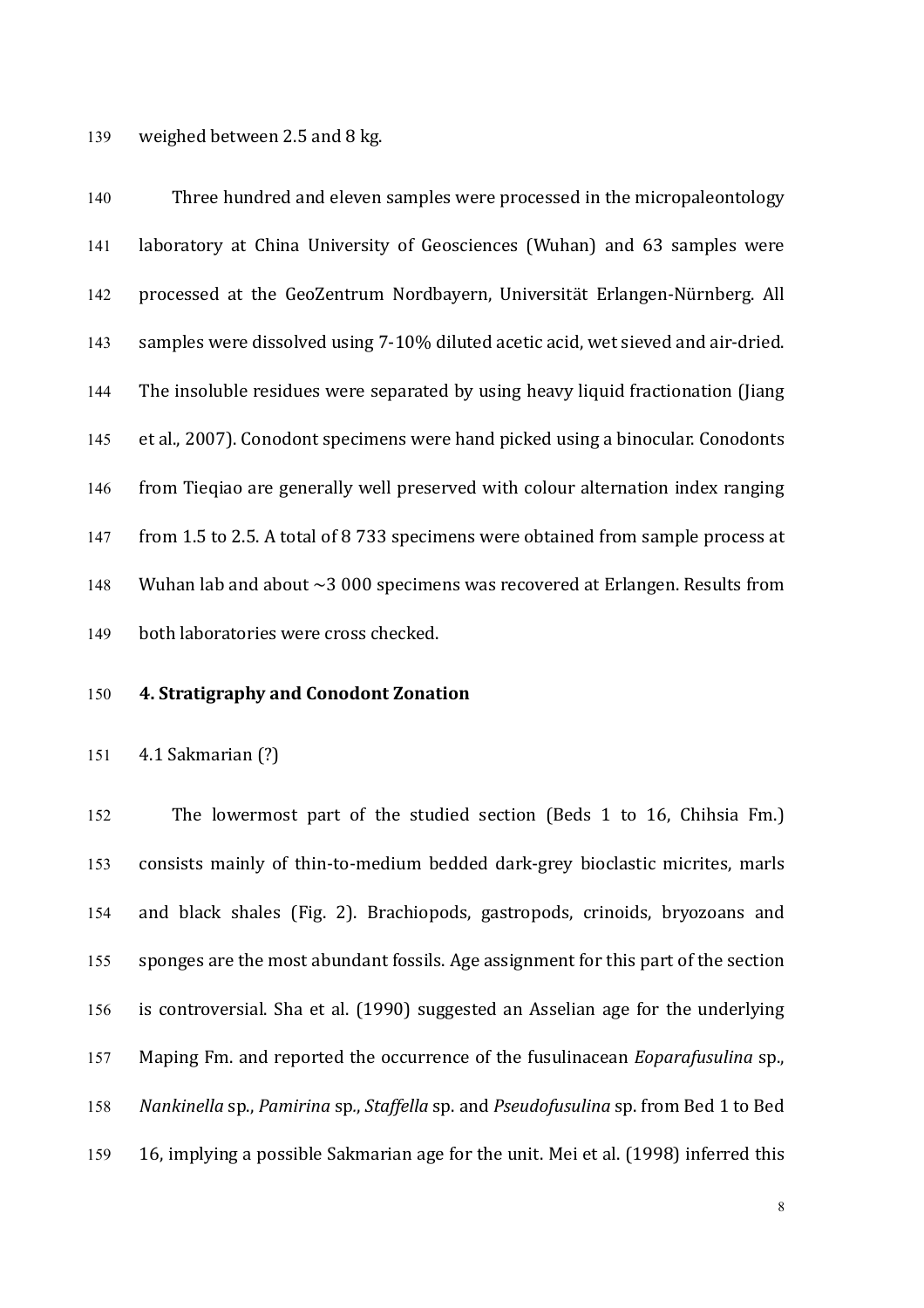139 weighed between 2.5 and 8 kg.

140 Three hundred and eleven samples were processed in the micropaleontology 141 laboratory at China University of Geosciences (Wuhan) and 63 samples were 142 processed at the GeoZentrum Nordbayern, Universität Erlangen-Nürnberg. All 143 samples were dissolved using 7-10% diluted acetic acid, wet sieved and air-dried. 144 The insoluble residues were separated by using heavy liquid fractionation (Jiang 145 et al., 2007). Conodont specimens were hand picked using a binocular. Conodonts 146 from Tieqiao are generally well preserved with colour alternation index ranging 147 from 1.5 to 2.5. A total of 8 733 specimens were obtained from sample process at 148 Wuhan lab and about  $\sim$  3 000 specimens was recovered at Erlangen. Results from 149 both laboratories were cross checked.

# 150 **4. Stratigraphy and Conodont Zonation**

151 4.1 Sakmarian (?)

152 The lowermost part of the studied section (Beds 1 to 16, Chihsia Fm.) 153 consists mainly of thin-to-medium bedded dark-grey bioclastic micrites, marls 154 and black shales (Fig. 2). Brachiopods, gastropods, crinoids, bryozoans and 155 sponges are the most abundant fossils. Age assignment for this part of the section 156 is controversial. Sha et al. (1990) suggested an Asselian age for the underlying 157 Maping Fm. and reported the occurrence of the fusulinacean *Eoparafusulina* sp., 158 Nankinella sp., *Pamirina* sp., *Staffella* sp. and *Pseudofusulina* sp. from Bed 1 to Bed 159 16, implying a possible Sakmarian age for the unit. Mei et al. (1998) inferred this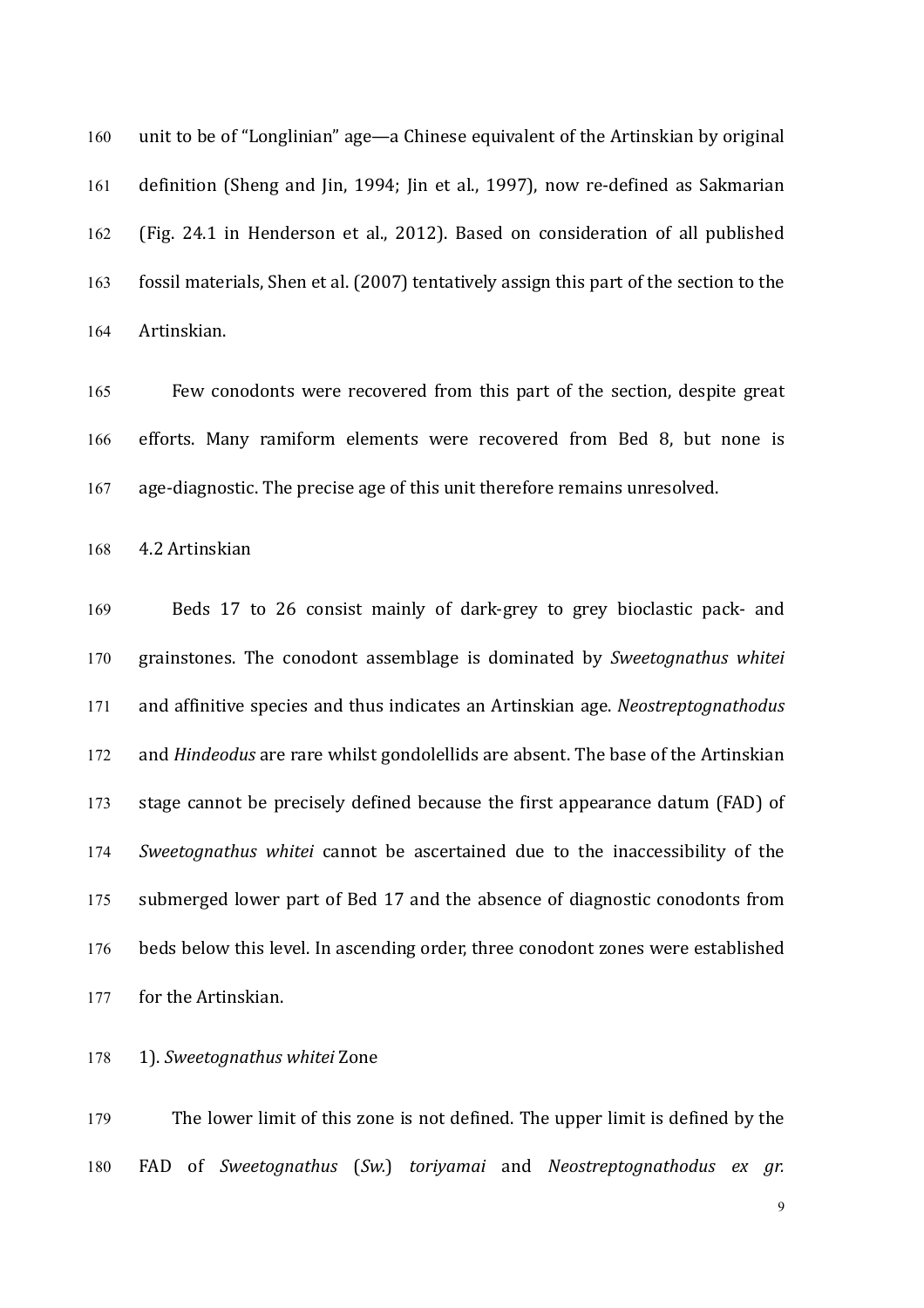160 unit to be of "Longlinian" age—a Chinese equivalent of the Artinskian by original 161 definition (Sheng and Jin, 1994; Jin et al., 1997), now re-defined as Sakmarian 162 (Fig. 24.1 in Henderson et al., 2012). Based on consideration of all published 163 fossil materials, Shen et al. (2007) tentatively assign this part of the section to the 164 Artinskian.

165 Few conodonts were recovered from this part of the section, despite great 166 efforts. Many ramiform elements were recovered from Bed 8, but none is 167 age-diagnostic. The precise age of this unit therefore remains unresolved.

168 4.2 Artinskian

169 Beds 17 to 26 consist mainly of dark-grey to grey bioclastic pack- and 170 grainstones. The conodont assemblage is dominated by *Sweetognathus whitei*  171 and affinitive species and thus indicates an Artinskian age. *Neostreptognathodus* 172 and *Hindeodus* are rare whilst gondolellids are absent. The base of the Artinskian 173 stage cannot be precisely defined because the first appearance datum (FAD) of 174 *Sweetognathus whitei* cannot be ascertained due to the inaccessibility of the 175 submerged lower part of Bed 17 and the absence of diagnostic conodonts from 176 beds below this level. In ascending order, three conodont zones were established 177 for the Artinskian.

178 1). *Sweetognathus whitei* Zone

179 The lower limit of this zone is not defined. The upper limit is defined by the 180 FAD of *Sweetognathus* (*Sw.*) *toriyamai* and *Neostreptognathodus ex gr.*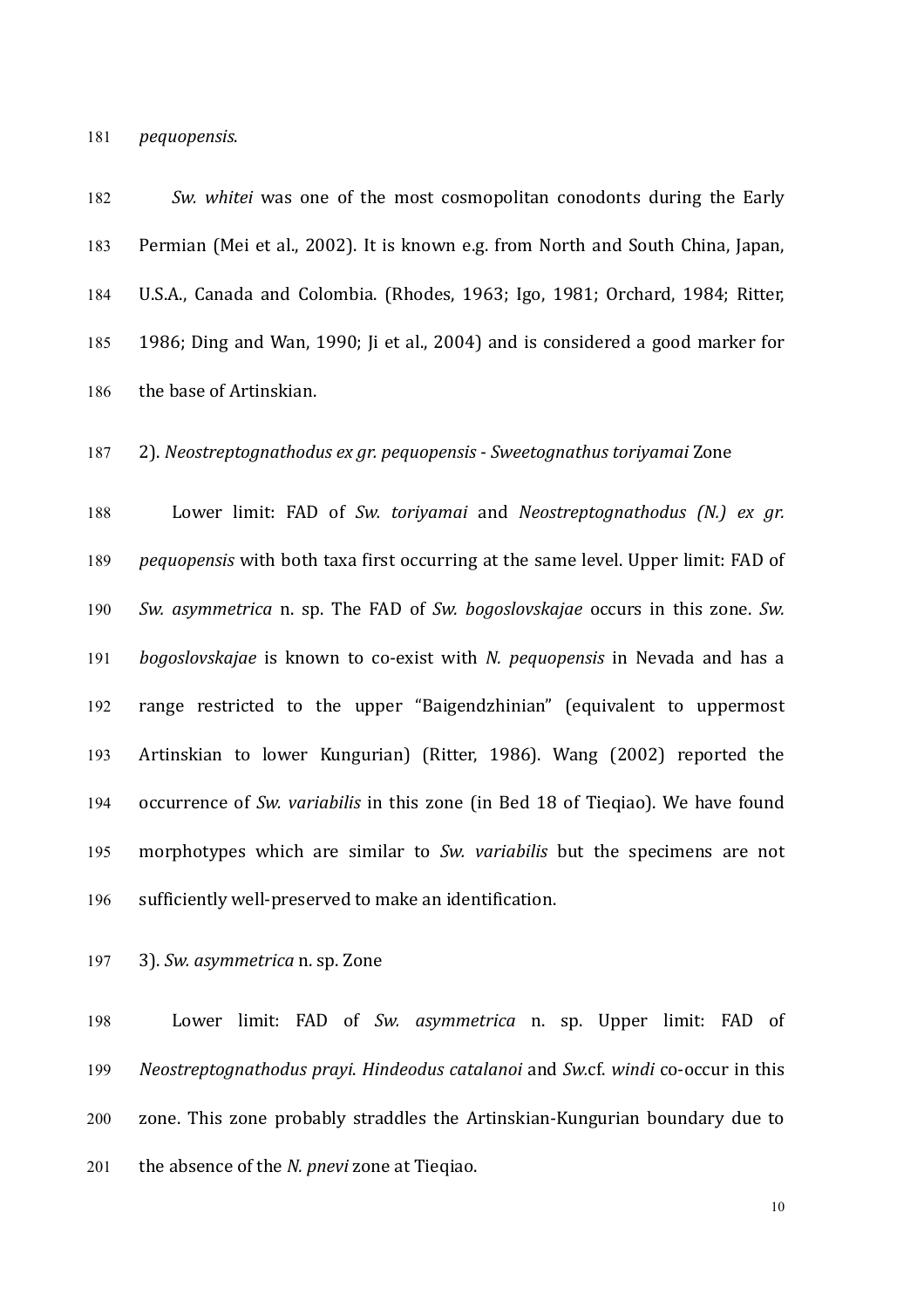181 *pequopensis*.

182 *Sw. whitei* was one of the most cosmopolitan conodonts during the Early 183 Permian (Mei et al., 2002). It is known e.g. from North and South China, Japan, 184 U.S.A., Canada and Colombia. (Rhodes, 1963; Igo, 1981; Orchard, 1984; Ritter, 185 1986; Ding and Wan, 1990; Ji et al., 2004) and is considered a good marker for 186 the base of Artinskian.

187 2). *Neostreptognathodus ex gr. pequopensis* - *Sweetognathus toriyamai* Zone

188 Lower limit: FAD of *Sw. toriyamai* and *Neostreptognathodus (N.) ex gr.* 189 *pequopensis* with both taxa first occurring at the same level. Upper limit: FAD of 190 *Sw. asymmetrica* n. sp. The FAD of *Sw. bogoslovskajae* occurs in this zone. Sw. 191 *bogoslovskajae* is known to co-exist with *N. pequopensis* in Nevada and has a 192 range restricted to the upper "Baigendzhinian" (equivalent to uppermost 193 Artinskian to lower Kungurian) (Ritter, 1986). Wang (2002) reported the 194 occurrence of *Sw. variabilis* in this zone (in Bed 18 of Tieqiao). We have found 195 morphotypes which are similar to *Sw. variabilis* but the specimens are not 196 sufficiently well-preserved to make an identification.

197 3). *Sw. asymmetrica* n. sp. Zone

198 Lower limit: FAD of *Sw. asymmetrica* n. sp. Upper limit: FAD of 199 *Neostreptognathodus prayi*. *Hindeodus catalanoi* and *Sw.*cf. *windi* co-occur in this 200 zone. This zone probably straddles the Artinskian-Kungurian boundary due to 201 the absence of the *N. pnevi* zone at Tieqiao.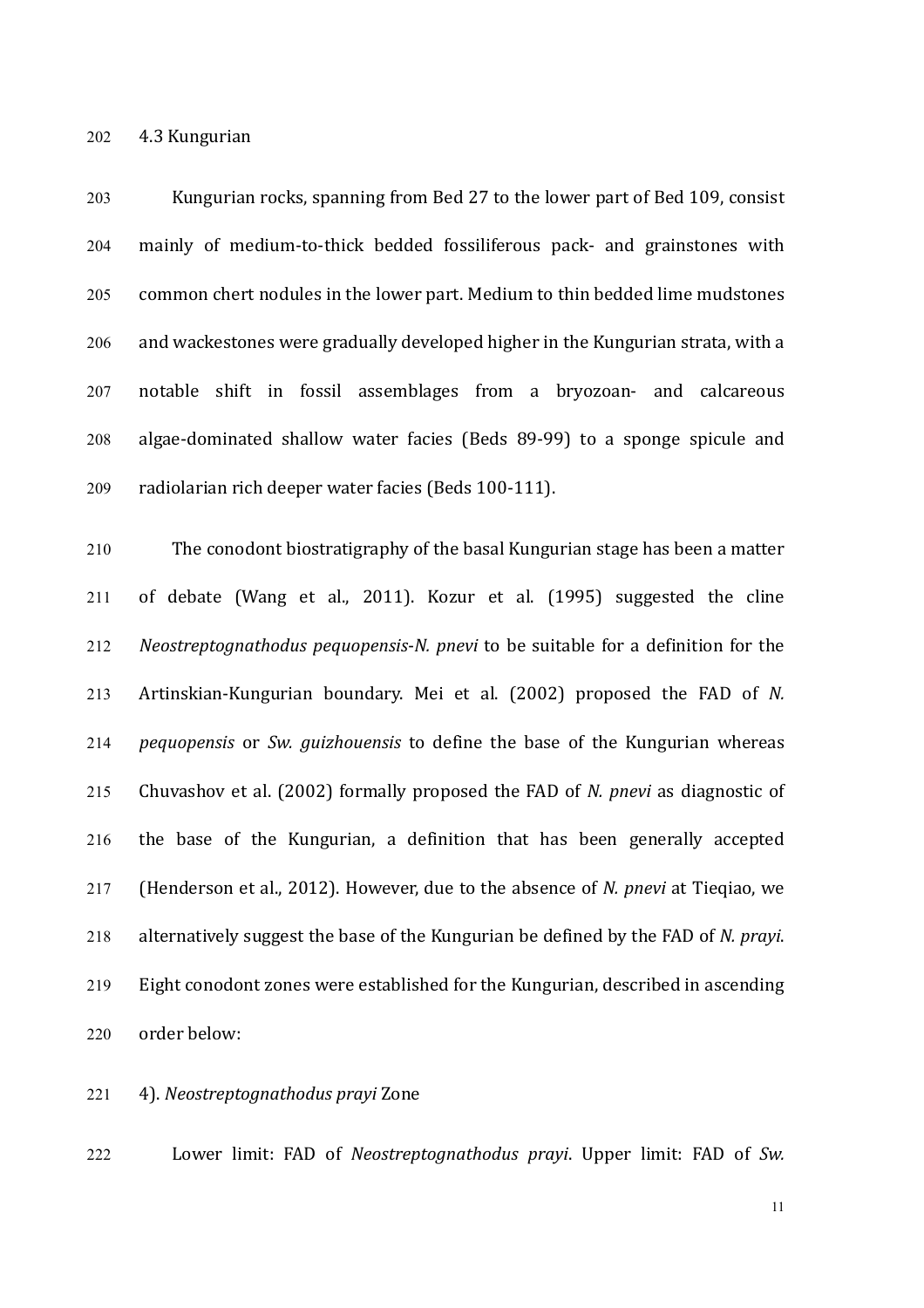202 4.3 Kungurian

203 Kungurian rocks, spanning from Bed 27 to the lower part of Bed 109, consist 204 mainly of medium-to-thick bedded fossiliferous pack- and grainstones with 205 common chert nodules in the lower part. Medium to thin bedded lime mudstones  $206$  and wackestones were gradually developed higher in the Kungurian strata, with a 207 notable shift in fossil assemblages from a bryozoan- and calcareous 208 algae-dominated shallow water facies (Beds 89-99) to a sponge spicule and 209 radiolarian rich deeper water facies (Beds 100-111).

210 The conodont biostratigraphy of the basal Kungurian stage has been a matter  $211$  of debate (Wang et al.,  $2011$ ). Kozur et al. (1995) suggested the cline 212 *Neostreptognathodus pequopensis*-*N. pnevi* to be suitable for a definition for the 213 Artinskian-Kungurian boundary. Mei et al. (2002) proposed the FAD of *N.* 214 *pequopensis* or *Sw. quizhouensis* to define the base of the Kungurian whereas 215 Chuvashov et al. (2002) formally proposed the FAD of *N. pnevi* as diagnostic of 216 the base of the Kungurian, a definition that has been generally accepted 217 (Henderson et al., 2012). However, due to the absence of *N. pnevi* at Tieqiao, we 218 alternatively suggest the base of the Kungurian be defined by the FAD of *N. prayi*.  $219$  Eight conodont zones were established for the Kungurian, described in ascending 220 order below:

221 4). *Neostreptognathodus prayi* Zone

222 Lower limit: FAD of *Neostreptognathodus prayi*. Upper limit: FAD of *Sw.*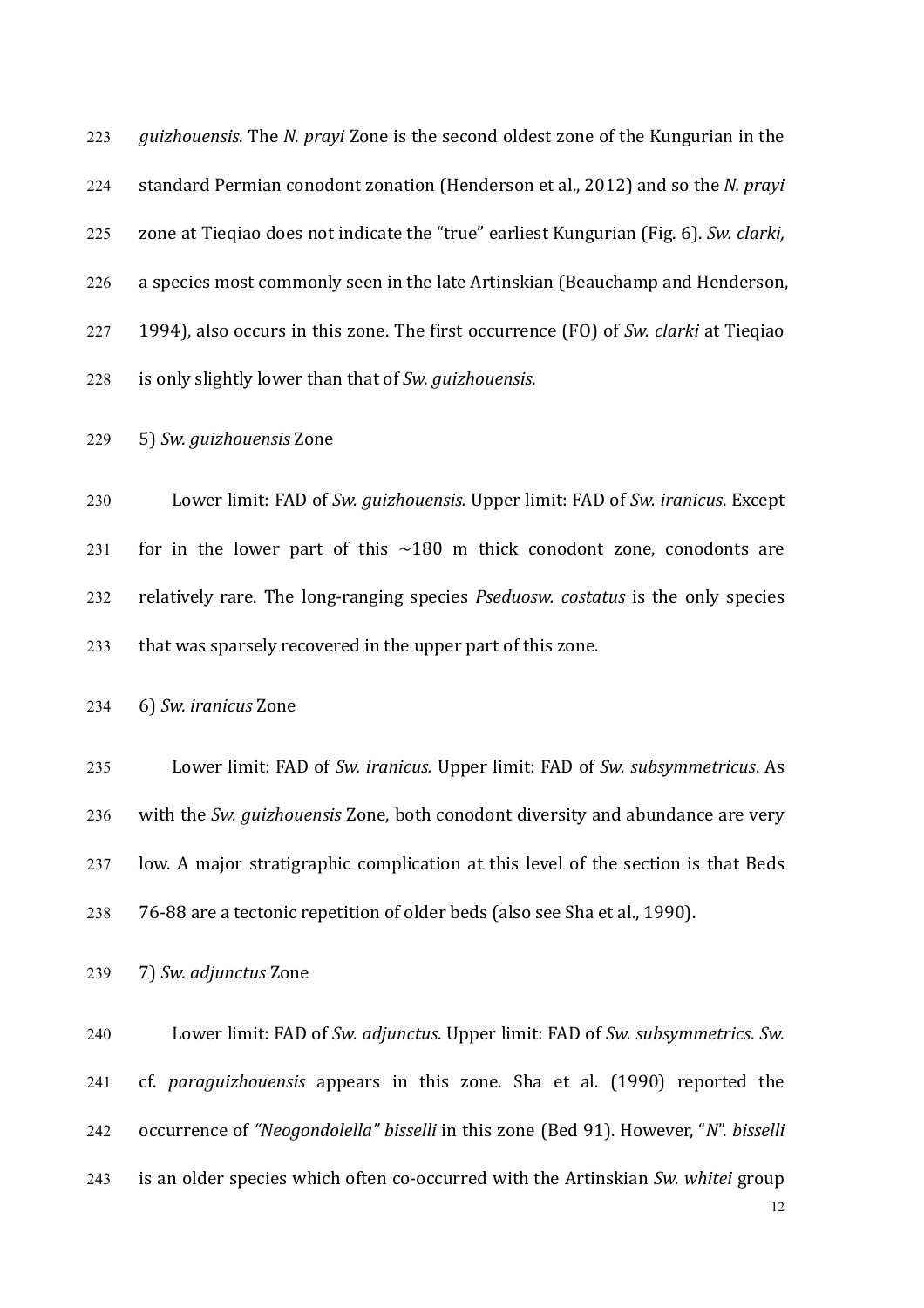223 *guizhouensis*. The *N. prayi* Zone is the second oldest zone of the Kungurian in the 224 standard Permian conodont zonation (Henderson et al., 2012) and so the *N. prayi* 225 zone at Tiegiao does not indicate the "true" earliest Kungurian (Fig. 6). *Sw. clarki,* 226 a species most commonly seen in the late Artinskian (Beauchamp and Henderson, 227 1994), also occurs in this zone. The first occurrence (FO) of *Sw. clarki* at Tieqiao 228 is only slightly lower than that of *Sw. guizhouensis*.

229 5) *Sw. guizhouensis* Zone

230 Lower limit: FAD of *Sw. guizhouensis.* Upper limit: FAD of *Sw. iranicus*. Except 231 for in the lower part of this  $\sim$ 180 m thick conodont zone, conodonts are 232 relatively rare. The long-ranging species *Pseduosw. costatus* is the only species 233 that was sparsely recovered in the upper part of this zone.

234 6) *Sw. iranicus* Zone

235 Lower limit: FAD of *Sw. iranicus.* Upper limit: FAD of *Sw. subsymmetricus.* As 236 with the *Sw. guizhouensis* Zone, both conodont diversity and abundance are very  $237$  low. A major stratigraphic complication at this level of the section is that Beds 238 76-88 are a tectonic repetition of older beds (also see Sha et al., 1990).

239 7) *Sw. adjunctus* Zone

240 Lower limit: FAD of *Sw. adjunctus*. Upper limit: FAD of *Sw. subsymmetrics. Sw.* 241 cf. *paraguizhouensis* appears in this zone. Sha et al. (1990) reported the 242 occurrence of "Neogondolella" bisselli in this zone (Bed 91). However, "N". bisselli 243 is an older species which often co-occurred with the Artinskian *Sw. whitei* group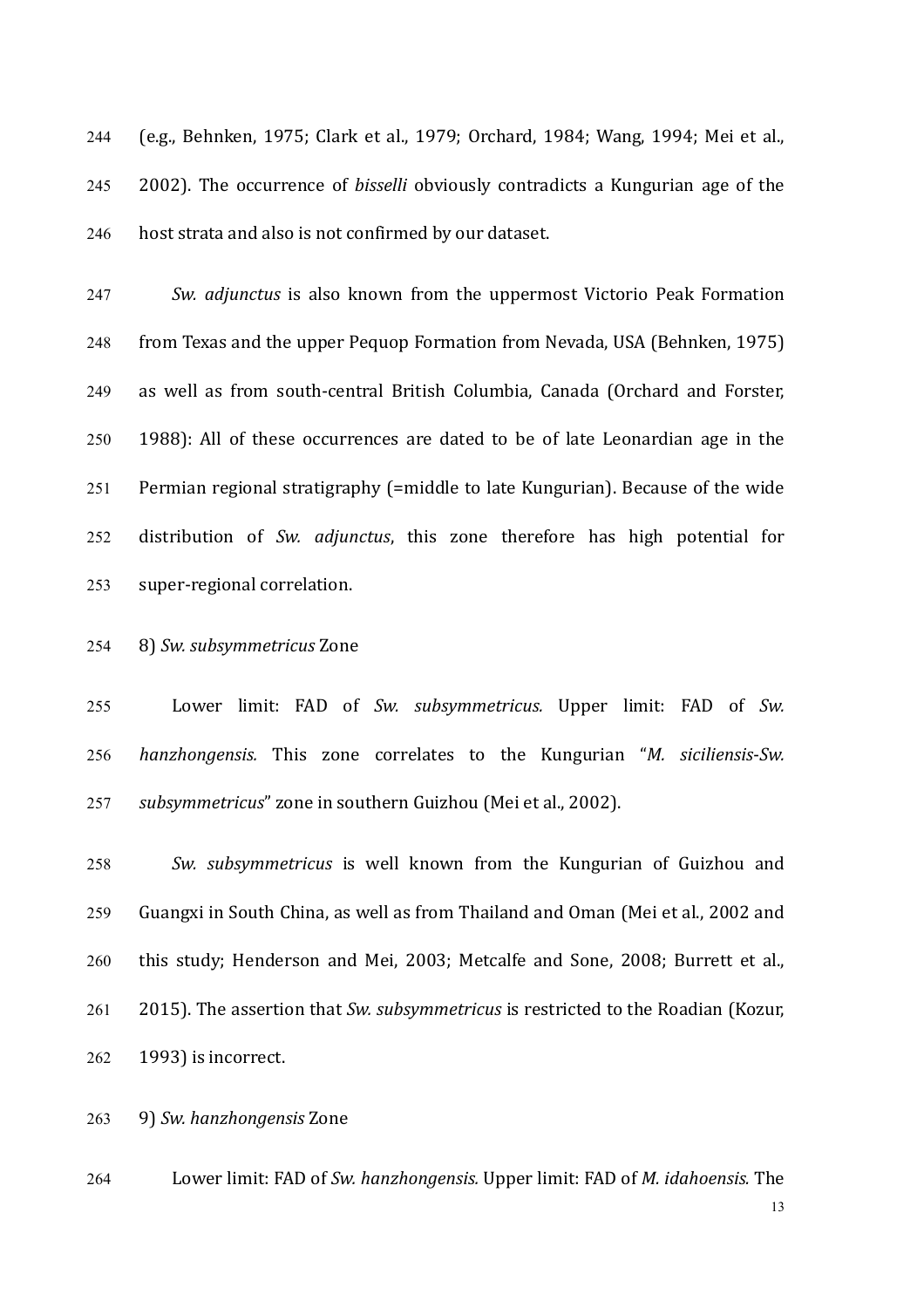244 (e.g., Behnken, 1975; Clark et al., 1979; Orchard, 1984; Wang, 1994; Mei et al., 245 2002). The occurrence of *bisselli* obviously contradicts a Kungurian age of the 246 host strata and also is not confirmed by our dataset.

247 Sw. *adjunctus* is also known from the uppermost Victorio Peak Formation 248 from Texas and the upper Pequop Formation from Nevada, USA (Behnken, 1975) 249 as well as from south-central British Columbia, Canada (Orchard and Forster, 250 1988): All of these occurrences are dated to be of late Leonardian age in the  $251$  Permian regional stratigraphy (=middle to late Kungurian). Because of the wide 252 distribution of *Sw. adjunctus*, this zone therefore has high potential for 253 super-regional correlation.

# 254 8) *Sw. subsymmetricus* Zone

255 Lower limit: FAD of *Sw. subsymmetricus.* Upper limit: FAD of *Sw.* 256 *hanzhongensis.*  This zone correlates to the Kungurian "*M. siciliensis*-*Sw.*  257 *subsymmetricus*" zone in southern Guizhou (Mei et al., 2002).

258 *Sw. subsymmetricus*  is well known from the Kungurian of Guizhou and 259 Guangxi in South China, as well as from Thailand and Oman (Mei et al., 2002 and 260 this study; Henderson and Mei, 2003; Metcalfe and Sone, 2008; Burrett et al., 261 2015). The assertion that *Sw. subsymmetricus* is restricted to the Roadian (Kozur,  $262$  1993) is incorrect.

263 9) *Sw. hanzhongensis* Zone

13 264 Lower limit: FAD of *Sw. hanzhongensis.* Upper limit: FAD of *M. idahoensis.* The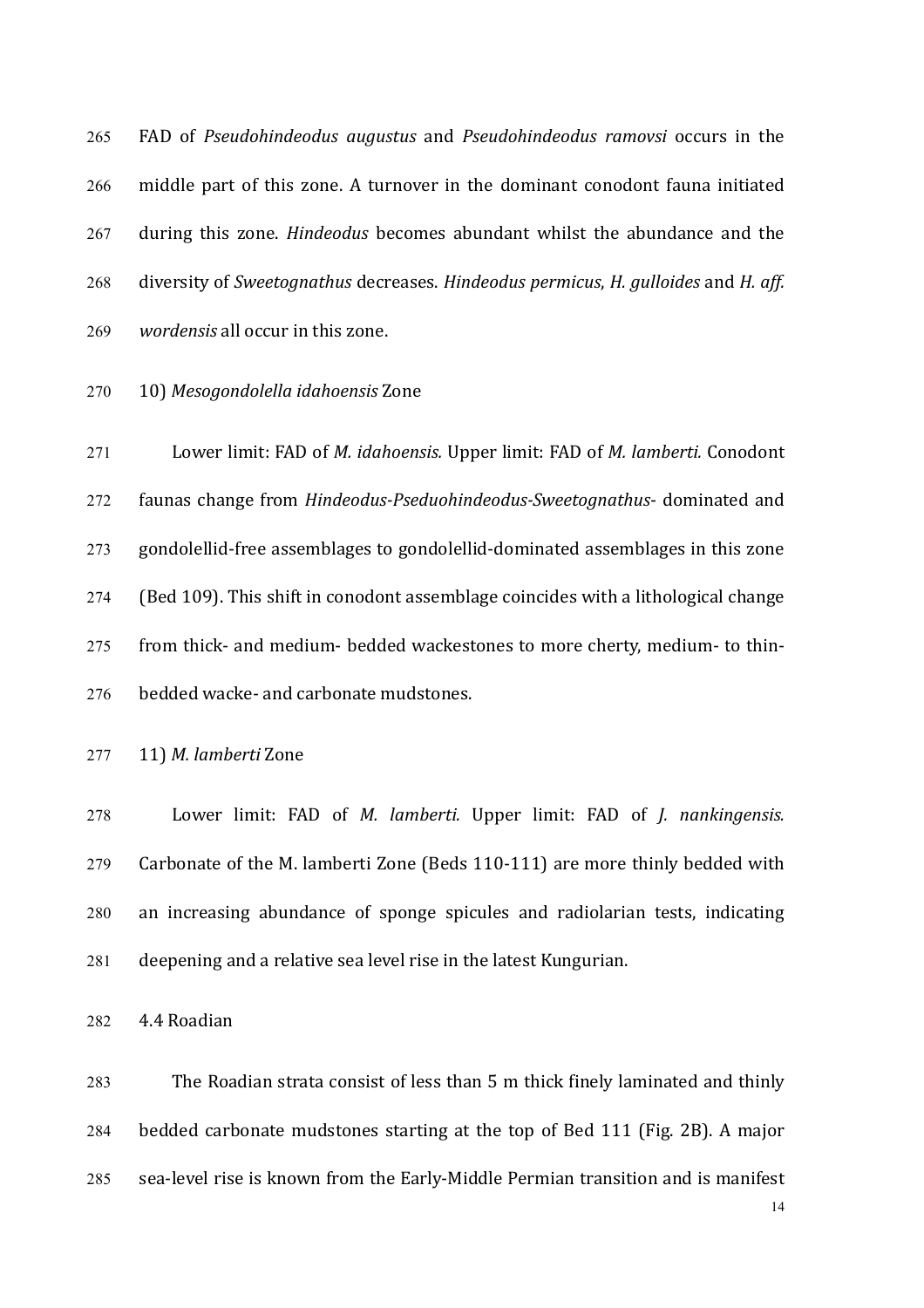265 FAD of *Pseudohindeodus augustus* and *Pseudohindeodus ramovsi* occurs in the 266 middle part of this zone. A turnover in the dominant conodont fauna initiated 267 during this zone. *Hindeodus* becomes abundant whilst the abundance and the 268 diversity of *Sweetognathus* decreases. *Hindeodus permicus, H. gulloides* and *H. aff.* 269 *wordensis* all occur in this zone.

# 270 10) *Mesogondolella idahoensis* Zone

271 Lower limit: FAD of *M. idahoensis.* Upper limit: FAD of *M. lamberti.* Conodont 272 faunas change from *Hindeodus-Pseduohindeodus-Sweetognathus*- dominated and 273 gondolellid-free assemblages to gondolellid-dominated assemblages in this zone 274 (Bed 109). This shift in conodont assemblage coincides with a lithological change 275 from thick- and medium- bedded wackestones to more cherty, medium- to thin-276 bedded wacke- and carbonate mudstones.

277 11) *M. lamberti* Zone

278 Lower limit: FAD of *M. lamberti.* Upper limit: FAD of *J. nankingensis.* 279 Carbonate of the M. lamberti Zone (Beds 110-111) are more thinly bedded with 280 an increasing abundance of sponge spicules and radiolarian tests, indicating  $281$  deepening and a relative sea level rise in the latest Kungurian.

282 4.4 Roadian

283 The Roadian strata consist of less than 5 m thick finely laminated and thinly 284 bedded carbonate mudstones starting at the top of Bed 111 (Fig. 2B). A major 285 sea-level rise is known from the Early-Middle Permian transition and is manifest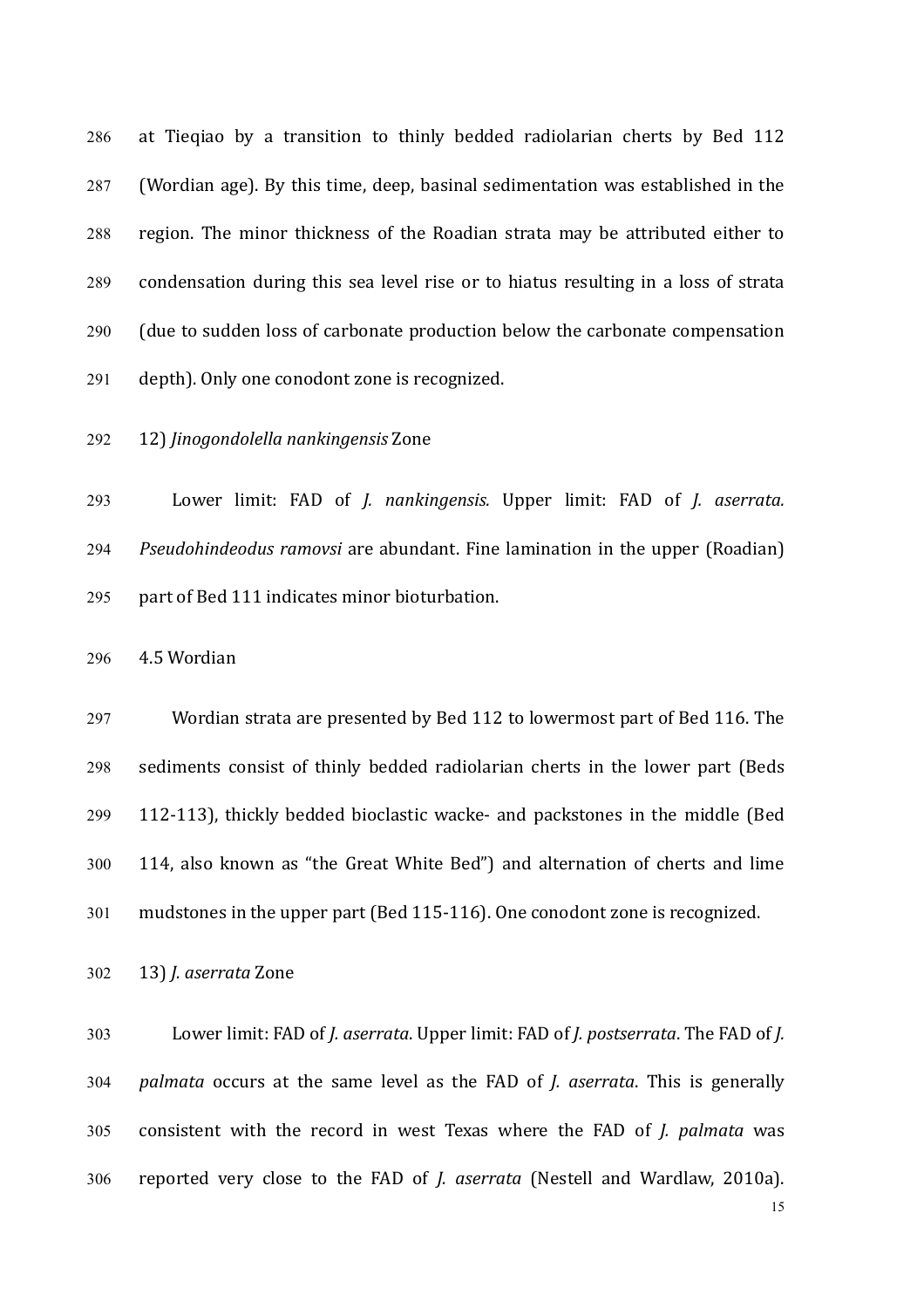286 at Tieqiao by a transition to thinly bedded radiolarian cherts by Bed 112 287 (Wordian age). By this time, deep, basinal sedimentation was established in the 288 region. The minor thickness of the Roadian strata may be attributed either to 289 condensation during this sea level rise or to hiatus resulting in a loss of strata 290 (due to sudden loss of carbonate production below the carbonate compensation 291 depth). Only one conodont zone is recognized.

292 12) *Jinogondolella nankingensis* Zone

293 Lower limit: FAD of *J. nankingensis.* Upper limit: FAD of *J. aserrata.* 294 *Pseudohindeodus ramovsi* are abundant. Fine lamination in the upper (Roadian) 295 part of Bed 111 indicates minor bioturbation.

296 4.5 Wordian

297 Wordian strata are presented by Bed 112 to lowermost part of Bed 116. The 298 sediments consist of thinly bedded radiolarian cherts in the lower part (Beds 299 112-113), thickly bedded bioclastic wacke- and packstones in the middle (Bed 300 114, also known as "the Great White Bed") and alternation of cherts and lime 301 mudstones in the upper part (Bed 115-116). One conodont zone is recognized.

302 13) *J. aserrata* Zone

303 Lower limit: FAD of *I. aserrata*. Upper limit: FAD of *I. postserrata*. The FAD of *I.* 304 *palmata* occurs at the same level as the FAD of *J. aserrata*. This is generally 305 consistent with the record in west Texas where the FAD of *J. palmata* was 306 reported very close to the FAD of *J. aserrata* (Nestell and Wardlaw, 2010a).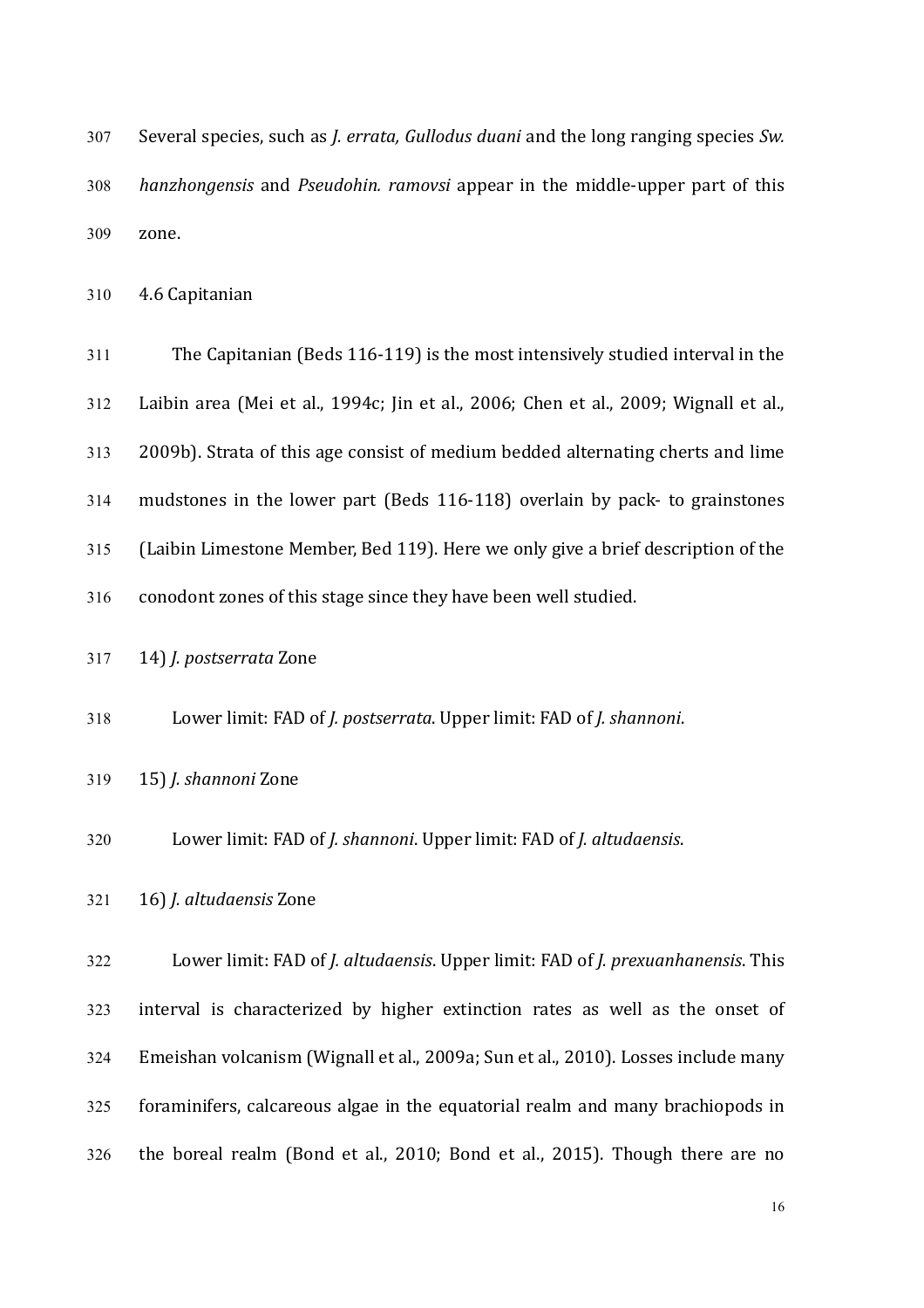| 307 | Several species, such as <i>J. errata, Gullodus duani</i> and the long ranging species Sw. |
|-----|--------------------------------------------------------------------------------------------|
| 308 | <i>hanzhongensis</i> and <i>Pseudohin, ramovsi</i> appear in the middle-upper part of this |
| 309 | zone.                                                                                      |

310 4.6 Capitanian

| 311 | The Capitanian (Beds 116-119) is the most intensively studied interval in the        |
|-----|--------------------------------------------------------------------------------------|
| 312 | Laibin area (Mei et al., 1994c; Jin et al., 2006; Chen et al., 2009; Wignall et al., |
| 313 | 2009b). Strata of this age consist of medium bedded alternating cherts and lime      |
| 314 | mudstones in the lower part (Beds 116-118) overlain by pack- to grainstones          |
| 315 | (Laibin Limestone Member, Bed 119). Here we only give a brief description of the     |
| 316 | conodont zones of this stage since they have been well studied.                      |

317 14) *J. postserrata* Zone

318 Lower limit: FAD of *J. postserrata*. Upper limit: FAD of *J. shannoni*.

319 15) *J. shannoni* Zone

320 Lower limit: FAD of *J. shannoni*. Upper limit: FAD of *J. altudaensis*.

321 16) *J. altudaensis* Zone

322 Lower limit: FAD of *J. altudaensis*. Upper limit: FAD of *J. prexuanhanensis*. This 323 interval is characterized by higher extinction rates as well as the onset of 324 Emeishan volcanism (Wignall et al., 2009a; Sun et al., 2010). Losses include many 325 foraminifers, calcareous algae in the equatorial realm and many brachiopods in 326 the boreal realm (Bond et al., 2010; Bond et al., 2015). Though there are no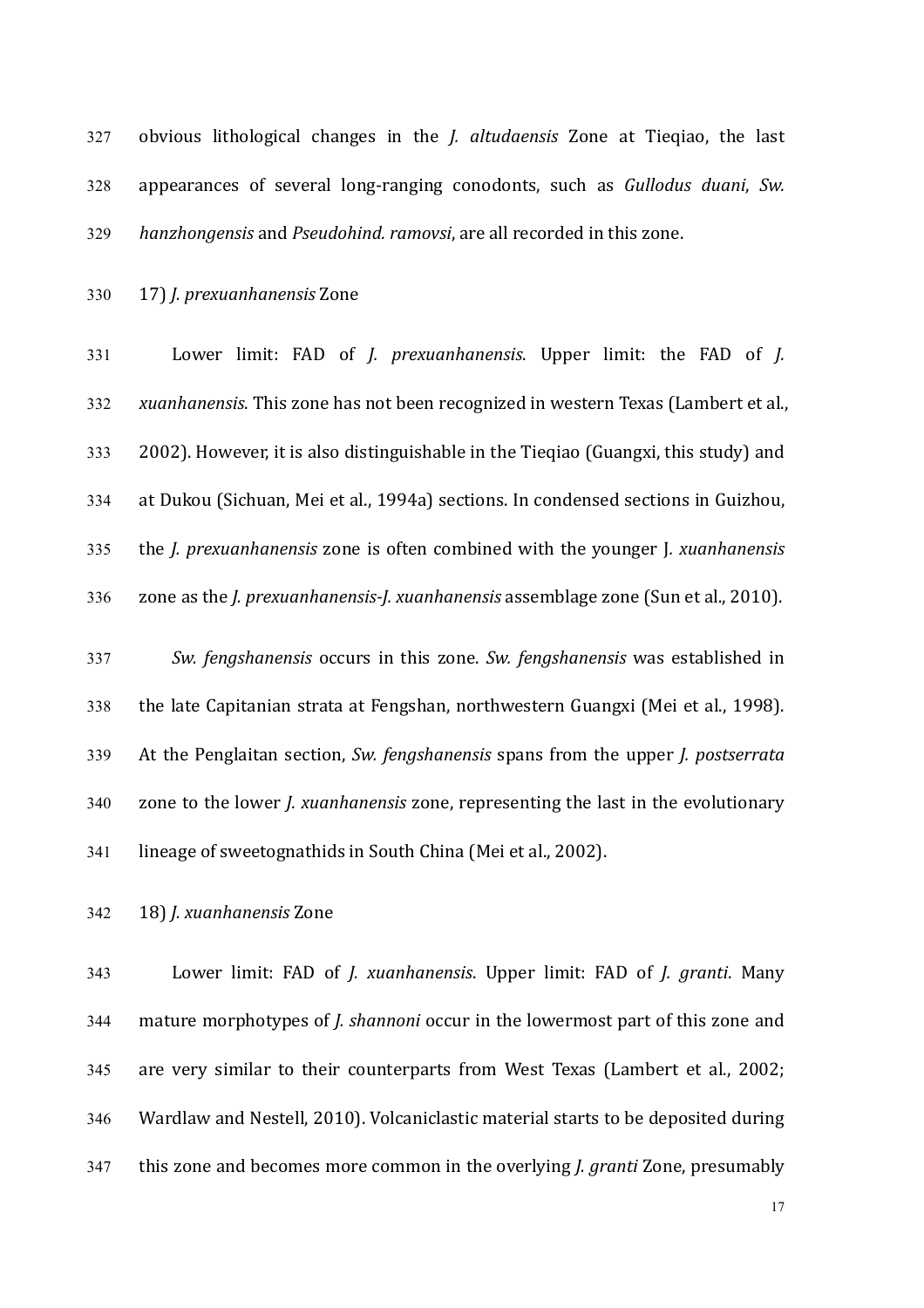327 obvious lithological changes in the *J. altudaensis* Zone at Tieqiao, the last 328 appearances of several long-ranging conodonts, such as *Gullodus duani*, *Sw.* 329 *hanzhongensis* and *Pseudohind. ramovsi*, are all recorded in this zone.

330 17) *J. prexuanhanensis* Zone

331 Lower limit: FAD of *J. prexuanhanensis*. Upper limit: the FAD of *J.* 332 *xuanhanensis*. This zone has not been recognized in western Texas (Lambert et al.,  $333$  2002). However, it is also distinguishable in the Tieqiao (Guangxi, this study) and 334 at Dukou (Sichuan, Mei et al., 1994a) sections. In condensed sections in Guizhou, 335 the *J. prexuanhanensis* zone is often combined with the younger *J. xuanhanensis* 336 zone as the *J. prexuanhanensis-J. xuanhanensis* assemblage zone (Sun et al., 2010).

337 Sw. *fengshanensis* occurs in this zone. *Sw. fengshanensis* was established in 338 the late Capitanian strata at Fengshan, northwestern Guangxi (Mei et al., 1998). 339 At the Penglaitan section, *Sw. fengshanensis* spans from the upper *J. postserrata* 340 zone to the lower *J. xuanhanensis* zone, representing the last in the evolutionary 341 lineage of sweetognathids in South China (Mei et al., 2002).

342 18) *J. xuanhanensis* Zone

343 Lower limit: FAD of *J. xuanhanensis*. Upper limit: FAD of *J. granti*. Many 344 mature morphotypes of *J. shannoni* occur in the lowermost part of this zone and 345 are very similar to their counterparts from West Texas (Lambert et al., 2002; 346 Wardlaw and Nestell, 2010). Volcaniclastic material starts to be deposited during 347 this zone and becomes more common in the overlying *J. granti* Zone, presumably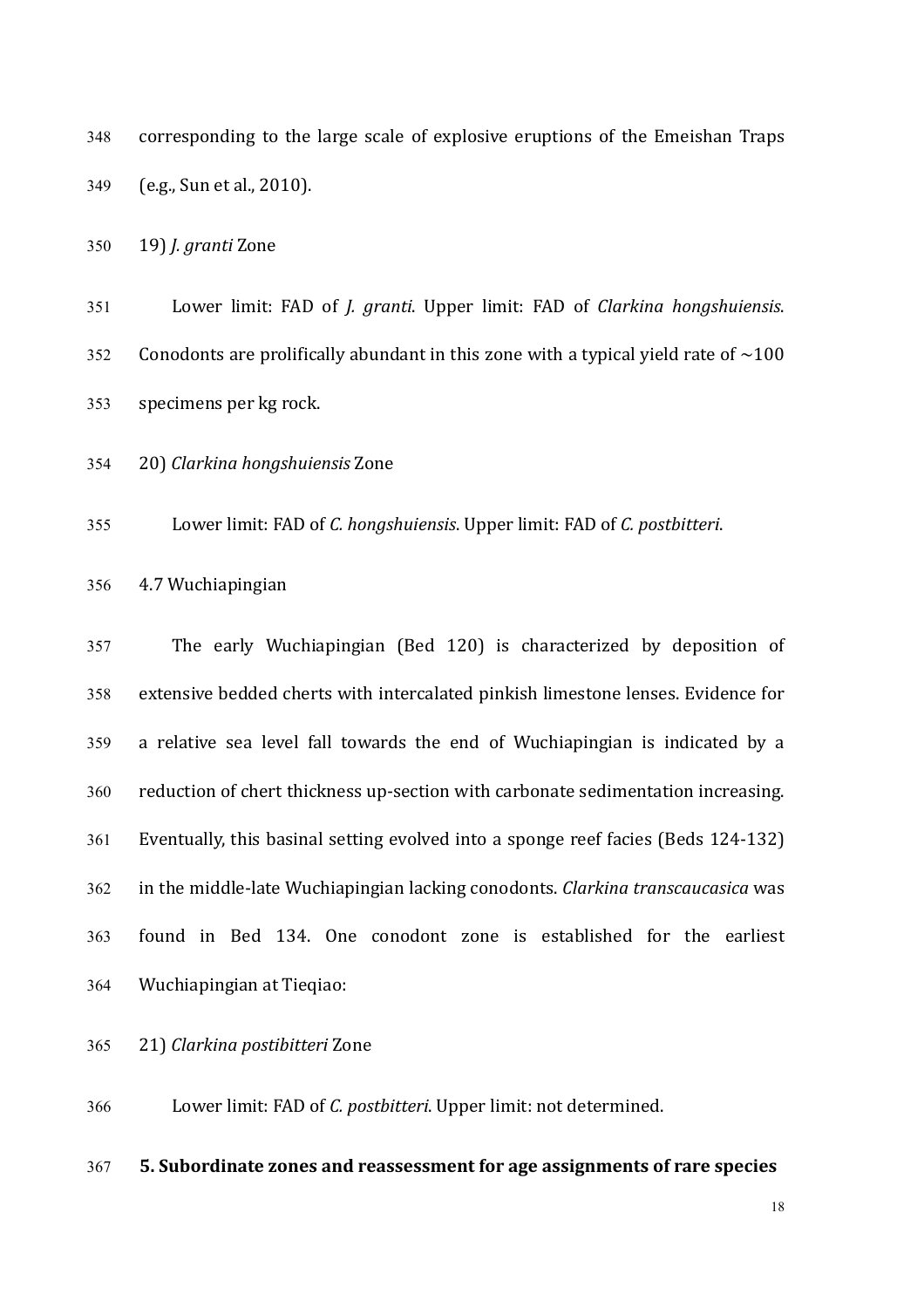348 corresponding to the large scale of explosive eruptions of the Emeishan Traps 349 (e.g., Sun et al., 2010).

350 19) *J. granti* Zone

351 Lower limit: FAD of *J. granti*. Upper limit: FAD of *Clarkina hongshuiensis*. 352 Conodonts are prolifically abundant in this zone with a typical yield rate of  $\sim$ 100 353 specimens per kg rock.

354 20) *Clarkina hongshuiensis* Zone

355 Lower limit: FAD of *C. hongshuiensis*. Upper limit: FAD of *C. postbitteri*.

356 4.7 Wuchiapingian

357 The early Wuchiapingian (Bed 120) is characterized by deposition of 358 extensive bedded cherts with intercalated pinkish limestone lenses. Evidence for 359 a relative sea level fall towards the end of Wuchiapingian is indicated by a 360 reduction of chert thickness up-section with carbonate sedimentation increasing. 361 Eventually, this basinal setting evolved into a sponge reef facies (Beds 124-132) 362 in the middle-late Wuchiapingian lacking conodonts. *Clarking transcaucasica* was 363 found in Bed 134. One conodont zone is established for the earliest 364 Wuchiapingian at Tieqiao:

365 21) *Clarkina postibitteri* Zone

366 Lower limit: FAD of *C. postbitteri*. Upper limit: not determined.

367 **5. Subordinate zones and reassessment for age assignments of rare species**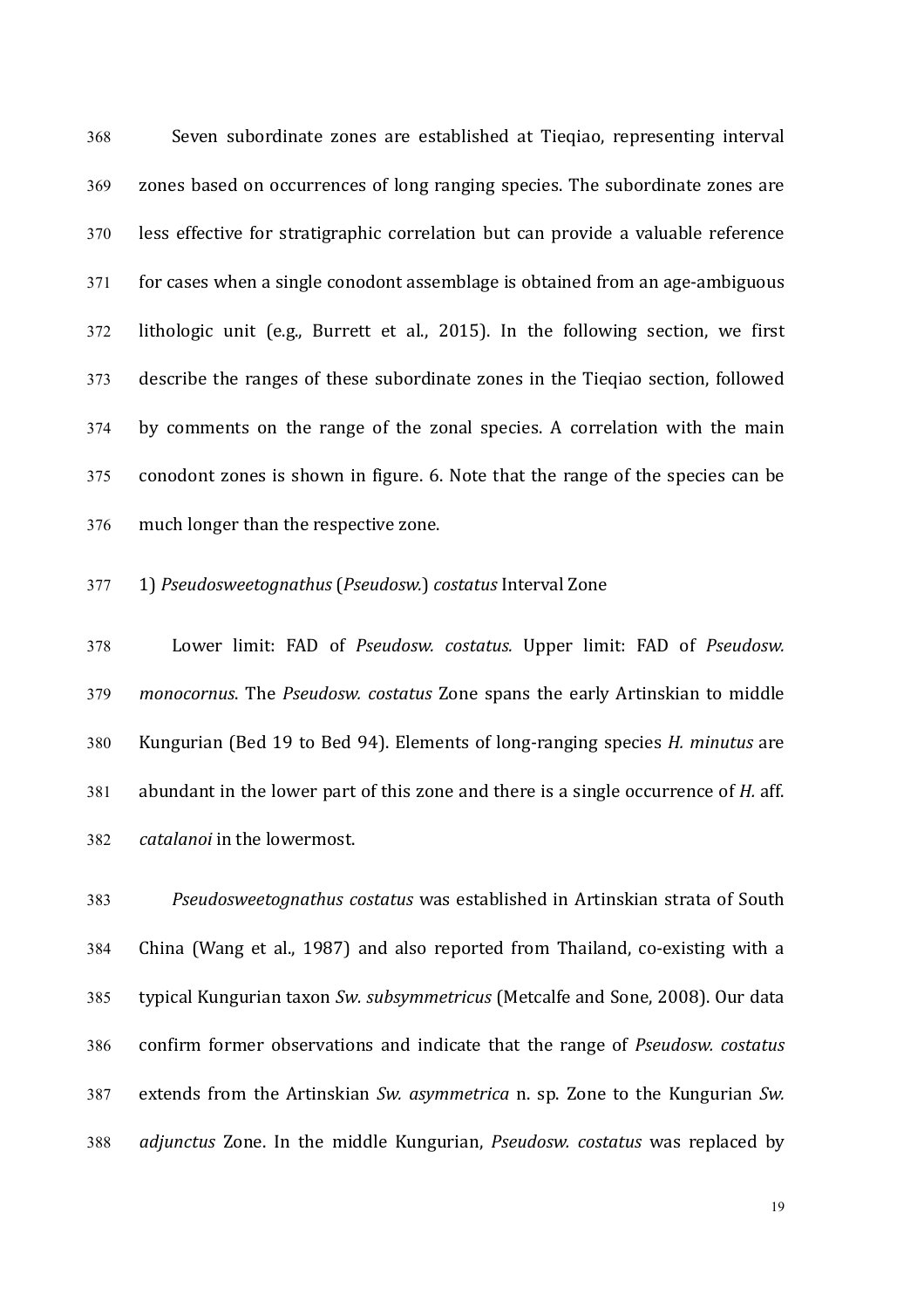368 Seven subordinate zones are established at Tieqiao, representing interval 369 zones based on occurrences of long ranging species. The subordinate zones are 370 less effective for stratigraphic correlation but can provide a valuable reference 371 for cases when a single conodont assemblage is obtained from an age-ambiguous 372 lithologic unit (e.g., Burrett et al., 2015). In the following section, we first 373 describe the ranges of these subordinate zones in the Tieqiao section, followed 374 by comments on the range of the zonal species. A correlation with the main 375 conodont zones is shown in figure. 6. Note that the range of the species can be 376 much longer than the respective zone.

# 377 1) *Pseudosweetognathus* (*Pseudosw.*) *costatus* Interval Zone

378 Lower limit: FAD of *Pseudosw. costatus.* Upper limit: FAD of *Pseudosw.* 379 *monocornus*. The *Pseudosw. costatus* Zone spans the early Artinskian to middle 380 Kungurian (Bed 19 to Bed 94). Elements of long-ranging species *H. minutus* are 381 abundant in the lower part of this zone and there is a single occurrence of *H.* aff. 382 *catalanoi* in the lowermost.

383 *Pseudosweetognathus costatus* was established in Artinskian strata of South 384 China (Wang et al., 1987) and also reported from Thailand, co-existing with a 385 typical Kungurian taxon *Sw. subsymmetricus* (Metcalfe and Sone, 2008). Our data 386 confirm former observations and indicate that the range of *Pseudosw. costatus* 387 extends from the Artinskian *Sw. asymmetrica* n. sp. Zone to the Kungurian *Sw.* 388 *adjunctus* Zone. In the middle Kungurian, *Pseudosw. costatus* was replaced by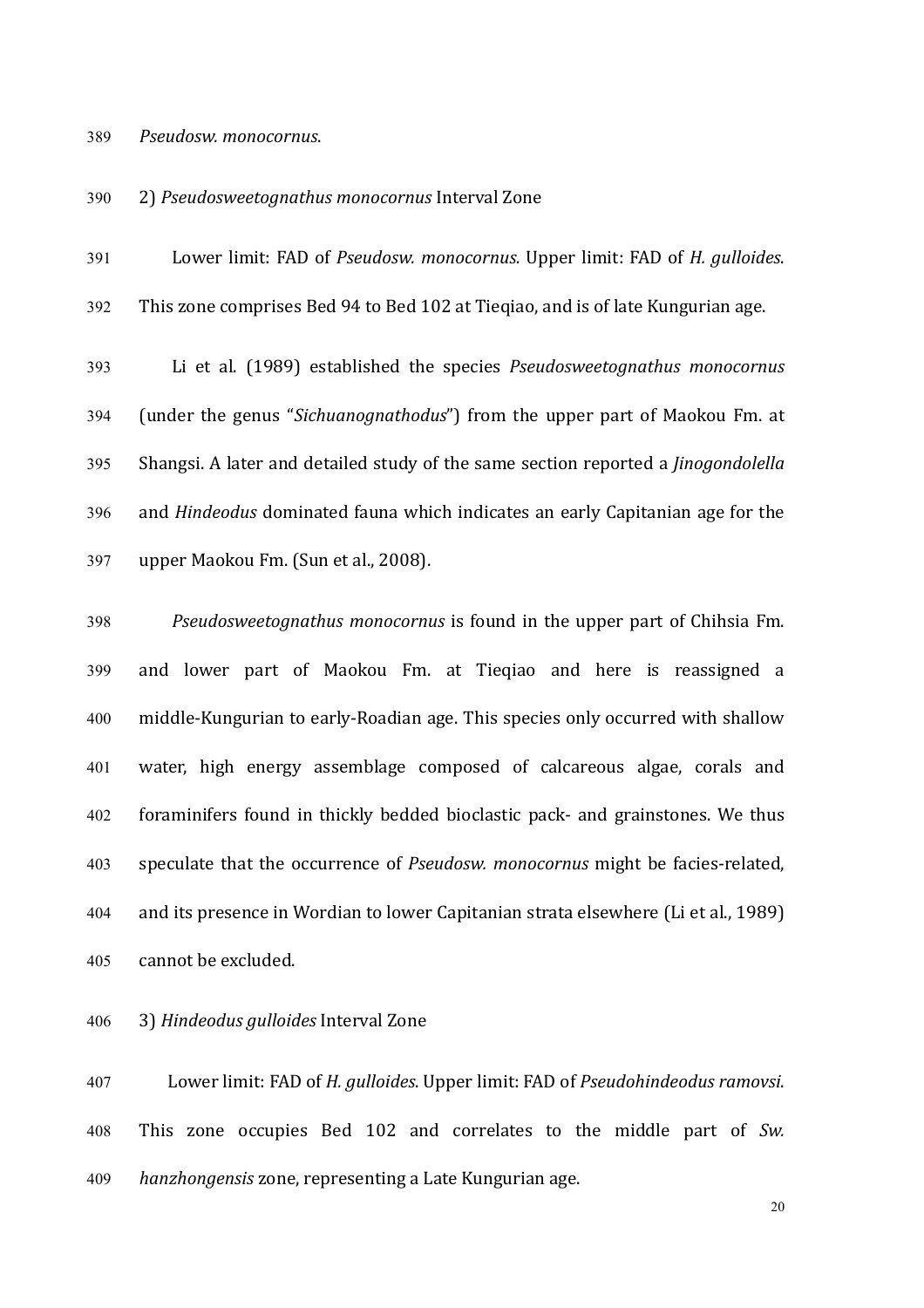#### 389 *Pseudosw. monocornus*.

## 390 2) *Pseudosweetognathus monocornus* Interval Zone

391 Lower limit: FAD of *Pseudosw. monocornus.* Upper limit: FAD of *H. gulloides.* 392 This zone comprises Bed 94 to Bed 102 at Tieqiao, and is of late Kungurian age.

393 Li et al. (1989) established the species *Pseudosweetognathus monocornus* 394 (under the genus "Sichuanognathodus") from the upper part of Maokou Fm. at 395 Shangsi. A later and detailed study of the same section reported a *Jinogondolella* 396 and *Hindeodus* dominated fauna which indicates an early Capitanian age for the 397 upper Maokou Fm. (Sun et al., 2008).

398 *Pseudosweetognathus monocornus* is found in the upper part of Chihsia Fm. 399 and lower part of Maokou Fm. at Tieqiao and here is reassigned a 400 middle-Kungurian to early-Roadian age. This species only occurred with shallow 401 water, high energy assemblage composed of calcareous algae, corals and 402 foraminifers found in thickly bedded bioclastic pack- and grainstones. We thus 403 speculate that the occurrence of *Pseudosw. monocornus* might be facies-related, 404 and its presence in Wordian to lower Capitanian strata elsewhere (Li et al., 1989) 405 cannot be excluded.

## 406 3) *Hindeodus gulloides* Interval Zone

407 Lower limit: FAD of *H. gulloides*. Upper limit: FAD of *Pseudohindeodus ramovsi*. 408 This zone occupies Bed 102 and correlates to the middle part of Sw. 409 *hanzhongensis* zone, representing a Late Kungurian age.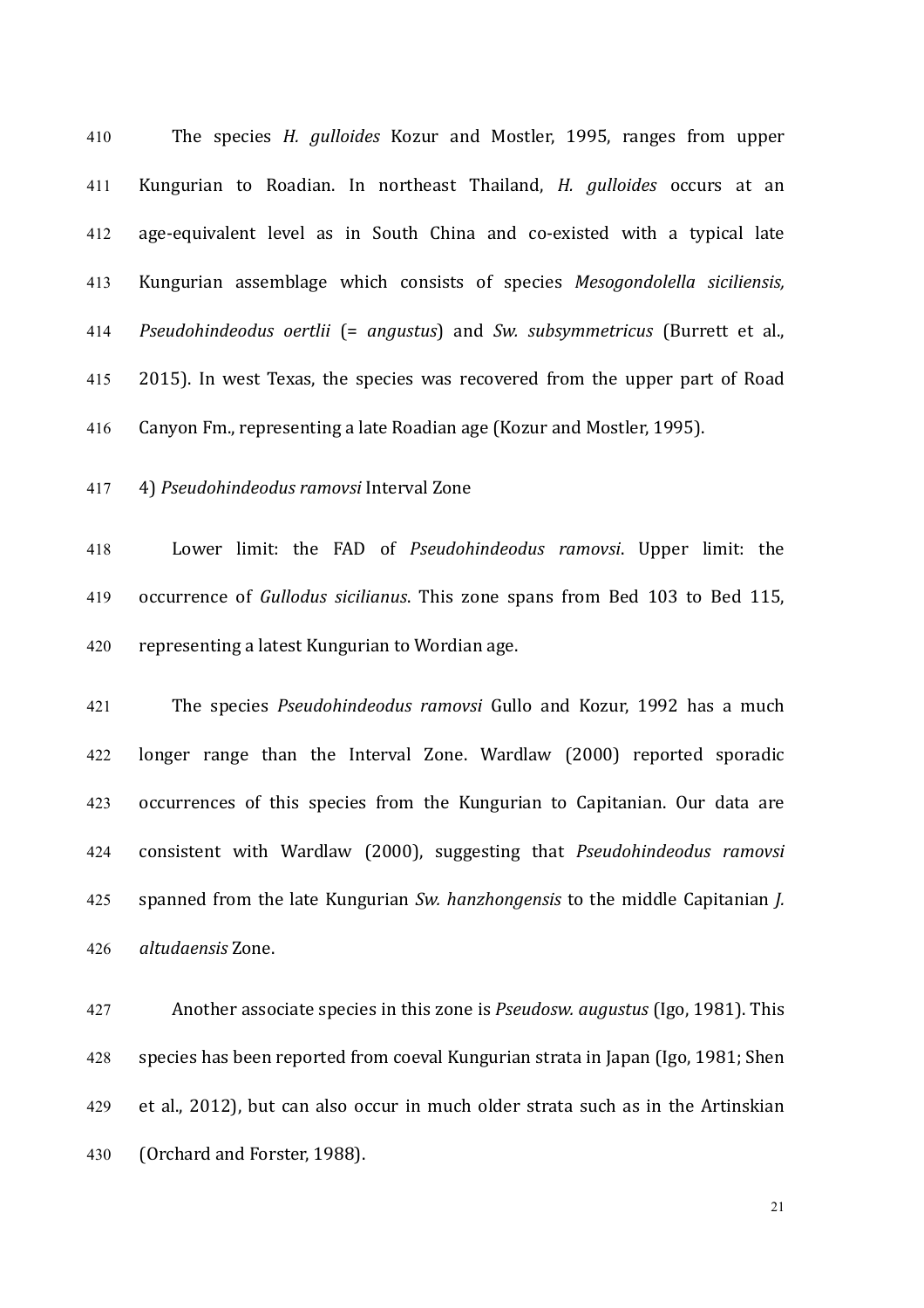410 The species *H. gulloides* Kozur and Mostler, 1995, ranges from upper 411 Kungurian to Roadian. In northeast Thailand, *H. gulloides*  occurs at an 412 age-equivalent level as in South China and co-existed with a typical late 413 Kungurian assemblage which consists of species *Mesogondolella siciliensis,*  414 *Pseudohindeodus oertlii* (= *angustus*) and *Sw. subsymmetricus* (Burrett et al., 415 2015). In west Texas, the species was recovered from the upper part of Road 416 Canyon Fm., representing a late Roadian age (Kozur and Mostler, 1995).

417 4) *Pseudohindeodus ramovsi* Interval Zone

418 Lower limit: the FAD of *Pseudohindeodus ramovsi*. Upper limit: the 419 occurrence of *Gullodus sicilianus*. This zone spans from Bed 103 to Bed 115, 420 representing a latest Kungurian to Wordian age.

421 The species *Pseudohindeodus ramovsi* Gullo and Kozur, 1992 has a much 422 longer range than the Interval Zone. Wardlaw (2000) reported sporadic 423 occurrences of this species from the Kungurian to Capitanian. Our data are 424 consistent with Wardlaw (2000), suggesting that *Pseudohindeodus ramovsi* 425 spanned from the late Kungurian *Sw. hanzhongensis* to the middle Capitanian *J.* 426 *altudaensis* Zone.

427 Another associate species in this zone is *Pseudosw. augustus* (Igo, 1981). This 428 species has been reported from coeval Kungurian strata in Japan (Igo, 1981; Shen 429 et al., 2012), but can also occur in much older strata such as in the Artinskian 430 (Orchard and Forster, 1988).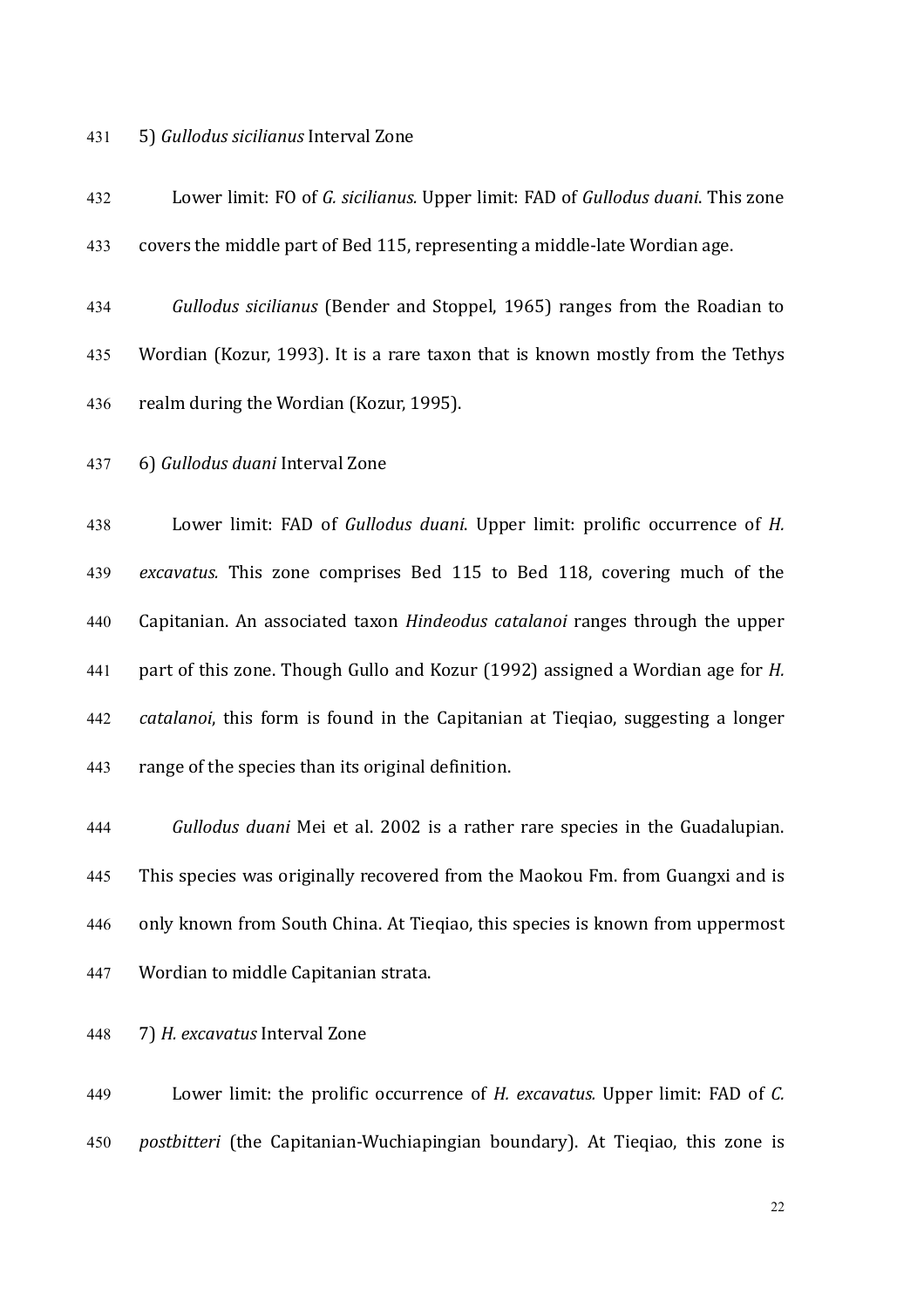### 431 5) *Gullodus sicilianus* Interval Zone

432 Lower limit: FO of *G. sicilianus.* Upper limit: FAD of *Gullodus duani*. This zone 433 covers the middle part of Bed 115, representing a middle-late Wordian age. 434 *Gullodus sicilianus* (Bender and Stoppel, 1965) ranges from the Roadian to 435 Wordian (Kozur, 1993). It is a rare taxon that is known mostly from the Tethys 436 realm during the Wordian (Kozur, 1995). 437 6) *Gullodus duani* Interval Zone 438 Lower limit: FAD of *Gullodus duani*. Upper limit: prolific occurrence of *H.* 439 *excavatus.*  This zone comprises Bed 115 to Bed 118, covering much of the 440 Capitanian. An associated taxon *Hindeodus catalanoi* ranges through the upper 441 part of this zone. Though Gullo and Kozur (1992) assigned a Wordian age for *H.* 442 *catalanoi*, this form is found in the Capitanian at Tieqiao, suggesting a longer 443 range of the species than its original definition.

444 **Gullodus duani Mei et al. 2002** is a rather rare species in the Guadalupian. 445 This species was originally recovered from the Maokou Fm. from Guangxi and is 446 only known from South China. At Tieqiao, this species is known from uppermost 447 Wordian to middle Capitanian strata.

448 7) *H. excavatus* Interval Zone

449 Lower limit: the prolific occurrence of *H. excavatus.* Upper limit: FAD of *C.* 450 *postbitteri* (the Capitanian-Wuchiapingian boundary). At Tieqiao, this zone is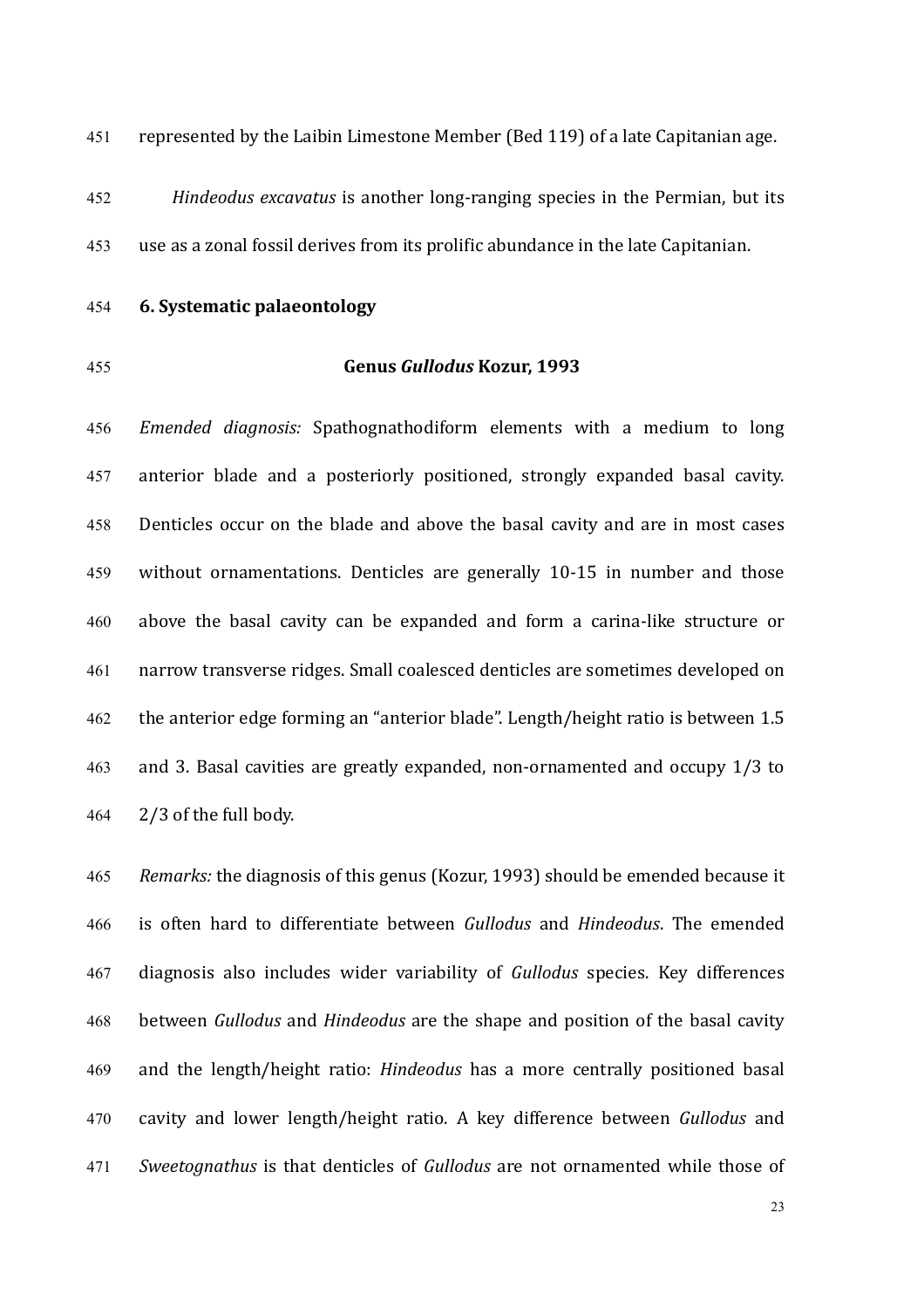451 represented by the Laibin Limestone Member (Bed 119) of a late Capitanian age.

452 *Hindeodus excavatus* is another long-ranging species in the Permian, but its 453 use as a zonal fossil derives from its prolific abundance in the late Capitanian.

# 454 **6. Systematic palaeontology**

# 455 **Genus** *Gullodus* **Kozur, 1993**

456 *Emended diagnosis:*  Spathognathodiform elements with a medium to long 457 anterior blade and a posteriorly positioned, strongly expanded basal cavity. 458 Denticles occur on the blade and above the basal cavity and are in most cases 459 without ornamentations. Denticles are generally 10-15 in number and those 460 above the basal cavity can be expanded and form a carina-like structure or 461 narrow transverse ridges. Small coalesced denticles are sometimes developed on 462 the anterior edge forming an "anterior blade". Length/height ratio is between 1.5 463 and 3. Basal cavities are greatly expanded, non-ornamented and occupy  $1/3$  to  $464$   $2/3$  of the full body.

465 Remarks: the diagnosis of this genus (Kozur, 1993) should be emended because it 466 is often hard to differentiate between *Gullodus* and *Hindeodus*. The emended 467 diagnosis also includes wider variability of *Gullodus* species. Key differences 468 between *Gullodus* and *Hindeodus* are the shape and position of the basal cavity 469 and the length/height ratio: *Hindeodus* has a more centrally positioned basal 470 cavity and lower length/height ratio. A key difference between *Gullodus*  and 471 *Sweetognathus* is that denticles of *Gullodus* are not ornamented while those of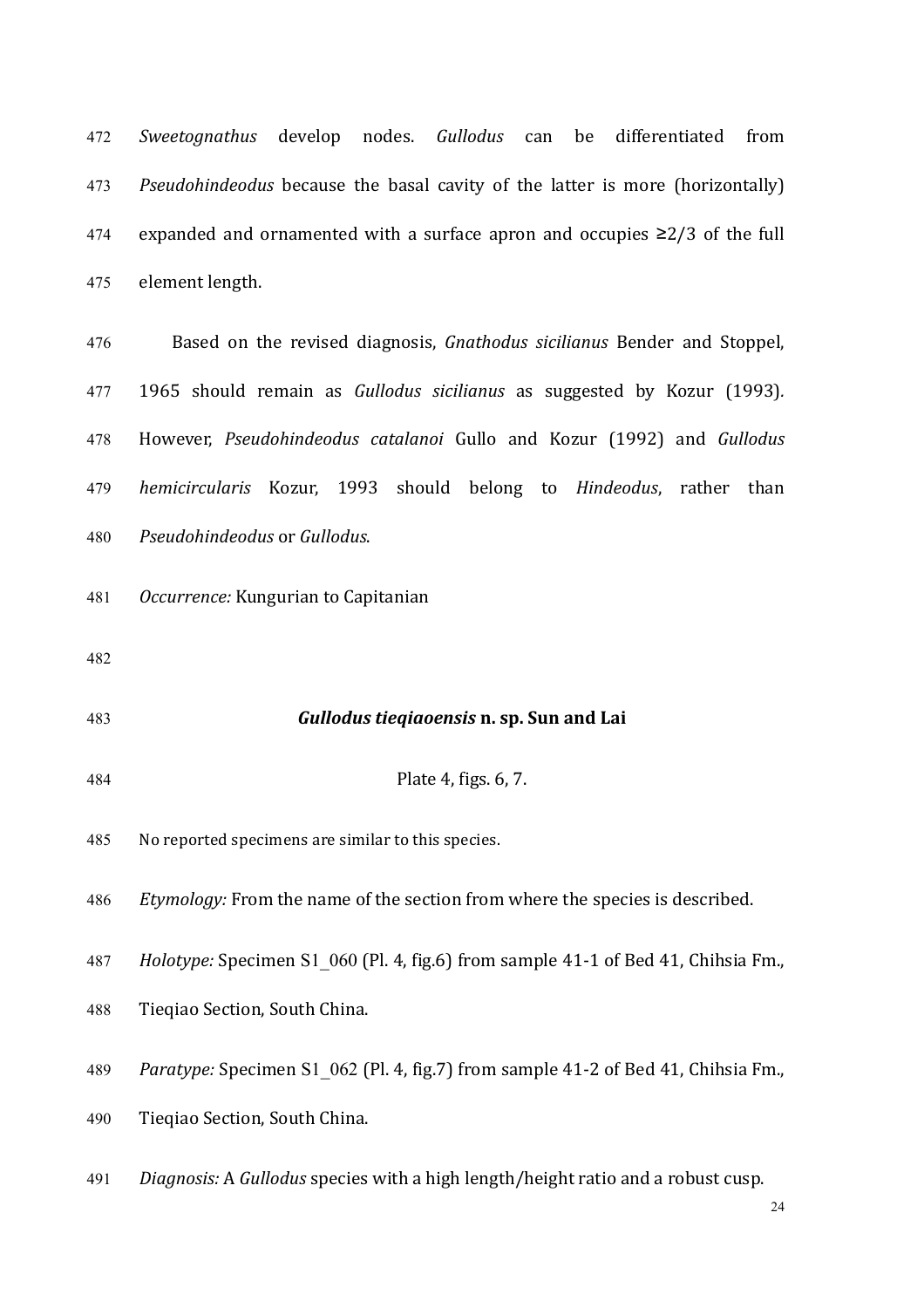*Sweetognathus* develop nodes. *Gullodus* can be differentiated from *Pseudohindeodus* because the basal cavity of the latter is more (horizontally) 474 expanded and ornamented with a surface apron and occupies  $\geq$  2/3 of the full element length.

 Based on the revised diagnosis, *Gnathodus sicilianus*  Bender and Stoppel, 1965 should remain as *Gullodus sicilianus* as suggested by Kozur (1993)*.* However, *Pseudohindeodus catalanoi* Gullo and Kozur (1992) and *Gullodus hemicircularis* Kozur, 1993 should belong to *Hindeodus*, rather than *Pseudohindeodus* or *Gullodus*.

- *Occurrence:* Kungurian to Capitanian
- 
- *Gullodus tieqiaoensis* **n. sp. Sun and Lai**
- **Plate 4, figs. 6, 7.**

485 No reported specimens are similar to this species.

*Etymology:* From the name of the section from where the species is described.

- *Holotype:* Specimen S1 060 (Pl. 4, fig.6) from sample 41-1 of Bed 41, Chihsia Fm.,
- 488 Tieqiao Section, South China.

*Paratype:* Specimen S1 062 (Pl. 4, fig.7) from sample 41-2 of Bed 41, Chihsia Fm.,

- 490 Tieqiao Section, South China.
- *Diagnosis:* A *Gullodus* species with a high length/height ratio and a robust cusp.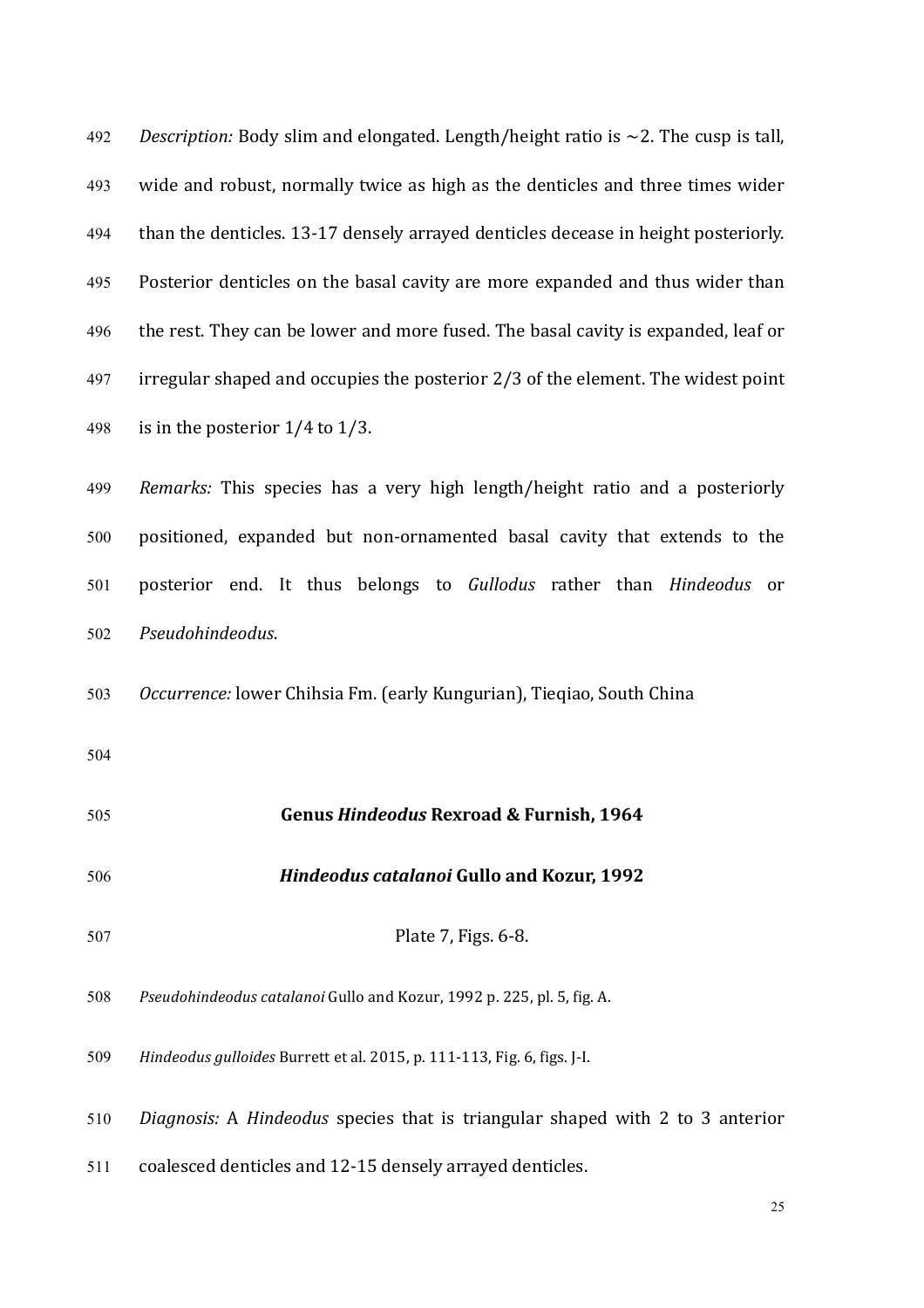| 492 | Description: Body slim and elongated. Length/height ratio is $\sim$ 2. The cusp is tall, |
|-----|------------------------------------------------------------------------------------------|
| 493 | wide and robust, normally twice as high as the denticles and three times wider           |
| 494 | than the denticles. 13-17 densely arrayed denticles decease in height posteriorly.       |
| 495 | Posterior denticles on the basal cavity are more expanded and thus wider than            |
| 496 | the rest. They can be lower and more fused. The basal cavity is expanded, leaf or        |
| 497 | irregular shaped and occupies the posterior 2/3 of the element. The widest point         |
| 498 | is in the posterior $1/4$ to $1/3$ .                                                     |
| 499 | Remarks: This species has a very high length/height ratio and a posteriorly              |
| 500 | positioned, expanded but non-ornamented basal cavity that extends to the                 |
| 501 | posterior end. It thus belongs to Gullodus rather than Hindeodus or                      |
| 502 | Pseudohindeodus.                                                                         |
| 503 | Occurrence: lower Chihsia Fm. (early Kungurian), Tieqiao, South China                    |
| 504 |                                                                                          |
| 505 | <b>Genus Hindeodus Rexroad &amp; Furnish, 1964</b>                                       |
| 506 | <b>Hindeodus catalanoi Gullo and Kozur, 1992</b>                                         |
| 507 | Plate 7, Figs. 6-8.                                                                      |
| 508 | Pseudohindeodus catalanoi Gullo and Kozur, 1992 p. 225, pl. 5, fig. A.                   |
| 509 | Hindeodus gulloides Burrett et al. 2015, p. 111-113, Fig. 6, figs. J-I.                  |
| 510 | Diagnosis: A Hindeodus species that is triangular shaped with 2 to 3 anterior            |
| 511 | coalesced denticles and 12-15 densely arrayed denticles.                                 |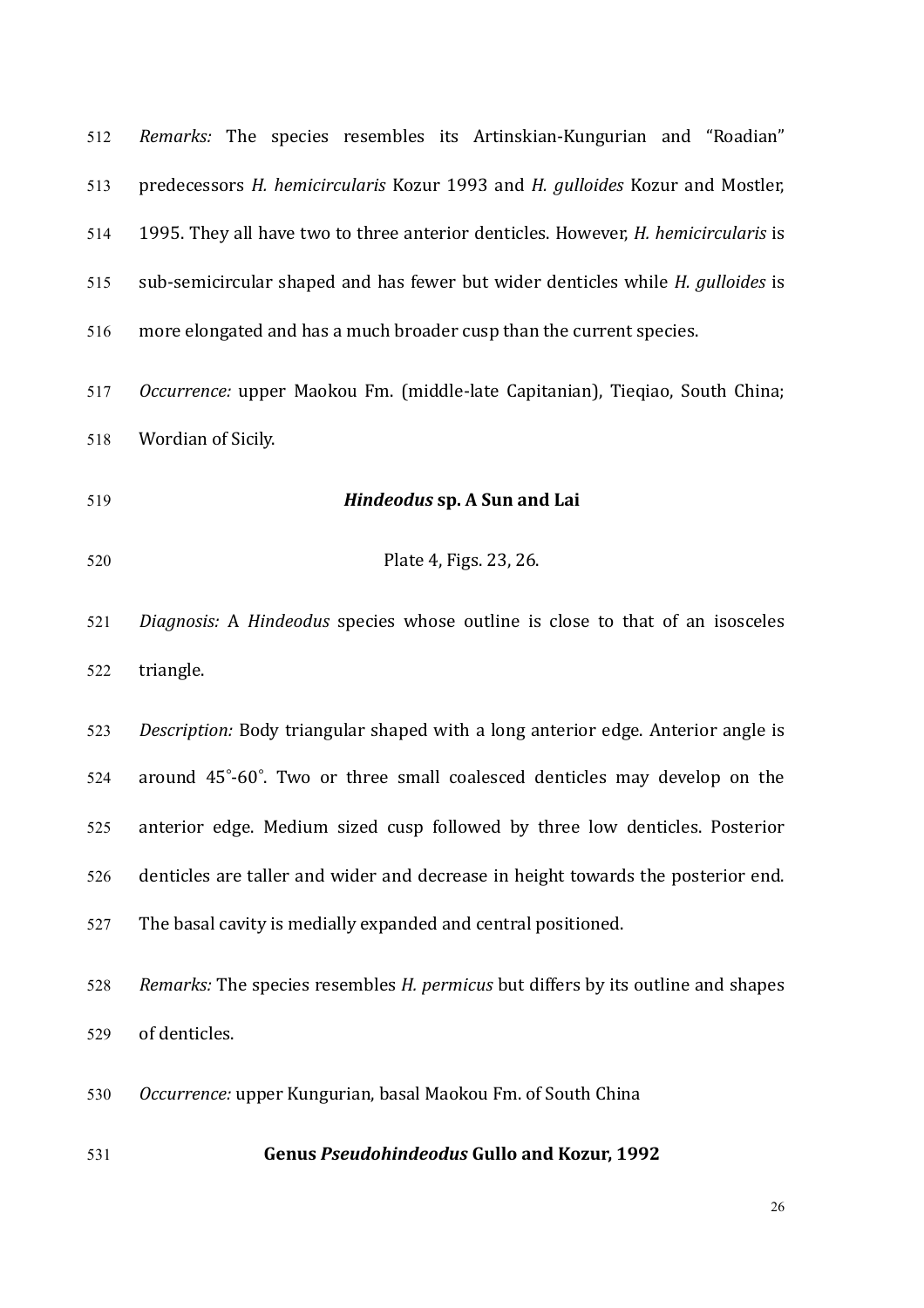| 512 | Remarks: The species resembles its Artinskian-Kungurian and "Roadian"                     |
|-----|-------------------------------------------------------------------------------------------|
| 513 | predecessors H. hemicircularis Kozur 1993 and H. gulloides Kozur and Mostler,             |
| 514 | 1995. They all have two to three anterior denticles. However, <i>H. hemicircularis</i> is |
| 515 | sub-semicircular shaped and has fewer but wider denticles while H. gulloides is           |
| 516 | more elongated and has a much broader cusp than the current species.                      |
| 517 | Occurrence: upper Maokou Fm. (middle-late Capitanian), Tieqiao, South China;              |
| 518 | Wordian of Sicily.                                                                        |
| 519 | Hindeodus sp. A Sun and Lai                                                               |
| 520 | Plate 4, Figs. 23, 26.                                                                    |
| 521 | Diagnosis: A Hindeodus species whose outline is close to that of an isosceles             |
| 522 | triangle.                                                                                 |
| 523 | Description: Body triangular shaped with a long anterior edge. Anterior angle is          |
| 524 | around 45°-60°. Two or three small coalesced denticles may develop on the                 |
| 525 | anterior edge. Medium sized cusp followed by three low denticles. Posterior               |
| 526 | denticles are taller and wider and decrease in height towards the posterior end.          |
| 527 | The basal cavity is medially expanded and central positioned.                             |
| 528 | Remarks: The species resembles H. permicus but differs by its outline and shapes          |
| 529 | of denticles.                                                                             |
| 530 | Occurrence: upper Kungurian, basal Maokou Fm. of South China                              |
| 531 | <b>Genus Pseudohindeodus Gullo and Kozur, 1992</b>                                        |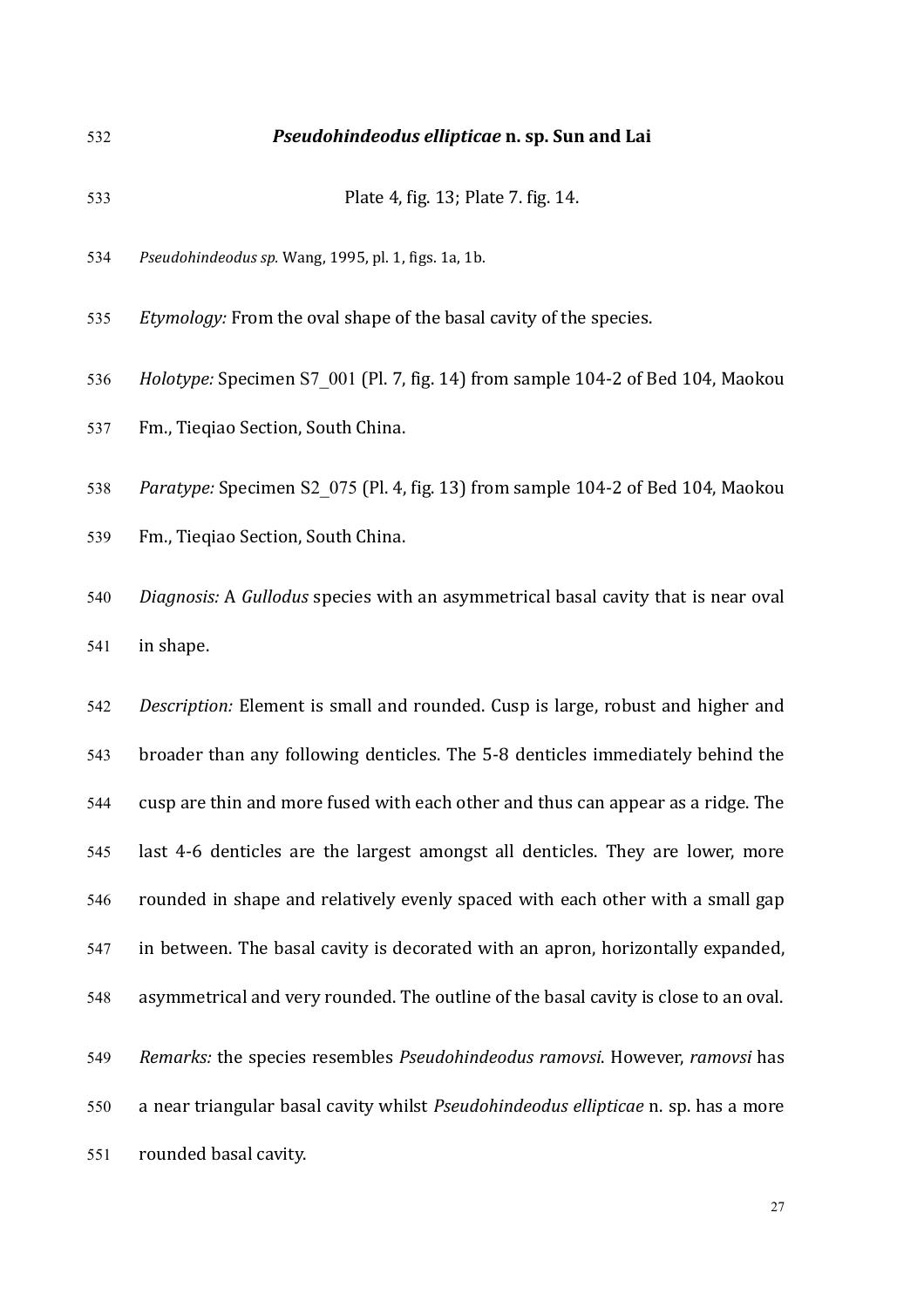532 *Pseudohindeodus ellipticae* **n. sp. Sun and Lai** 533 **Plate 4. fig. 13: Plate 7. fig. 14.** 534 Pseudohindeodus sp. Wang, 1995, pl. 1, figs. 1a, 1b.

535 *Etymology:* From the oval shape of the basal cavity of the species.

536 Holotype: Specimen S7 001 (Pl. 7, fig. 14) from sample 104-2 of Bed 104, Maokou

537 Fm., Tieqiao Section, South China.

538 Paratype: Specimen S2 075 (Pl. 4, fig. 13) from sample 104-2 of Bed 104, Maokou

539 Fm., Tieqiao Section, South China.

540 *Diagnosis:* A *Gullodus* species with an asymmetrical basal cavity that is near oval 541 in shape.

542 *Description:* Element is small and rounded. Cusp is large, robust and higher and 543 broader than any following denticles. The 5-8 denticles immediately behind the 544 cusp are thin and more fused with each other and thus can appear as a ridge. The 545 last 4-6 denticles are the largest amongst all denticles. They are lower, more  $546$  rounded in shape and relatively evenly spaced with each other with a small gap 547 in between. The basal cavity is decorated with an apron, horizontally expanded, 548 asymmetrical and very rounded. The outline of the basal cavity is close to an oval. 549 Remarks: the species resembles *Pseudohindeodus ramovsi*. However, *ramovsi* has 550 a near triangular basal cavity whilst *Pseudohindeodus ellipticae* n. sp. has a more 551 rounded basal cavity.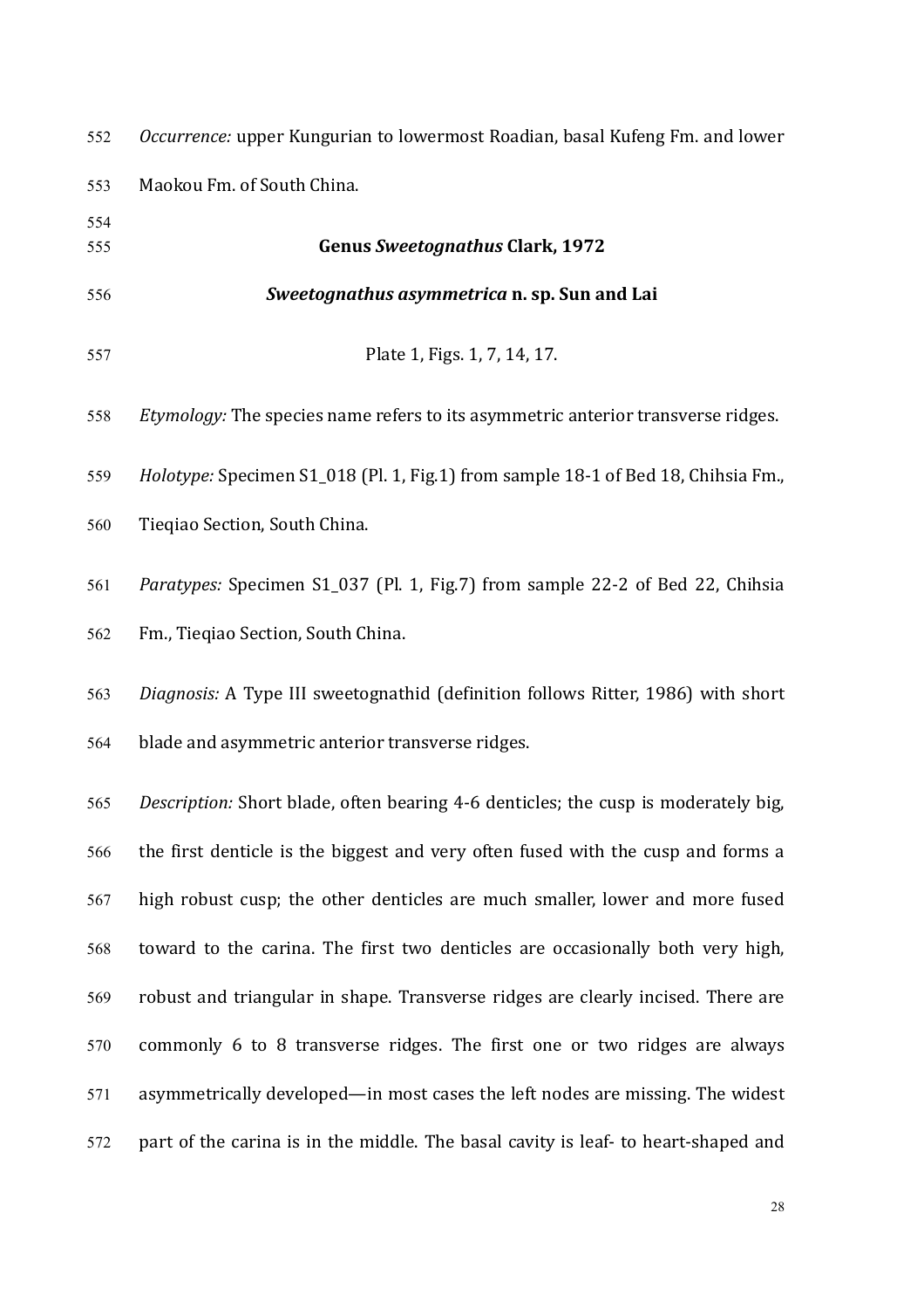| 552 | Occurrence: upper Kungurian to lowermost Roadian, basal Kufeng Fm. and lower       |
|-----|------------------------------------------------------------------------------------|
| 553 | Maokou Fm. of South China.                                                         |
| 554 |                                                                                    |
| 555 | <b>Genus Sweetognathus Clark, 1972</b>                                             |
| 556 | Sweetognathus asymmetrica n. sp. Sun and Lai                                       |
| 557 | Plate 1, Figs. 1, 7, 14, 17.                                                       |
| 558 | Etymology: The species name refers to its asymmetric anterior transverse ridges.   |
| 559 | Holotype: Specimen S1_018 (Pl. 1, Fig.1) from sample 18-1 of Bed 18, Chihsia Fm.,  |
| 560 | Tieqiao Section, South China.                                                      |
| 561 | Paratypes: Specimen S1_037 (Pl. 1, Fig.7) from sample 22-2 of Bed 22, Chihsia      |
| 562 | Fm., Tieqiao Section, South China.                                                 |
| 563 | Diagnosis: A Type III sweetognathid (definition follows Ritter, 1986) with short   |
| 564 | blade and asymmetric anterior transverse ridges.                                   |
| 565 | Description: Short blade, often bearing 4-6 denticles; the cusp is moderately big, |
| 566 | the first denticle is the biggest and very often fused with the cusp and forms a   |
| 567 | high robust cusp; the other denticles are much smaller, lower and more fused       |
| 568 | toward to the carina. The first two denticles are occasionally both very high,     |
| 569 | robust and triangular in shape. Transverse ridges are clearly incised. There are   |
| 570 | commonly 6 to 8 transverse ridges. The first one or two ridges are always          |
| 571 | asymmetrically developed—in most cases the left nodes are missing. The widest      |
| 572 | part of the carina is in the middle. The basal cavity is leaf- to heart-shaped and |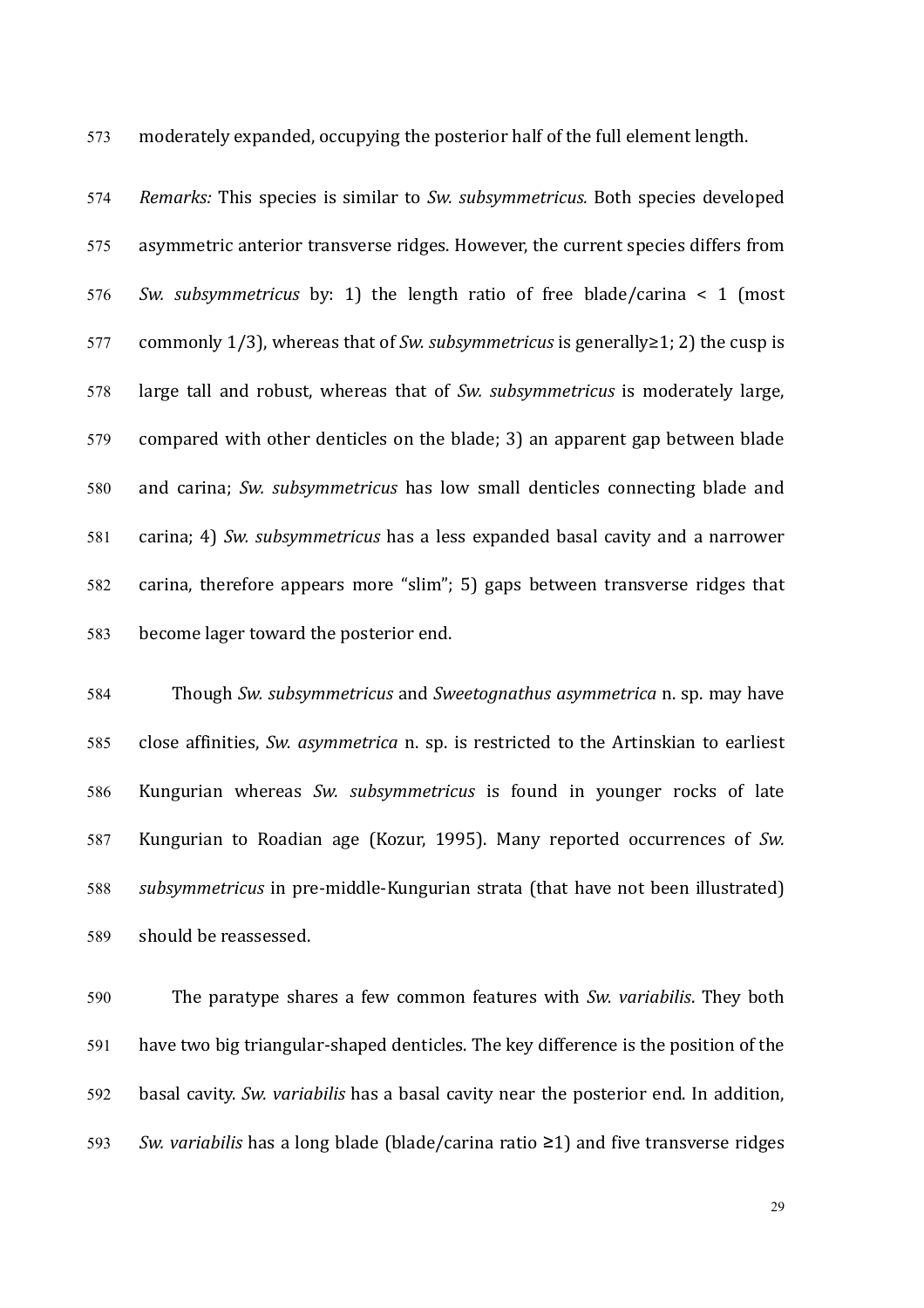573 moderately expanded, occupying the posterior half of the full element length.

574 Remarks: This species is similar to *Sw. subsymmetricus.* Both species developed 575 asymmetric anterior transverse ridges. However, the current species differs from 576 *Sw. subsymmetricus* by: 1) the length ratio of free blade/carina < 1 (most 577 commonly  $1/3$ , whereas that of *Sw. subsymmetricus* is generally  $\geq$  1; 2) the cusp is 578 large tall and robust, whereas that of *Sw. subsymmetricus* is moderately large, 579 compared with other denticles on the blade; 3) an apparent gap between blade 580 and carina; *Sw. subsymmetricus* has low small denticles connecting blade and 581 carina: 4) *Sw. subsymmetricus* has a less expanded basal cavity and a narrower 582 carina, therefore appears more "slim"; 5) gaps between transverse ridges that 583 become lager toward the posterior end.

584 Though *Sw.* subsymmetricus and *Sweetognathus asymmetrica* n. sp. may have 585 close affinities, *Sw. asymmetrica* n. sp. is restricted to the Artinskian to earliest 586 Kungurian whereas *Sw. subsymmetricus* is found in younger rocks of late 587 Kungurian to Roadian age (Kozur, 1995). Many reported occurrences of *Sw.*  588 *subsymmetricus* in pre-middle-Kungurian strata (that have not been illustrated) 589 should be reassessed.

590 The paratype shares a few common features with *Sw. variabilis*. They both  $591$  have two big triangular-shaped denticles. The key difference is the position of the 592 basal cavity. *Sw. variabilis* has a basal cavity near the posterior end. In addition, 593 Sw. variabilis has a long blade (blade/carina ratio  $\geq$ 1) and five transverse ridges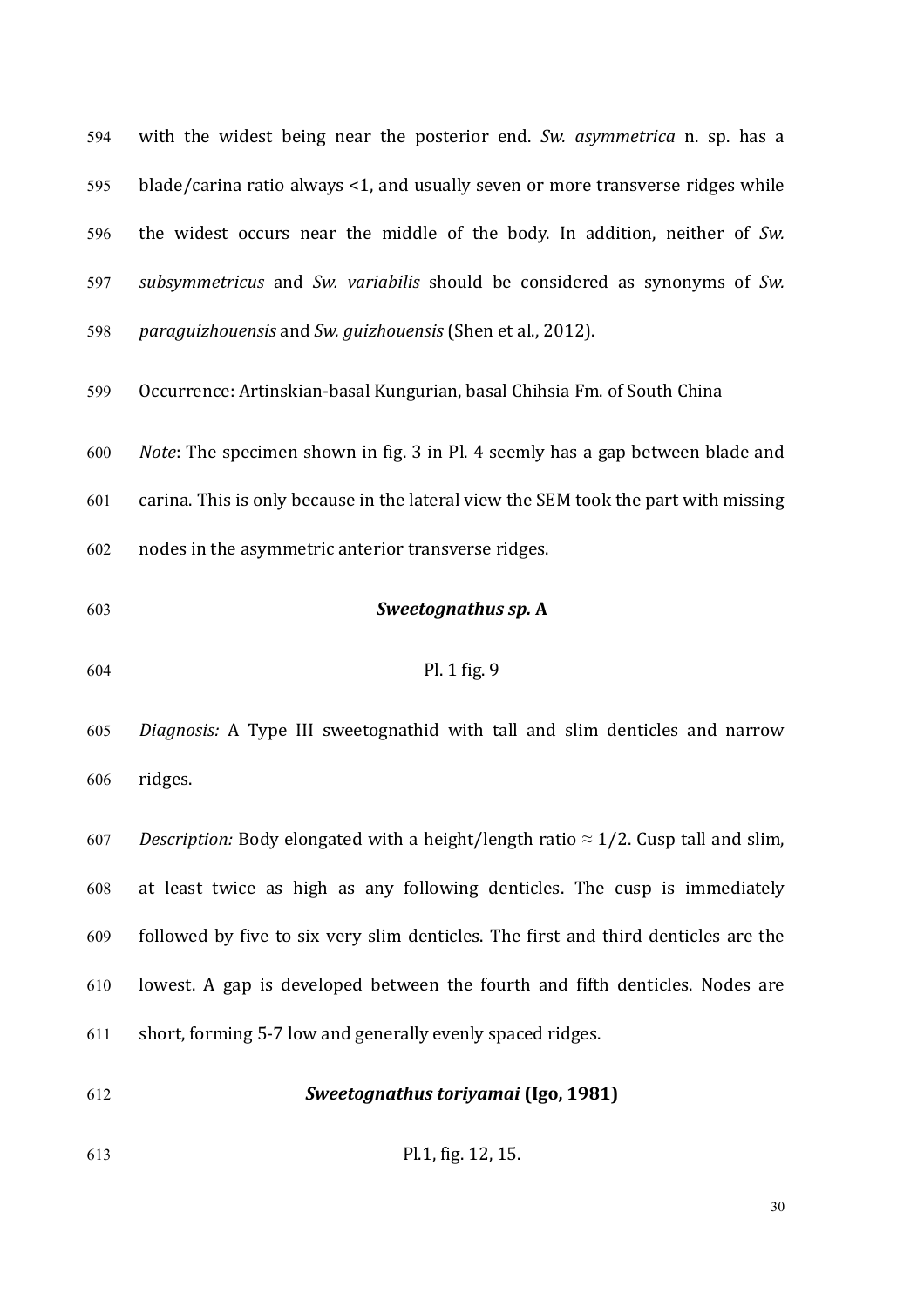594 with the widest being near the posterior end. Sw. asymmetrica n. sp. has a 595 blade/carina ratio always <1, and usually seven or more transverse ridges while 596 the widest occurs near the middle of the body. In addition, neither of *Sw.* 597 *subsymmetricus* and *Sw. variabilis* should be considered as synonyms of *Sw.* 598 *paraguizhouensis* and *Sw. guizhouensis* (Shen et al., 2012). 599 Occurrence: Artinskian-basal Kungurian, basal Chihsia Fm. of South China 600 *Note*: The specimen shown in fig. 3 in Pl. 4 seemly has a gap between blade and 601 carina. This is only because in the lateral view the SEM took the part with missing  $602$  nodes in the asymmetric anterior transverse ridges. 603 **Sweetognathus sp. A** 

605 *Diagnosis:* A Type III sweetognathid with tall and slim denticles and narrow 606 ridges.

607 *Description:* Body elongated with a height/length ratio  $\approx 1/2$ . Cusp tall and slim, 608 at least twice as high as any following denticles. The cusp is immediately 609 followed by five to six very slim denticles. The first and third denticles are the  $610$  lowest. A gap is developed between the fourth and fifth denticles. Nodes are  $611$  short, forming 5-7 low and generally evenly spaced ridges.

- 612 *Sweetognathus toriyamai* **(Igo, 1981)**
- 613 Pl.1, fig. 12, 15.

604 Pl. 1 fig. 9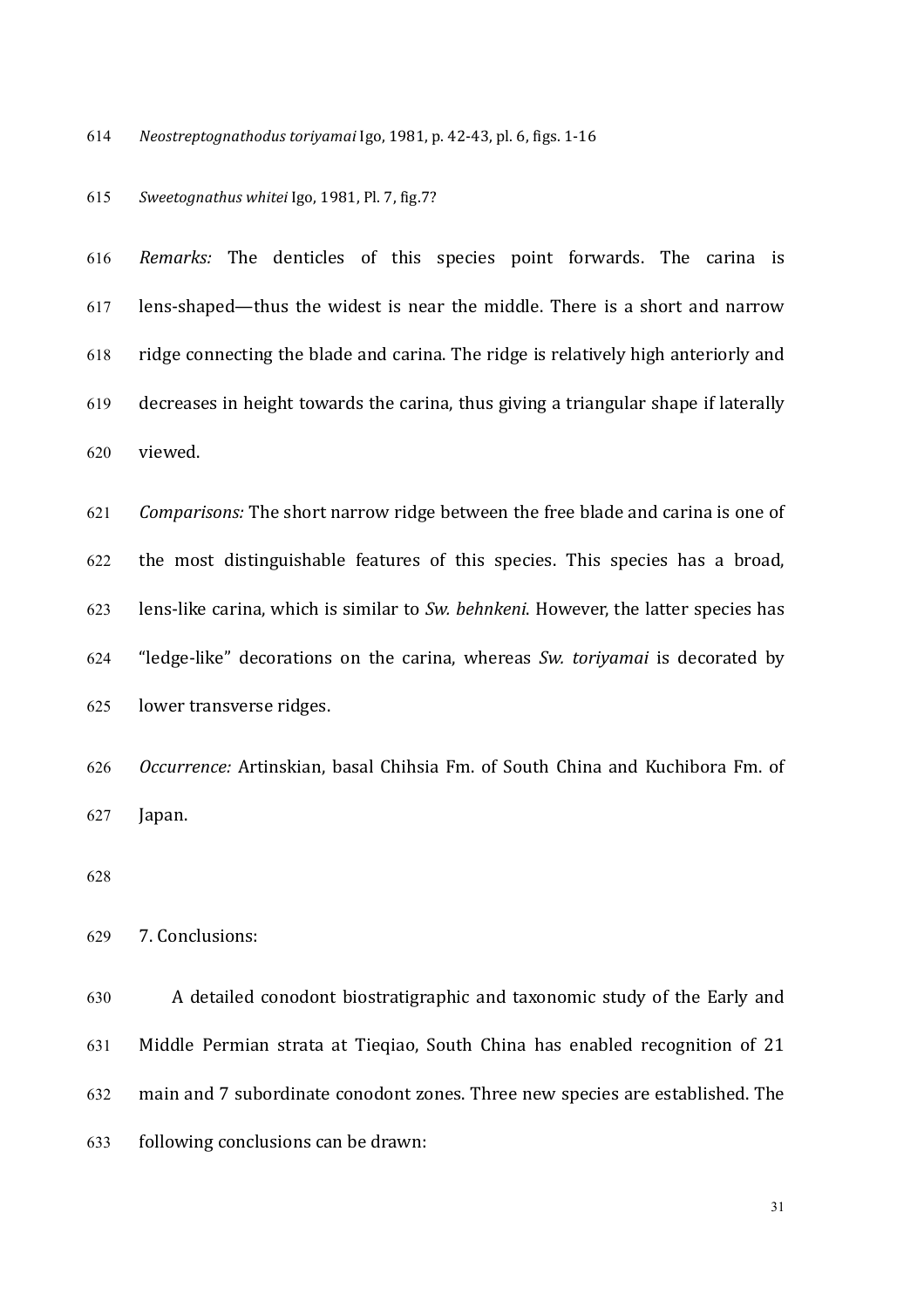614 Neostreptognathodus toriyamai Igo, 1981, p. 42-43, pl. 6, figs. 1-16

## *Sweetognathus whitei* Igo, 1981, Pl. 7, fig.7?

*Remarks:* The denticles of this species point forwards. The carina is lens-shaped—thus the widest is near the middle. There is a short and narrow ridge connecting the blade and carina. The ridge is relatively high anteriorly and decreases in height towards the carina, thus giving a triangular shape if laterally viewed. 

*Comparisons:* The short narrow ridge between the free blade and carina is one of 622 the most distinguishable features of this species. This species has a broad, 623 lens-like carina, which is similar to *Sw. behnkeni*. However, the latter species has "ledge-like" decorations on the carina, whereas *Sw. toriyamai* is decorated by 625 lower transverse ridges.

*Occurrence:* Artinskian, basal Chihsia Fm. of South China and Kuchibora Fm. of Japan.

## 629 7. Conclusions:

630 A detailed conodont biostratigraphic and taxonomic study of the Early and 631 Middle Permian strata at Tieqiao, South China has enabled recognition of 21 632 main and 7 subordinate conodont zones. Three new species are established. The following conclusions can be drawn: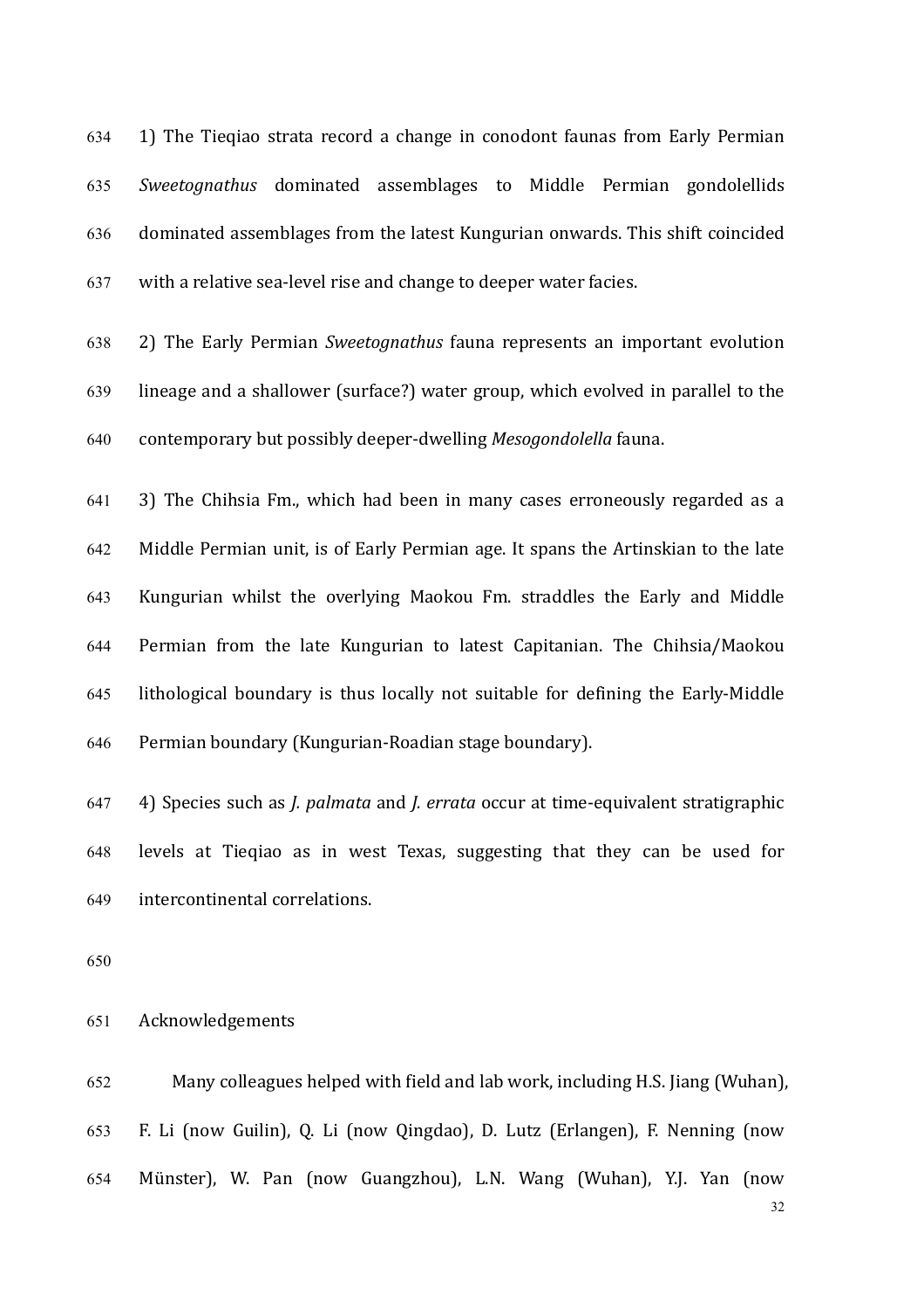634 1) The Tieqiao strata record a change in conodont faunas from Early Permian *Sweetognathus* dominated assemblages to Middle Permian gondolellids dominated assemblages from the latest Kungurian onwards. This shift coincided with a relative sea-level rise and change to deeper water facies.

638 2) The Early Permian *Sweetognathus* fauna represents an important evolution 639 lineage and a shallower (surface?) water group, which evolved in parallel to the 640 contemporary but possibly deeper-dwelling *Mesogondolella* fauna.

641 3) The Chihsia Fm., which had been in many cases erroneously regarded as a 642 Middle Permian unit, is of Early Permian age. It spans the Artinskian to the late  $643$  Kungurian whilst the overlying Maokou Fm. straddles the Early and Middle 644 Permian from the late Kungurian to latest Capitanian. The Chihsia/Maokou 645 lithological boundary is thus locally not suitable for defining the Early-Middle 646 Permian boundary (Kungurian-Roadian stage boundary).

647 4) Species such as *J. palmata* and *J. errata* occur at time-equivalent stratigraphic 648 levels at Tieqiao as in west Texas, suggesting that they can be used for 649 intercontinental correlations.

650

# 651 Acknowledgements

652 Many colleagues helped with field and lab work, including H.S. Jiang (Wuhan), 653 F. Li (now Guilin), Q. Li (now Qingdao), D. Lutz (Erlangen), F. Nenning (now 654 Münster), W. Pan (now Guangzhou), L.N. Wang (Wuhan), Y.J. Yan (now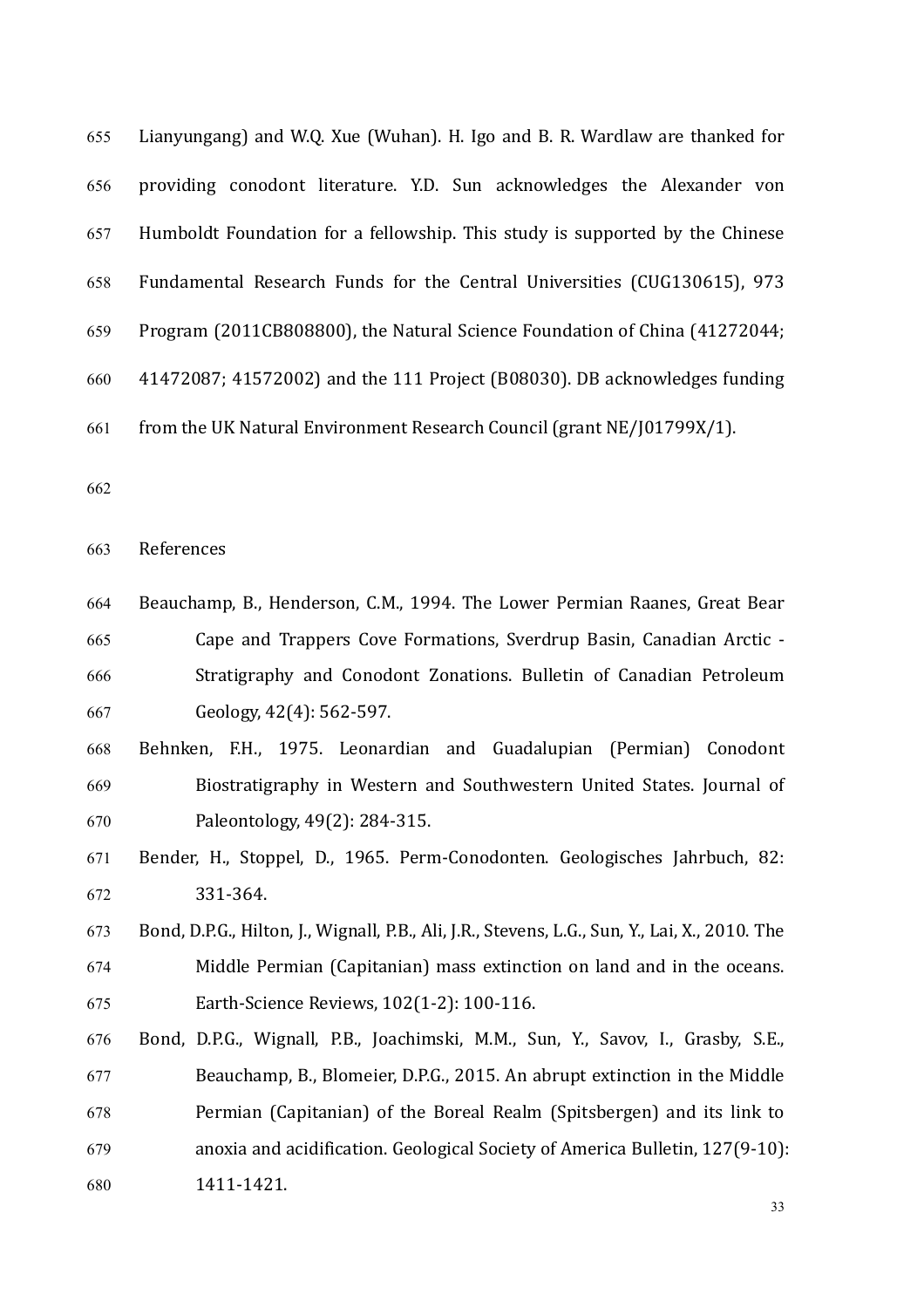| 655 | Lianyungang) and W.Q. Xue (Wuhan). H. Igo and B. R. Wardlaw are thanked for  |
|-----|------------------------------------------------------------------------------|
| 656 | providing conodont literature. Y.D. Sun acknowledges the Alexander von       |
| 657 | Humboldt Foundation for a fellowship. This study is supported by the Chinese |
| 658 | Fundamental Research Funds for the Central Universities (CUG130615), 973     |
| 659 | Program (2011CB808800), the Natural Science Foundation of China (41272044;   |
| 660 | 41472087; 41572002) and the 111 Project (B08030). DB acknowledges funding    |
| 661 | from the UK Natural Environment Research Council (grant NE/J01799X/1).       |
| 662 |                                                                              |
| 663 | References                                                                   |
| 664 | Beauchamp, B., Henderson, C.M., 1994. The Lower Permian Raanes, Great Bear   |
| 665 | Cape and Trappers Cove Formations, Sverdrup Basin, Canadian Arctic -         |
| 666 | Stratigraphy and Conodont Zonations. Bulletin of Canadian Petroleum          |

667 Geology,  $42(4)$ : 562-597.

# Behnken, F.H., 1975. Leonardian and Guadalupian (Permian) Conodont 669 Biostratigraphy in Western and Southwestern United States. Journal of 670 Paleontology, 49(2): 284-315.

- 671 Bender, H., Stoppel, D., 1965. Perm-Conodonten. Geologisches Jahrbuch, 82: 331-364.
- 673 Bond, D.P.G., Hilton, J., Wignall, P.B., Ali, J.R., Stevens, L.G., Sun, Y., Lai, X., 2010. The 674 Middle Permian (Capitanian) mass extinction on land and in the oceans. **Earth-Science Reviews, 102(1-2): 100-116.**
- 676 Bond, D.P.G., Wignall, P.B., Joachimski, M.M., Sun, Y., Savov, I., Grasby, S.E., 677 Beauchamp, B., Blomeier, D.P.G., 2015. An abrupt extinction in the Middle 678 Permian (Capitanian) of the Boreal Realm (Spitsbergen) and its link to 679 anoxia and acidification. Geological Society of America Bulletin, 127(9-10): 1411-1421.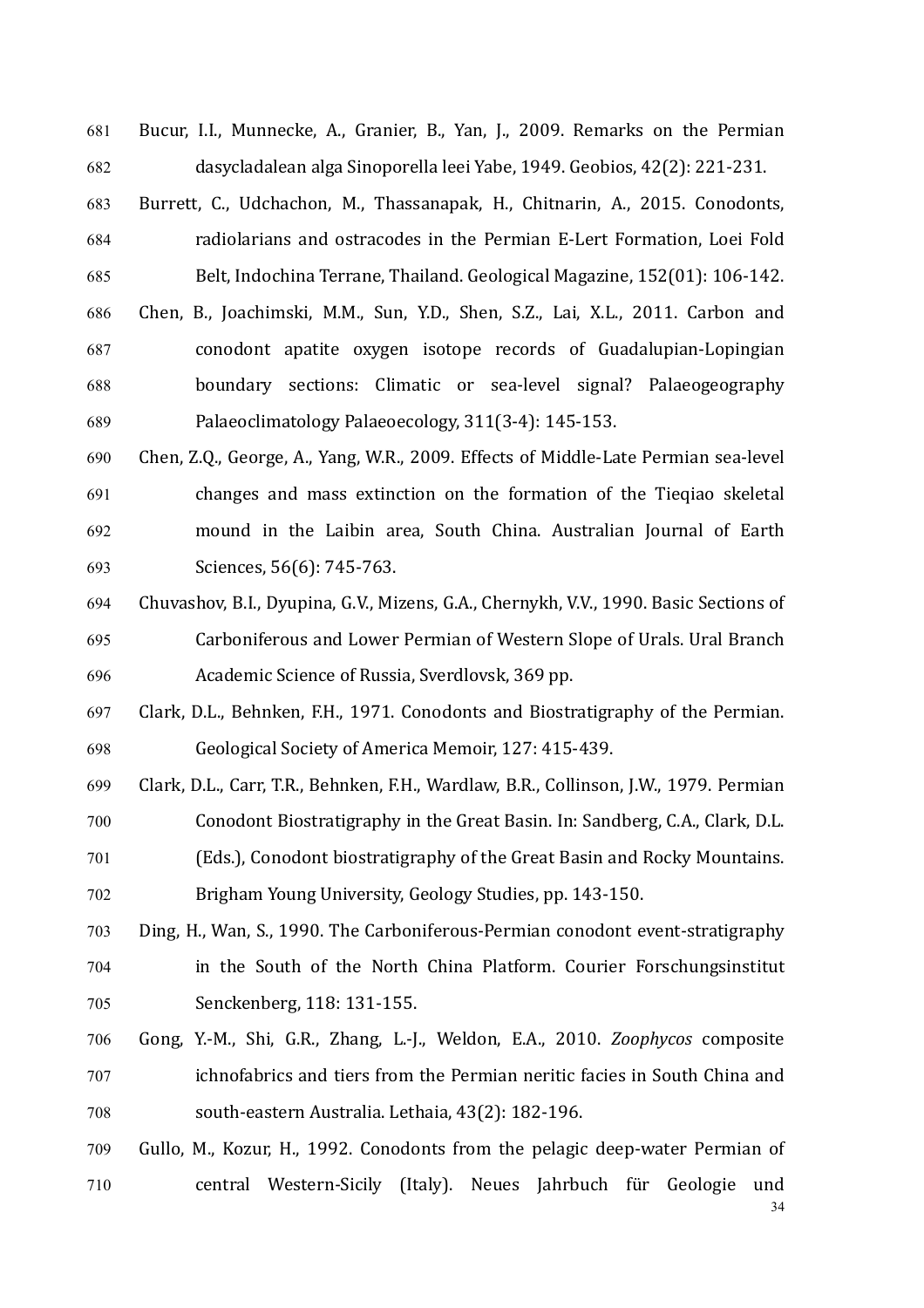681 Bucur, I.I., Munnecke, A., Granier, B., Yan, J., 2009. Remarks on the Permian 682 dasycladalean alga Sinoporella leei Yabe, 1949. Geobios, 42(2): 221-231.

- 683 Burrett, C., Udchachon, M., Thassanapak, H., Chitnarin, A., 2015. Conodonts, 684 radiolarians and ostracodes in the Permian E-Lert Formation, Loei Fold 685 Belt, Indochina Terrane, Thailand. Geological Magazine, 152(01): 106-142. 686 Chen, B., Joachimski, M.M., Sun, Y.D., Shen, S.Z., Lai, X.L., 2011. Carbon and 687 conodont apatite oxygen isotope records of Guadalupian-Lopingian 688 boundary sections: Climatic or sea-level signal? Palaeogeography 689 Palaeoclimatology Palaeoecology, 311(3-4): 145-153.
- 690 Chen, Z.Q., George, A., Yang, W.R., 2009. Effects of Middle-Late Permian sea-level 691 changes and mass extinction on the formation of the Tieqiao skeletal 692 mound in the Laibin area, South China. Australian Journal of Earth 693 Sciences, 56(6): 745-763.
- 694 Chuvashov, B.I., Dyupina, G.V., Mizens, G.A., Chernykh, V.V., 1990. Basic Sections of 695 Carboniferous and Lower Permian of Western Slope of Urals. Ural Branch 696 Academic Science of Russia, Sverdlovsk, 369 pp.
- 697 Clark, D.L., Behnken, F.H., 1971. Conodonts and Biostratigraphy of the Permian. 698 Geological Society of America Memoir, 127: 415-439.
- 699 Clark, D.L., Carr, T.R., Behnken, F.H., Wardlaw, B.R., Collinson, J.W., 1979. Permian 700 Conodont Biostratigraphy in the Great Basin. In: Sandberg, C.A., Clark, D.L. 701 (Eds.), Conodont biostratigraphy of the Great Basin and Rocky Mountains. 702 Brigham Young University, Geology Studies, pp. 143-150.
- 703 Ding, H., Wan, S., 1990. The Carboniferous-Permian conodont event-stratigraphy 704 in the South of the North China Platform. Courier Forschungsinstitut 705 Senckenberg, 118: 131-155.
- 706 Gong, Y.-M., Shi, G.R., Zhang, L.-J., Weldon, E.A., 2010. *Zoophycos* composite 707 ichnofabrics and tiers from the Permian neritic facies in South China and 708 south-eastern Australia. Lethaia, 43(2): 182-196.
- 34 709 Gullo, M., Kozur, H., 1992. Conodonts from the pelagic deep-water Permian of 710 central Western-Sicily (Italy). Neues Jahrbuch für Geologie und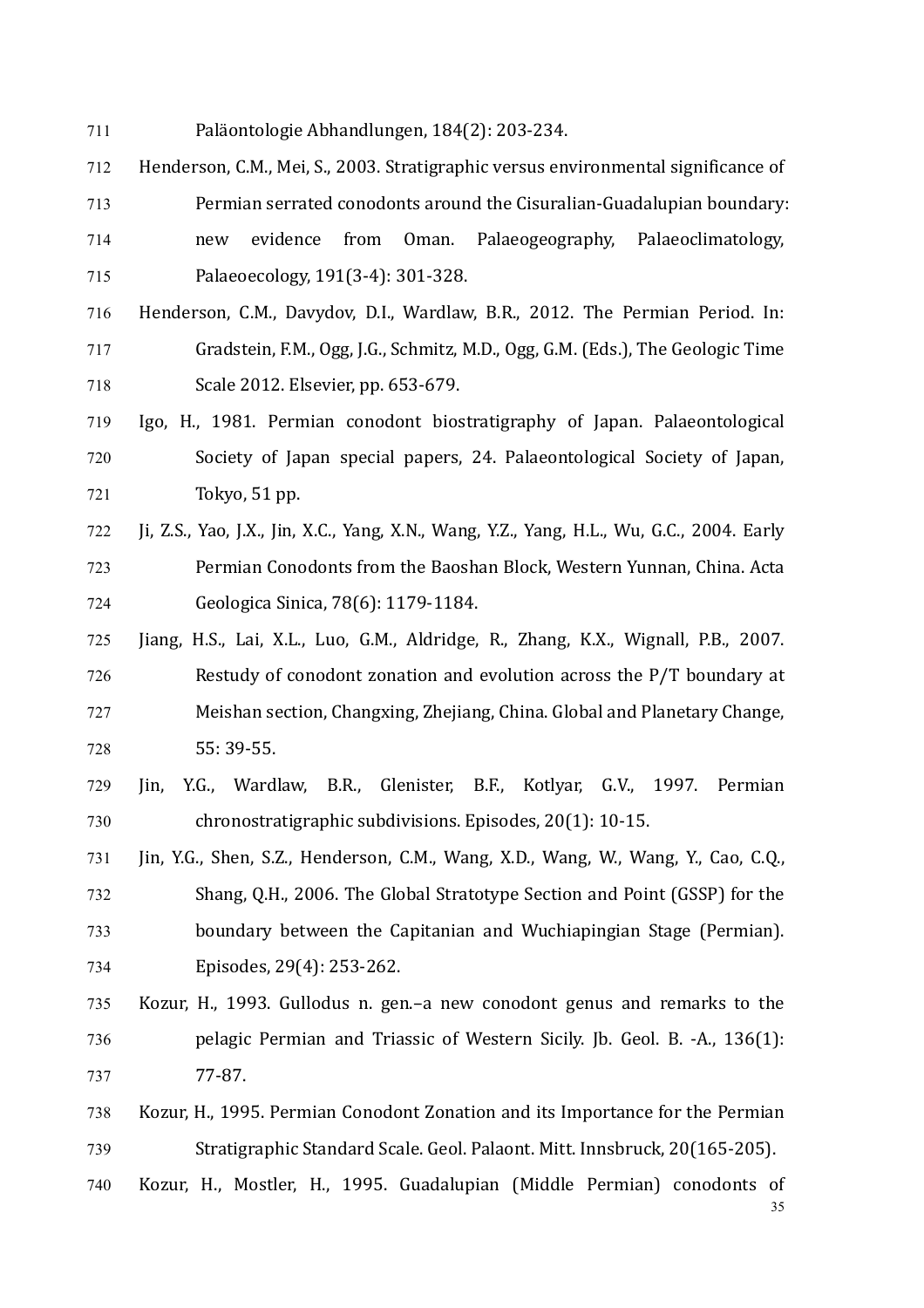- 711 Paläontologie Abhandlungen, 184(2): 203-234.
- 712 Henderson, C.M., Mei, S., 2003. Stratigraphic versus environmental significance of 713 Permian serrated conodonts around the Cisuralian-Guadalupian boundary: 714 new evidence from Oman. Palaeogeography, Palaeoclimatology, 715 Palaeoecology, 191(3-4): 301-328.
- 716 Henderson, C.M., Davydov, D.I., Wardlaw, B.R., 2012. The Permian Period. In: 717 Gradstein, F.M., Ogg, J.G., Schmitz, M.D., Ogg, G.M. (Eds.), The Geologic Time 718 Scale 2012. Elsevier, pp. 653-679.
- 719 Igo, H., 1981. Permian conodont biostratigraphy of Japan. Palaeontological 720 Society of Japan special papers, 24. Palaeontological Society of Japan, 721 Tokyo, 51 pp.
- 722 Ji, Z.S., Yao, J.X., Jin, X.C., Yang, X.N., Wang, Y.Z., Yang, H.L., Wu, G.C., 2004. Early 723 **Permian Conodonts from the Baoshan Block, Western Yunnan, China. Acta** 724 **Geologica Sinica, 78(6): 1179-1184.**
- 725 Jiang, H.S., Lai, X.L., Luo, G.M., Aldridge, R., Zhang, K.X., Wignall, P.B., 2007. 726 Restudy of conodont zonation and evolution across the P/T boundary at 727 Meishan section, Changxing, Zhejiang, China. Global and Planetary Change, 728 55: 39-55.
- 729 Jin, Y.G., Wardlaw, B.R., Glenister, B.F., Kotlyar, G.V., 1997. Permian 730 chronostratigraphic subdivisions. Episodes, 20(1): 10-15.
- 731 Jin, Y.G., Shen, S.Z., Henderson, C.M., Wang, X.D., Wang, W., Wang, Y., Cao, C.Q., 732 Shang, Q.H., 2006. The Global Stratotype Section and Point (GSSP) for the 733 boundary between the Capitanian and Wuchiapingian Stage (Permian). 734 Episodes, 29(4): 253-262.
- 735 Kozur, H., 1993. Gullodus n. gen.–a new conodont genus and remarks to the 736 pelagic Permian and Triassic of Western Sicily. Jb. Geol. B. -A., 136(1): 737 77-87.
- 738 Kozur, H., 1995. Permian Conodont Zonation and its Importance for the Permian 739 Stratigraphic Standard Scale. Geol. Palaont. Mitt. Innsbruck, 20(165-205).
- 35 740 Kozur, H., Mostler, H., 1995. Guadalupian (Middle Permian) conodonts of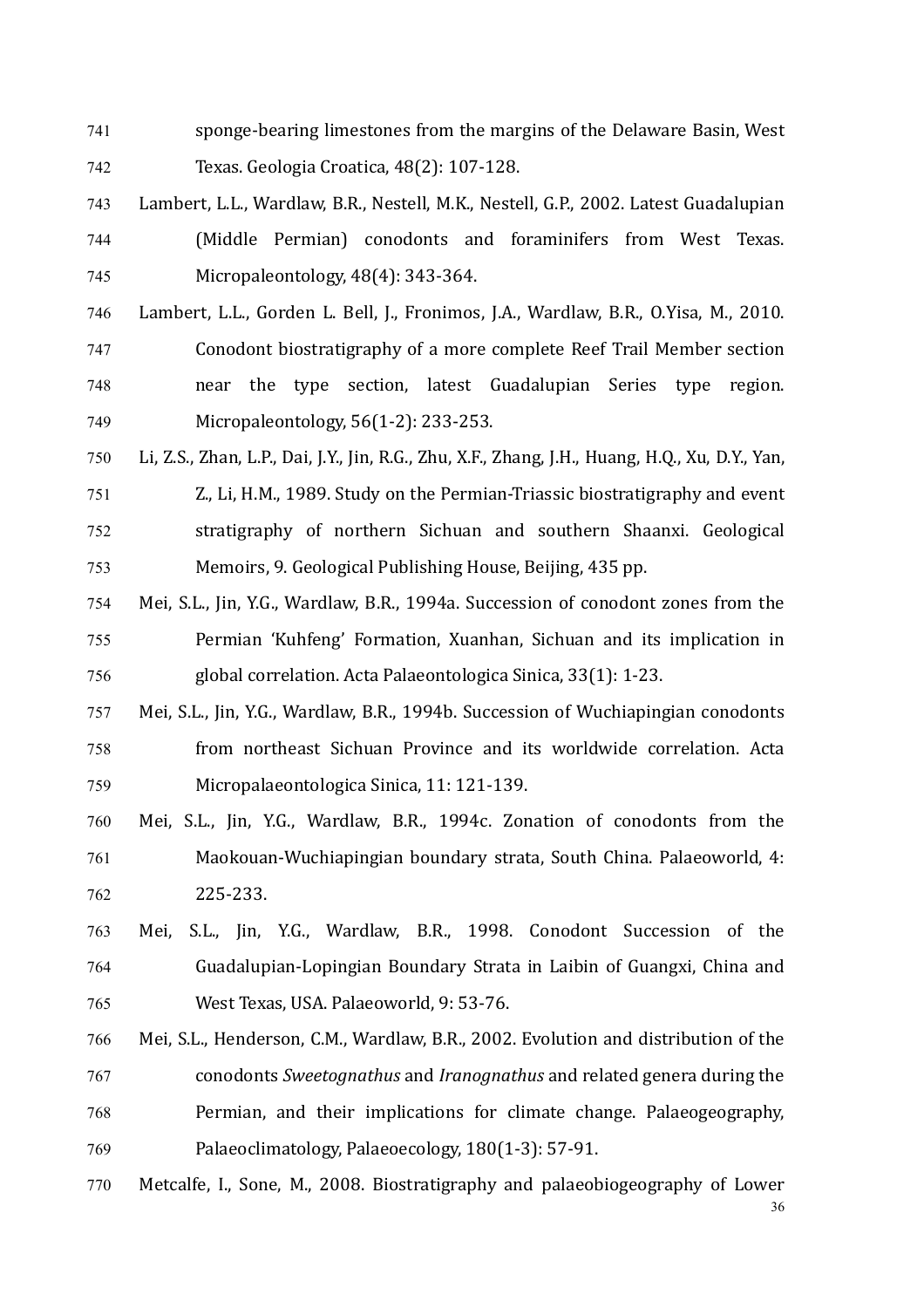- 741 sponge-bearing limestones from the margins of the Delaware Basin, West 742 Texas. Geologia Croatica, 48(2): 107-128.
- 743 Lambert, L.L., Wardlaw, B.R., Nestell, M.K., Nestell, G.P., 2002. Latest Guadalupian 744 (Middle Permian) conodonts and foraminifers from West Texas. 745 Micropaleontology, 48(4): 343-364.
- 746 Lambert, L.L., Gorden L. Bell, J., Fronimos, J.A., Wardlaw, B.R., O.Yisa, M., 2010. 747 Conodont biostratigraphy of a more complete Reef Trail Member section 748 128 near the type section, latest Guadalupian Series type region. 749 Micropaleontology, 56(1-2): 233-253.
- 750 Li, Z.S., Zhan, L.P., Dai, J.Y., Jin, R.G., Zhu, X.F., Zhang, J.H., Huang, H.Q., Xu, D.Y., Yan, 751 Z., Li, H.M., 1989. Study on the Permian-Triassic biostratigraphy and event 752 stratigraphy of northern Sichuan and southern Shaanxi. Geological 753 Memoirs, 9. Geological Publishing House, Beijing, 435 pp.
- 754 Mei, S.L., Jin, Y.G., Wardlaw, B.R., 1994a. Succession of conodont zones from the 755 Permian 'Kuhfeng' Formation, Xuanhan, Sichuan and its implication in 756 global correlation. Acta Palaeontologica Sinica, 33(1): 1-23.
- 757 Mei, S.L., Jin, Y.G., Wardlaw, B.R., 1994b. Succession of Wuchiapingian conodonts 758 from northeast Sichuan Province and its worldwide correlation. Acta 759 Micropalaeontologica Sinica, 11: 121-139.
- 760 Mei, S.L., Jin, Y.G., Wardlaw, B.R., 1994c. Zonation of conodonts from the 761 Maokouan-Wuchiapingian boundary strata, South China. Palaeoworld, 4: 762 225-233.
- 763 Mei, S.L., Jin, Y.G., Wardlaw, B.R., 1998. Conodont Succession of the 764 Guadalupian-Lopingian Boundary Strata in Laibin of Guangxi, China and 765 West Texas, USA, Palaeoworld, 9: 53-76.
- 766 Mei, S.L., Henderson, C.M., Wardlaw, B.R., 2002. Evolution and distribution of the 767 conodonts *Sweetognathus* and *Iranognathus* and related genera during the 768 Permian, and their implications for climate change. Palaeogeography, 769 Palaeoclimatology, Palaeoecology, 180(1-3): 57-91.
- 36 770 Metcalfe, I., Sone, M., 2008. Biostratigraphy and palaeobiogeography of Lower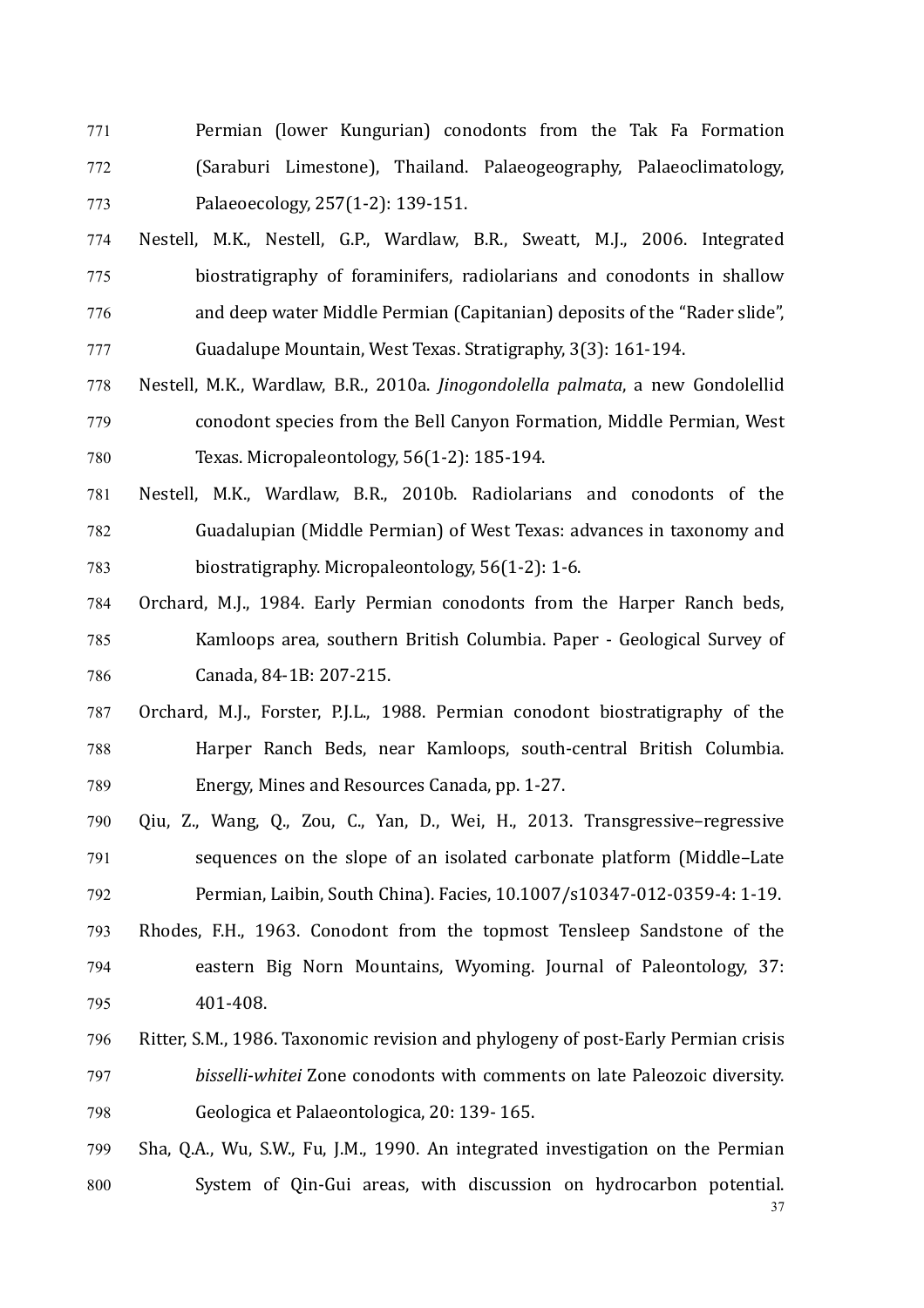- 771 Permian (lower Kungurian) conodonts from the Tak Fa Formation 772 (Saraburi Limestone), Thailand. Palaeogeography, Palaeoclimatology, 773 Palaeoecology, 257(1-2): 139-151.
- 774 Nestell, M.K., Nestell, G.P., Wardlaw, B.R., Sweatt, M.J., 2006. Integrated 775 biostratigraphy of foraminifers, radiolarians and conodonts in shallow 776 and deep water Middle Permian (Capitanian) deposits of the "Rader slide", 777 Guadalupe Mountain, West Texas. Stratigraphy, 3(3): 161-194.
- 778 Nestell, M.K., Wardlaw, B.R., 2010a. *Jinogondolella palmata*, a new Gondolellid 779 conodont species from the Bell Canyon Formation, Middle Permian, West 780 Texas. Micropaleontology, 56(1-2): 185-194.
- 781 Nestell, M.K., Wardlaw, B.R., 2010b. Radiolarians and conodonts of the 782 Guadalupian (Middle Permian) of West Texas: advances in taxonomy and 783 biostratigraphy. Micropaleontology, 56(1-2): 1-6.
- 784 Orchard, M.J., 1984. Early Permian conodonts from the Harper Ranch beds, 785 Kamloops area, southern British Columbia. Paper - Geological Survey of 786 Canada, 84-1B: 207-215.
- 787 Orchard, M.J., Forster, P.J.L., 1988. Permian conodont biostratigraphy of the 788 Harper Ranch Beds, near Kamloops, south-central British Columbia. 789 Energy, Mines and Resources Canada, pp. 1-27.
- 790 Qiu, Z., Wang, Q., Zou, C., Yan, D., Wei, H., 2013. Transgressive–regressive 791 sequences on the slope of an isolated carbonate platform (Middle–Late 792 Permian, Laibin, South China). Facies, 10.1007/s10347-012-0359-4: 1-19.
- 793 Rhodes, F.H., 1963. Conodont from the topmost Tensleep Sandstone of the 794 eastern Big Norn Mountains, Wyoming. Journal of Paleontology, 37: 795 401-408.
- 796 Ritter, S.M., 1986. Taxonomic revision and phylogeny of post-Early Permian crisis 797 *bisselli-whitei* Zone conodonts with comments on late Paleozoic diversity. 798 Geologica et Palaeontologica, 20: 139-165.
- 37 799 Sha, O.A., Wu, S.W., Fu, I.M., 1990. An integrated investigation on the Permian 800 System of Qin-Gui areas, with discussion on hydrocarbon potential.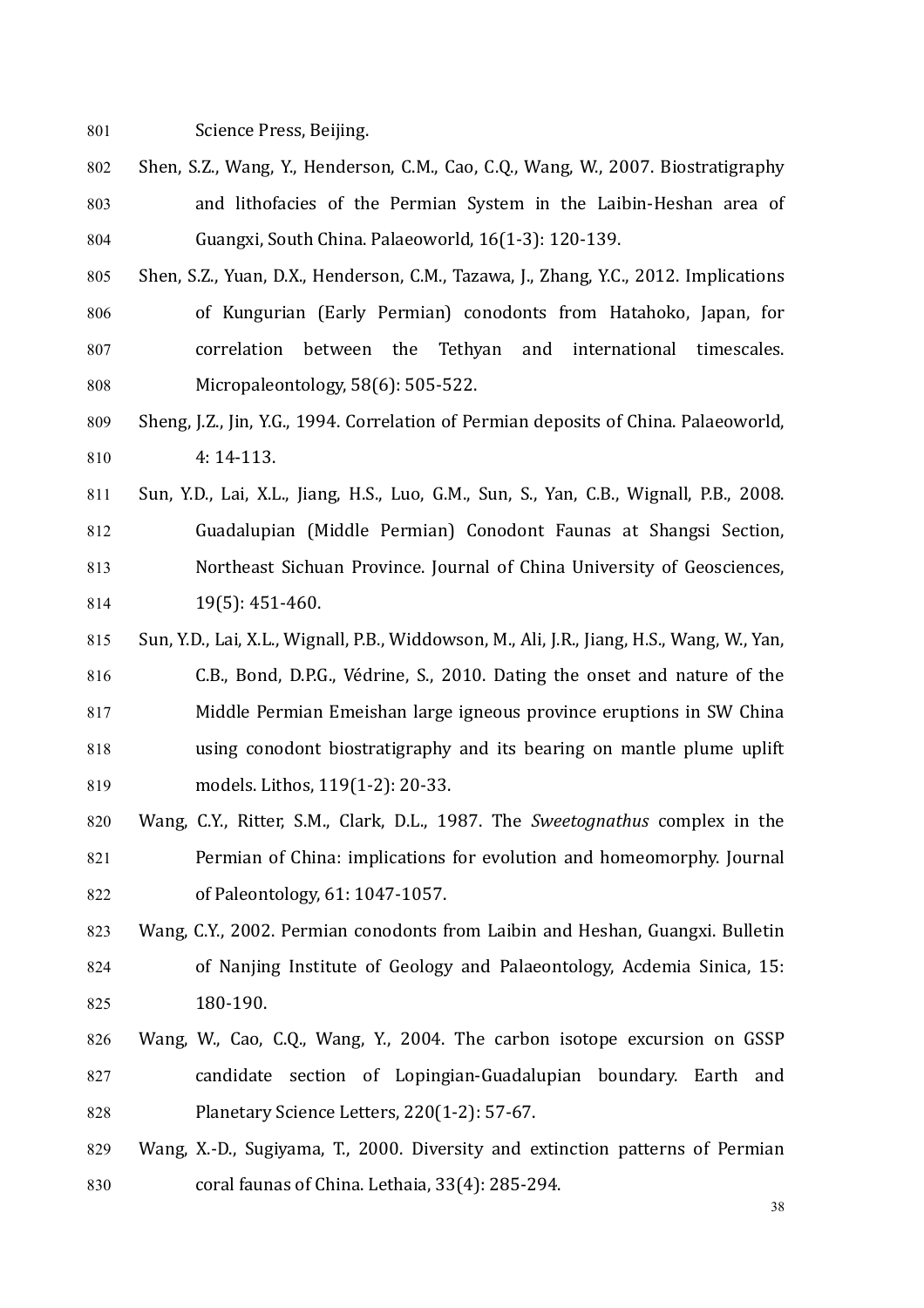801 Science Press, Beijing.

- 802 Shen, S.Z., Wang, Y., Henderson, C.M., Cao, C.Q., Wang, W., 2007. Biostratigraphy 803 and lithofacies of the Permian System in the Laibin-Heshan area of 804 Guangxi, South China. Palaeoworld, 16(1-3): 120-139.
- 805 Shen, S.Z., Yuan, D.X., Henderson, C.M., Tazawa, J., Zhang, Y.C., 2012. Implications 806 of Kungurian (Early Permian) conodonts from Hatahoko, Japan, for 807 correlation between the Tethyan and international timescales. 808 Micropaleontology, 58(6): 505-522.
- 809 Sheng, J.Z., Jin, Y.G., 1994. Correlation of Permian deposits of China. Palaeoworld, 810 4: 14-113.
- 811 Sun, Y.D., Lai, X.L., Jiang, H.S., Luo, G.M., Sun, S., Yan, C.B., Wignall, P.B., 2008. 812 **Guadalupian (Middle Permian) Conodont Faunas at Shangsi Section,** 813 Northeast Sichuan Province. Journal of China University of Geosciences,  $814$  19(5): 451-460.
- 815 Sun, Y.D., Lai, X.L., Wignall, P.B., Widdowson, M., Ali, J.R., Jiang, H.S., Wang, W., Yan, 816 C.B., Bond, D.P.G., Védrine, S., 2010. Dating the onset and nature of the 817 Middle Permian Emeishan large igneous province eruptions in SW China 818 using conodont biostratigraphy and its bearing on mantle plume uplift 819 models. Lithos, 119(1-2): 20-33.
- 820 Wang, C.Y., Ritter, S.M., Clark, D.L., 1987. The *Sweetognathus* complex in the 821 Permian of China: implications for evolution and homeomorphy. Journal 822 of Paleontology, 61: 1047-1057.
- 823 Wang, C.Y., 2002. Permian conodonts from Laibin and Heshan, Guangxi. Bulletin 824 of Nanjing Institute of Geology and Palaeontology, Acdemia Sinica, 15: 825 180-190.
- 826 Wang, W., Cao, C.Q., Wang, Y., 2004. The carbon isotope excursion on GSSP 827 candidate section of Lopingian-Guadalupian boundary. Earth and 828 Planetary Science Letters, 220(1-2): 57-67.
- 829 Wang, X.-D., Sugiyama, T., 2000. Diversity and extinction patterns of Permian  $830$  coral faunas of China. Lethaia,  $33(4)$ : 285-294.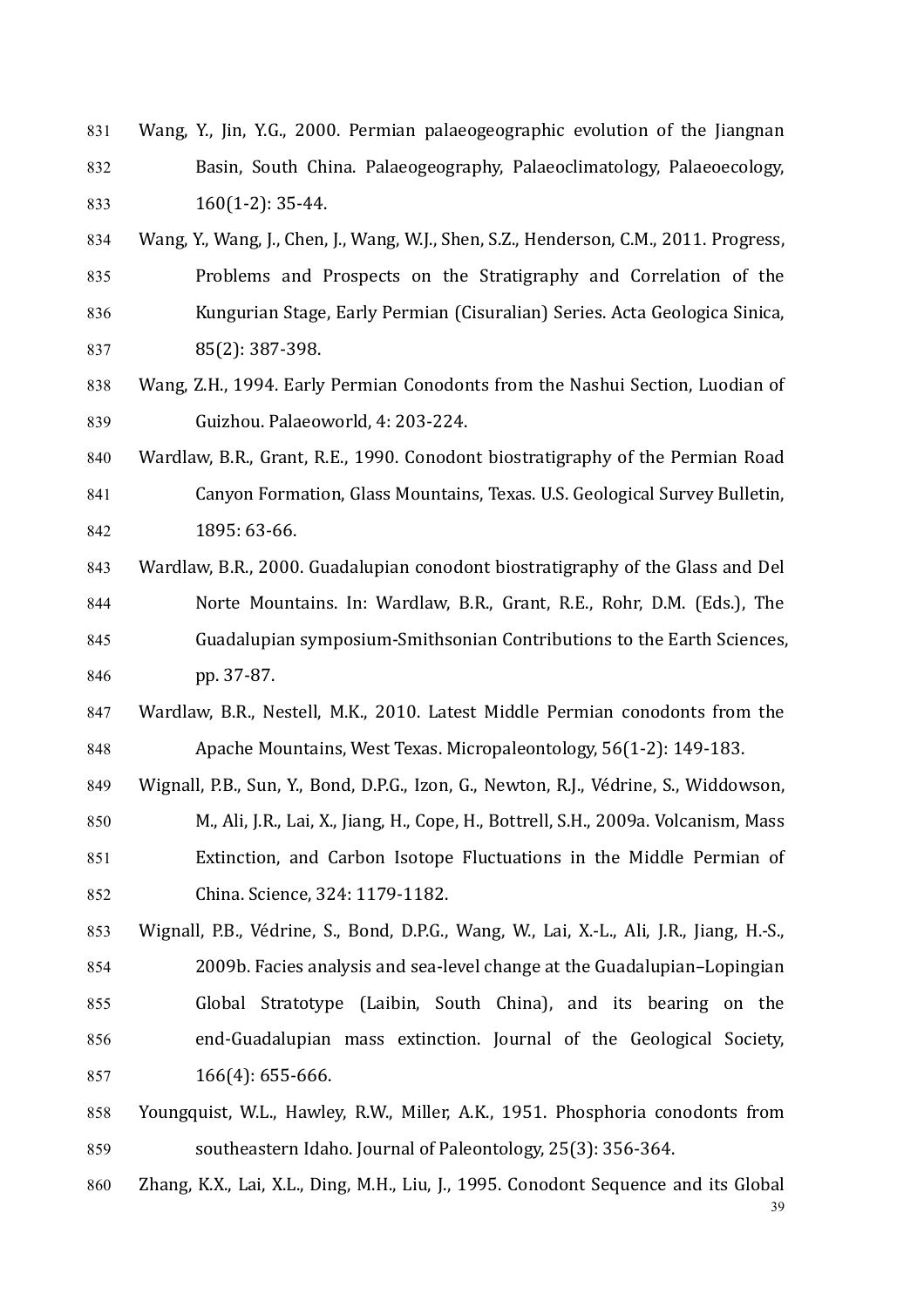- $831$  Wang, Y., Iin, Y.G., 2000. Permian palaeogeographic evolution of the Ijangnan 832 Basin, South China. Palaeogeography, Palaeoclimatology, Palaeoecology,  $833$  160(1-2): 35-44.
- 834 Wang, Y., Wang, J., Chen, J., Wang, W.J., Shen, S.Z., Henderson, C.M., 2011. Progress, 835 Problems and Prospects on the Stratigraphy and Correlation of the 836 Kungurian Stage, Early Permian (Cisuralian) Series. Acta Geologica Sinica, 837 85(2): 387-398.
- 838 Wang, Z.H., 1994. Early Permian Conodonts from the Nashui Section, Luodian of 839 Guizhou. Palaeoworld, 4: 203-224.
- 840 Wardlaw, B.R., Grant, R.E., 1990. Conodont biostratigraphy of the Permian Road 841 Canyon Formation, Glass Mountains, Texas. U.S. Geological Survey Bulletin, 842 1895: 63-66.
- 843 Wardlaw, B.R., 2000. Guadalupian conodont biostratigraphy of the Glass and Del 844 Norte Mountains. In: Wardlaw, B.R., Grant, R.E., Rohr, D.M. (Eds.), The 845 Guadalupian symposium-Smithsonian Contributions to the Earth Sciences, 846 pp. 37-87.
- 847 Wardlaw, B.R., Nestell, M.K., 2010. Latest Middle Permian conodonts from the 848 Apache Mountains, West Texas. Micropaleontology, 56(1-2): 149-183.
- 849 Wignall, P.B., Sun, Y., Bond, D.P.G., Izon, G., Newton, R.J., Védrine, S., Widdowson, 850 M., Ali, J.R., Lai, X., Jiang, H., Cope, H., Bottrell, S.H., 2009a. Volcanism, Mass 851 Extinction, and Carbon Isotope Fluctuations in the Middle Permian of 852 China. Science, 324: 1179-1182.
- 853 Wignall, P.B., Védrine, S., Bond, D.P.G., Wang, W., Lai, X.-L., Ali, J.R., Jiang, H.-S., 854 2009b. Facies analysis and sea-level change at the Guadalupian–Lopingian 855 Global Stratotype (Laibin, South China), and its bearing on the 856 end-Guadalupian mass extinction. Journal of the Geological Society, 857 166(4): 655-666.
- 858 Youngquist, W.L., Hawley, R.W., Miller, A.K., 1951. Phosphoria conodonts from 859 southeastern Idaho. Journal of Paleontology, 25(3): 356-364.
- 39 860 Zhang, K.X., Lai, X.L., Ding, M.H., Liu, J., 1995. Conodont Sequence and its Global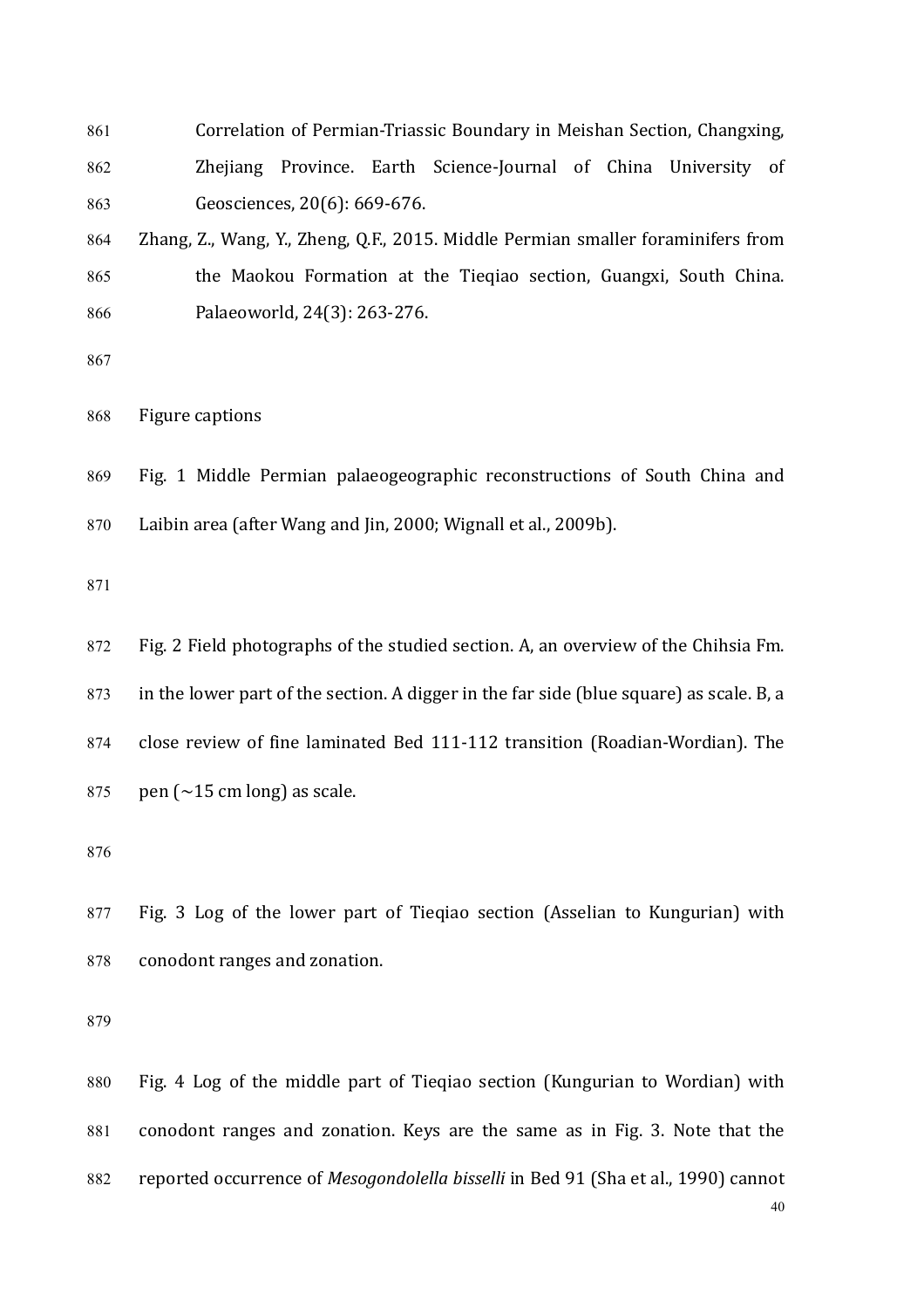- 861 Correlation of Permian-Triassic Boundary in Meishan Section, Changxing, 862 Zhejiang Province. Earth Science-Journal of China University of 863 Geosciences, 20(6): 669-676.
- 864 Zhang, Z., Wang, Y., Zheng, O.F., 2015. Middle Permian smaller foraminifers from 865 the Maokou Formation at the Tieqiao section, Guangxi, South China. 866 Palaeoworld, 24(3): 263-276.
- 867

868 Figure captions

869 Fig. 1 Middle Permian palaeogeographic reconstructions of South China and  $870$  Laibin area (after Wang and  $\lim_{h \to 0} 2000$ ; Wignall et al., 2009b).

871

872 Fig. 2 Field photographs of the studied section. A, an overview of the Chihsia Fm. 873 in the lower part of the section. A digger in the far side (blue square) as scale. B, a 874 close review of fine laminated Bed 111-112 transition (Roadian-Wordian). The 875 pen  $\left(\sim 15 \text{ cm} \text{ long}\right)$  as scale.

876

 $877$  Fig. 3 Log of the lower part of Tieqiao section (Asselian to Kungurian) with 878 conodont ranges and zonation.

879

40 880 Fig. 4 Log of the middle part of Tieqiao section (Kungurian to Wordian) with 881 conodont ranges and zonation. Keys are the same as in Fig. 3. Note that the 882 reported occurrence of *Mesogondolella bisselli* in Bed 91 (Sha et al., 1990) cannot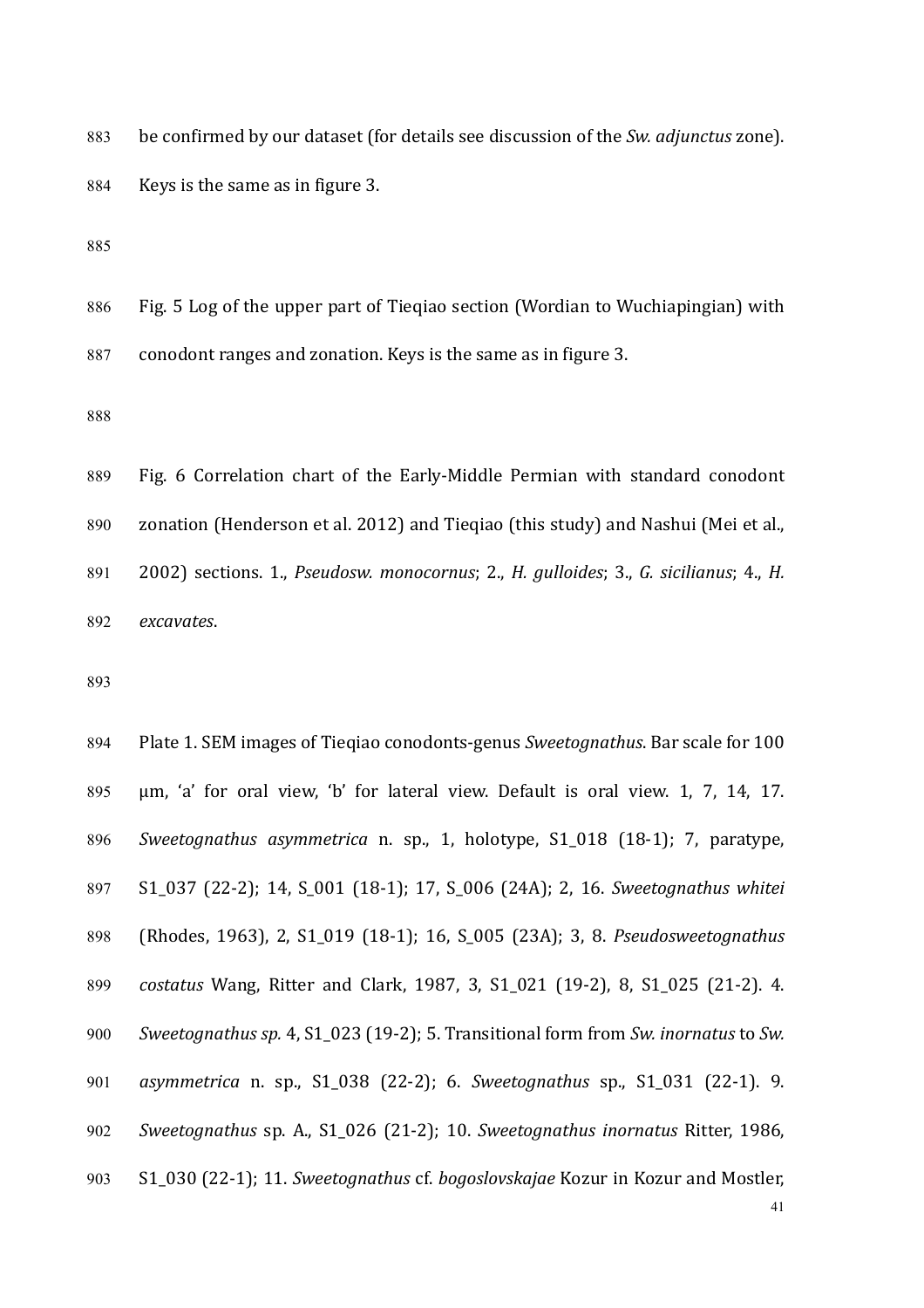883 be confirmed by our dataset (for details see discussion of the *Sw. adjunctus* zone). 884 Keys is the same as in figure 3.

885

886 Fig. 5 Log of the upper part of Tieqiao section (Wordian to Wuchiapingian) with 887 conodont ranges and zonation. Keys is the same as in figure 3.

888

889 Fig. 6 Correlation chart of the Early-Middle Permian with standard conodont 890 zonation (Henderson et al. 2012) and Tieqiao (this study) and Nashui (Mei et al., 891 2002) sections. 1., *Pseudosw. monocornus*; 2., *H. gulloides*; 3., *G. sicilianus*; 4., *H.* 892 *excavates*.

893

894 Plate 1. SEM images of Tiegiao conodonts-genus *Sweetognathus*. Bar scale for 100 895 um, 'a' for oral view, 'b' for lateral view. Default is oral view. 1, 7, 14, 17. 896 *Sweetognathus asymmetrica* n. sp., 1, holotype, S1\_018 (18-1); 7, paratype, 897 S1\_037 (22-2); 14, S\_001 (18-1); 17, S\_006 (24A); 2, 16. *Sweetognathus whitei* 898 (Rhodes, 1963), 2, S1\_019 (18-1); 16, S\_005 (23A); 3, 8. *Pseudosweetognathus* 899 *costatus* Wang, Ritter and Clark, 1987, 3, S1 021 (19-2), 8, S1 025 (21-2), 4. 900 *Sweetognathus sp.* 4, S1\_023 (19-2); 5. Transitional form from *Sw. inornatus* to *Sw.* 901 *asymmetrica*  n. sp., S1\_038 (22-2); 6. *Sweetognathus* sp., S1\_031 (22-1). 9. 902 *Sweetognathus* sp. A., S1 026 (21-2); 10. *Sweetognathus inornatus* Ritter, 1986, 903 S1\_030 (22-1); 11. *Sweetognathus cf. bogoslovskajae* Kozur in Kozur and Mostler,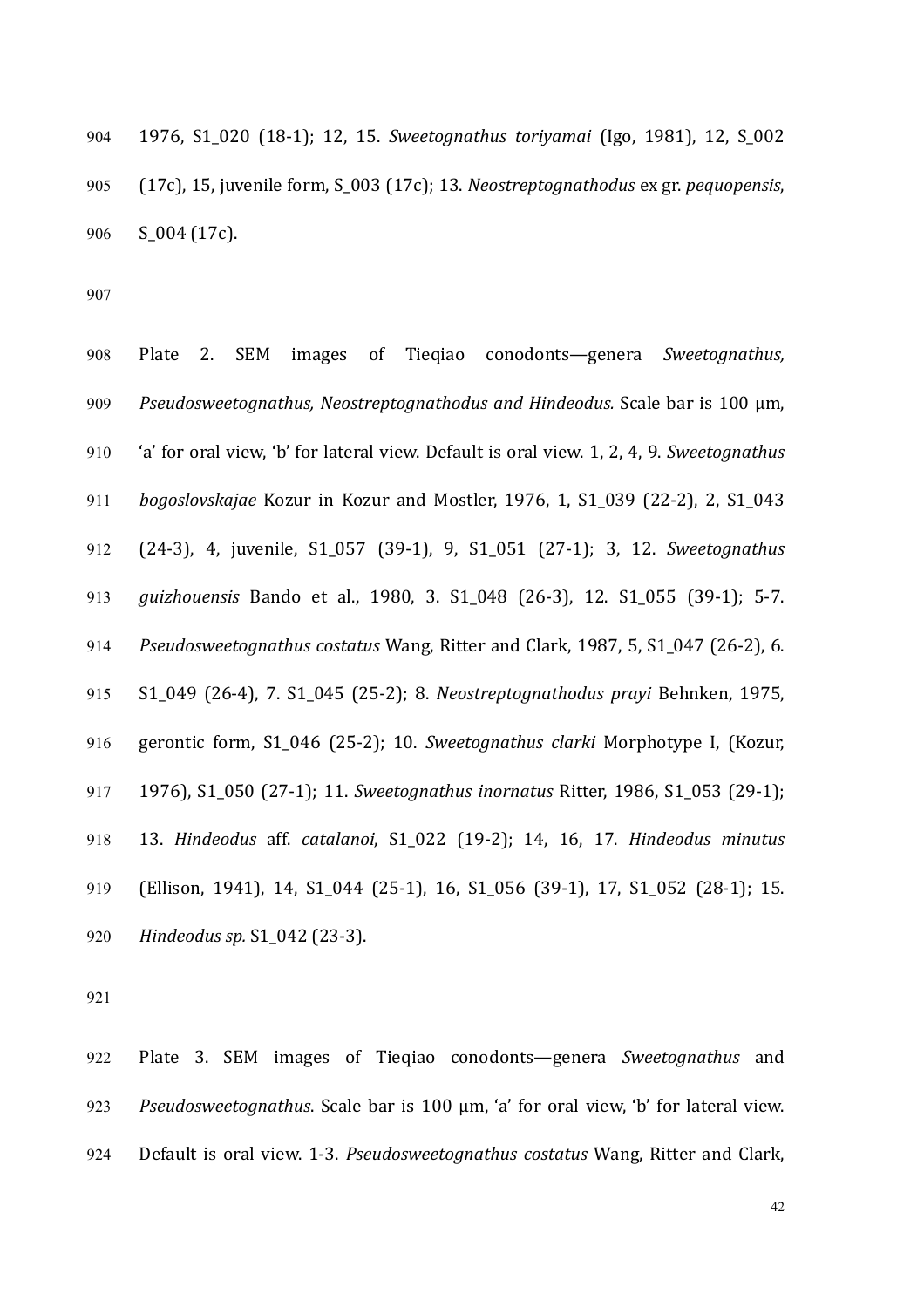904 1976, S1\_020 (18-1); 12, 15. *Sweetognathus toriyamai* (Igo, 1981), 12, S\_002 905 (17c), 15, juvenile form, S<sub>\_</sub>003 (17c); 13. Neostreptognathodus ex gr. *pequopensis*, 906 S 004 (17c).

907

908 Plate 2. SEM images of Tieqiao conodonts—genera *Sweetognathus*, 909 *Pseudosweetognathus, Neostreptognathodus and Hindeodus.* Scale bar is 100 μm, 910 'a' for oral view, 'b' for lateral view. Default is oral view. 1, 2, 4, 9. *Sweetognathus* 911 *bogoslovskajae* Kozur in Kozur and Mostler, 1976, 1, S1\_039 (22-2), 2, S1\_043 912 (24-3), 4, juvenile, S1 057 (39-1), 9, S1 051 (27-1); 3, 12. *Sweetognathus* 913 *guizhouensis* Bando et al., 1980, 3. S1\_048 (26-3), 12. S1\_055 (39-1); 5-7. 914 *Pseudosweetognathus costatus* Wang, Ritter and Clark, 1987, 5, S1 047 (26-2), 6. 915 S1\_049 (26-4), 7. S1\_045 (25-2); 8. *Neostreptognathodus prayi* Behnken, 1975, 916 gerontic form, S1 046 (25-2); 10. *Sweetognathus clarki* Morphotype I, (Kozur, 917 1976), S1 050 (27-1); 11. *Sweetognathus inornatus* Ritter, 1986, S1 053 (29-1); 918 13. *Hindeodus*  aff. *catalanoi*, S1\_022 (19-2); 14, 16, 17. *Hindeodus minutus* 919 (Ellison, 1941), 14, S1\_044 (25-1), 16, S1\_056 (39-1), 17, S1\_052 (28-1); 15. 920 *Hindeodus sp.* S1\_042 (23-3).

921

922 Plate 3. SEM images of Tieqiao conodonts—genera *Sweetognathus* and 923 *Pseudosweetognathus*. Scale bar is 100 μm, 'a' for oral view, 'b' for lateral view. 924 Default is oral view. 1-3. *Pseudosweetognathus costatus* Wang, Ritter and Clark,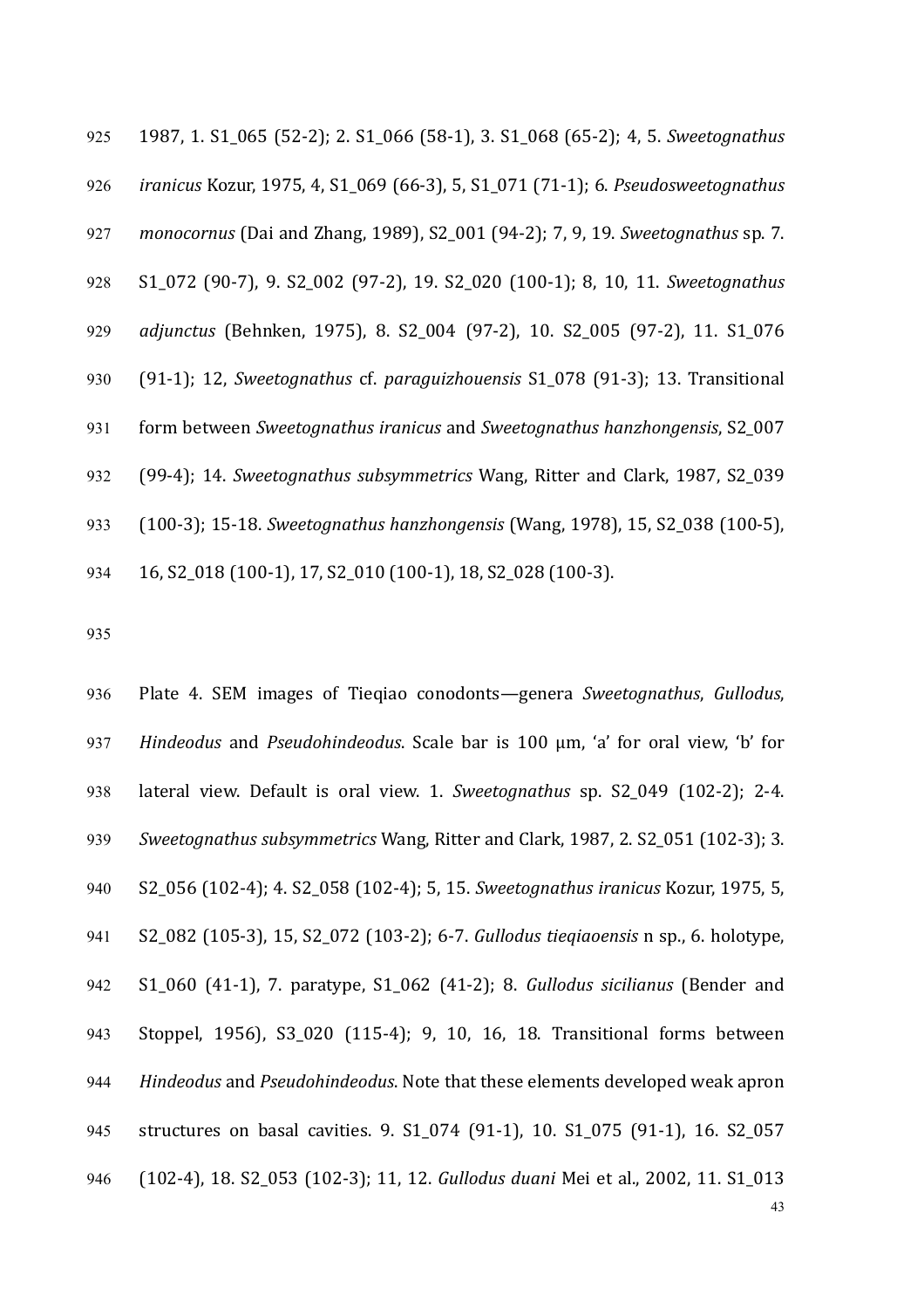925 1987, 1. S1\_065 (52-2); 2. S1\_066 (58-1), 3. S1\_068 (65-2); 4, 5. *Sweetognathus* 926 *iranicus* Kozur, 1975, 4, S1\_069 (66-3), 5, S1\_071 (71-1); 6. *Pseudosweetognathus* 927 *monocornus* (Dai and Zhang, 1989), S2\_001 (94-2); 7, 9, 19. *Sweetognathus* sp. 7. 928 S1\_072 (90-7), 9. S2\_002 (97-2), 19. S2\_020 (100-1); 8, 10, 11. *Sweetognathus*  929 *adjunctus* (Behnken, 1975), 8. S2\_004 (97-2), 10. S2\_005 (97-2), 11. S1\_076 930 (91-1); 12, *Sweetognathus*  cf. *paraguizhouensis* S1\_078 (91-3); 13. Transitional 931 form between *Sweetognathus iranicus* and *Sweetognathus hanzhongensis*, S2 007 932 (99-4); 14. *Sweetognathus subsymmetrics* Wang, Ritter and Clark, 1987, S2\_039 933 (100-3); 15-18. *Sweetognathus hanzhongensis* (Wang, 1978), 15, S2 038 (100-5), 934 16, S2 018 (100-1), 17, S2 010 (100-1), 18, S2 028 (100-3).

935

43 936 Plate 4. SEM images of Tieqiao conodonts—genera *Sweetognathus*, *Gullodus*, 937 *Hindeodus* and *Pseudohindeodus*. Scale bar is 100 μm, 'a' for oral view, 'b' for 938 lateral view. Default is oral view. 1. *Sweetognathus* sp. S2\_049 (102-2); 2-4. 939 *Sweetognathus subsymmetrics* Wang, Ritter and Clark, 1987, 2. S2\_051 (102-3); 3. 940 S2\_056 (102-4); 4. S2\_058 (102-4); 5, 15. *Sweetognathus iranicus* Kozur, 1975, 5, 941 S2\_082 (105-3), 15, S2\_072 (103-2); 6-7. *Gullodus tieqiaoensis* n sp., 6. holotype, 942 S1\_060 (41-1), 7. paratype, S1\_062 (41-2); 8. *Gullodus sicilianus* (Bender and 943 Stoppel, 1956), S3 020 (115-4); 9, 10, 16, 18. Transitional forms between 944 Hindeodus and Pseudohindeodus. Note that these elements developed weak apron 945 structures on basal cavities. 9. S1\_074 (91-1), 10. S1\_075 (91-1), 16. S2\_057 946 (102-4), 18. S2 053 (102-3); 11, 12. *Gullodus duani* Mei et al., 2002, 11. S1 013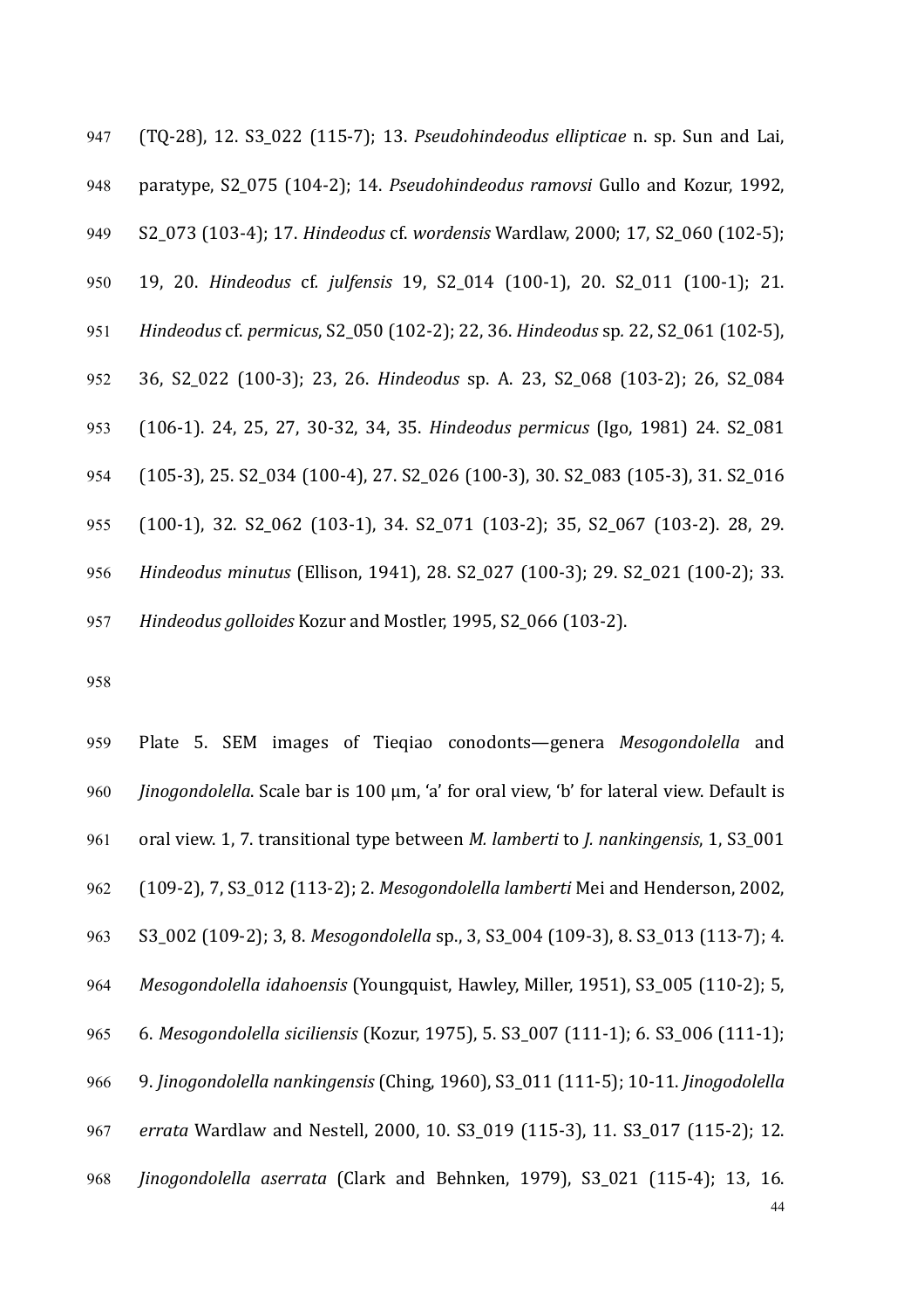(TQ-28), 12. S3\_022 (115-7); 13. *Pseudohindeodus ellipticae* n. sp. Sun and Lai, 948 paratype, S2\_075 (104-2); 14. *Pseudohindeodus ramovsi* Gullo and Kozur, 1992, S2\_073 (103-4); 17. *Hindeodus* cf. *wordensis* Wardlaw, 2000; 17, S2\_060 (102-5); 19, 20. *Hindeodus*  cf*. julfensis* 19, S2\_014 (100-1), 20. S2\_011 (100-1); 21. *Hindeodus* cf. *permicus*, S2\_050 (102-2); 22, 36. *Hindeodus* sp*.* 22, S2\_061 (102-5), 36, S2\_022 (100-3); 23, 26. *Hindeodus*  sp. A. 23, S2\_068 (103-2); 26, S2\_084 (106-1). 24, 25, 27, 30-32, 34, 35. *Hindeodus permicus* (Igo, 1981) 24. S2\_081 954 (105-3), 25. S2 034 (100-4), 27. S2 026 (100-3), 30. S2 083 (105-3), 31. S2 016 955 (100-1), 32. S2 062 (103-1), 34. S2 071 (103-2); 35, S2 067 (103-2). 28, 29. *Hindeodus minutus* (Ellison, 1941), 28. S2\_027 (100-3); 29. S2\_021 (100-2); 33. 957 Hindeodus golloides Kozur and Mostler, 1995, S2 066 (103-2).

958

44 959 Plate 5. SEM images of Tieqiao conodonts—genera *Mesogondolella* and 960 *Jinogondolella*. Scale bar is 100 μm, 'a' for oral view, 'b' for lateral view. Default is 961 oral view. 1, 7. transitional type between *M. lamberti* to *J. nankingensis*, 1, S3\_001 962 (109-2), 7, S3\_012 (113-2); 2. *Mesogondolella lamberti* Mei and Henderson, 2002, 963 S3\_002 (109-2); 3, 8. *Mesogondolella* sp., 3, S3\_004 (109-3), 8. S3\_013 (113-7); 4. 964 *Mesogondolella idahoensis* (Youngquist, Hawley, Miller, 1951), S3 005 (110-2); 5, 965 6. *Mesogondolella siciliensis* (Kozur, 1975), 5. S3 007 (111-1); 6. S3 006 (111-1); 966 9. *Jinogondolella nankingensis* (Ching, 1960), S3\_011 (111-5); 10-11. *Jinogodolella* 967 *errata* Wardlaw and Nestell, 2000, 10. S3 019 (115-3), 11. S3 017 (115-2); 12. 968 *Jinogondolella aserrata* (Clark and Behnken, 1979), S3\_021 (115-4); 13, 16.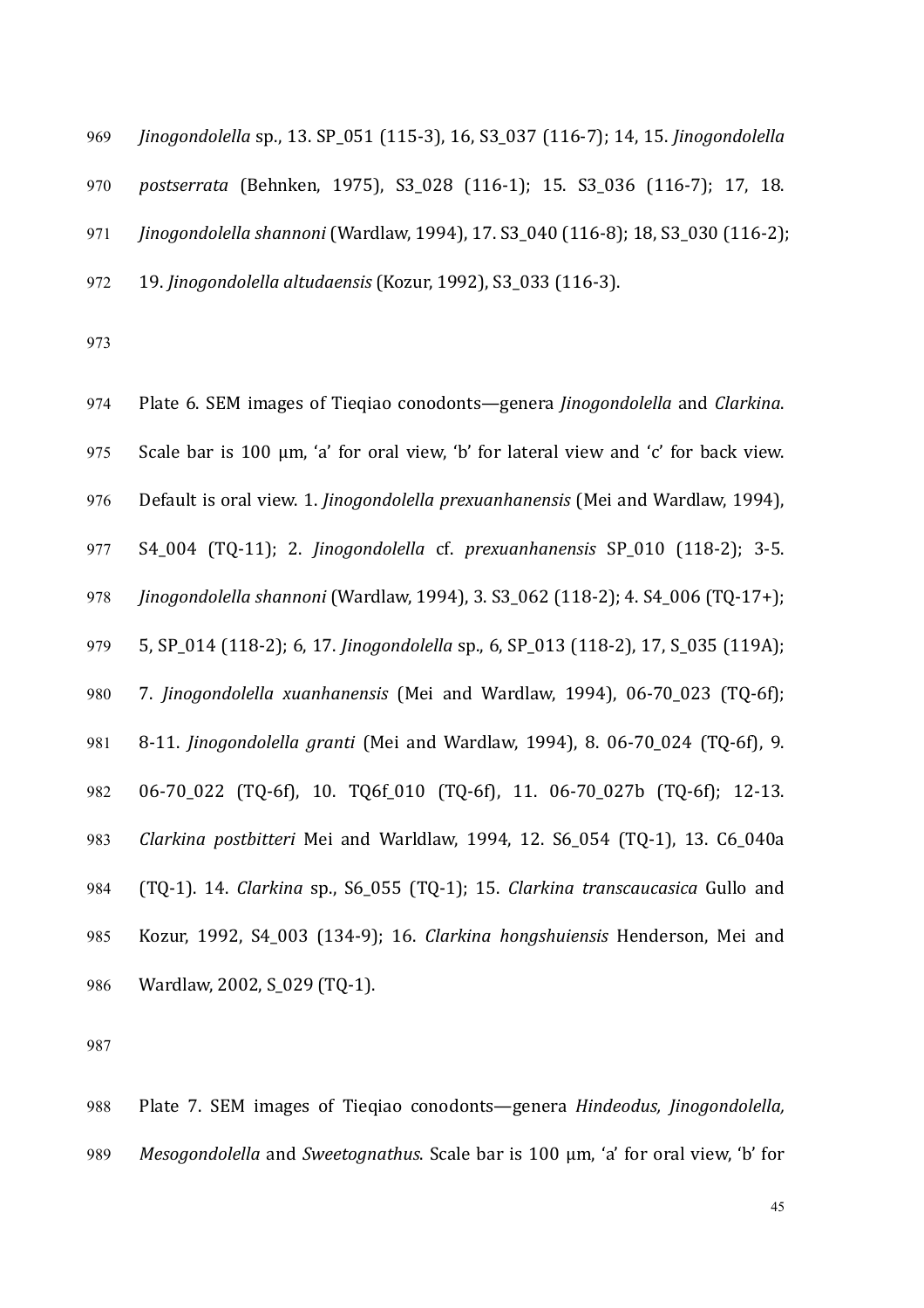*Jinogondolella* sp., 13. SP\_051 (115-3), 16, S3\_037 (116-7); 14, 15. *Jinogondolella postserrata* (Behnken, 1975), S3\_028 (116-1); 15. S3\_036 (116-7); 17, 18. *Jinogondolella shannoni* (Wardlaw, 1994), 17, S3 040 (116-8); 18, S3 030 (116-2); 19. *Jinogondolella altudaensis* (Kozur, 1992), S3\_033 (116-3).

973

974 Plate 6. SEM images of Tieqiao conodonts—genera *Jinogondolella* and *Clarkina*. 975 Scale bar is 100  $\mu$ m, 'a' for oral view, 'b' for lateral view and 'c' for back view. 976 Default is oral view. 1. *Jinogondolella prexuanhanensis* (Mei and Wardlaw, 1994), 977 S4\_004 (TQ-11); 2. *Jinogondolella*  cf. *prexuanhanensis* SP\_010 (118-2); 3-5. 978 *Jinogondolella shannoni* (Wardlaw, 1994), 3. S3\_062 (118-2); 4. S4\_006 (TQ-17+); 979 5, SP 014 (118-2); 6, 17. *Jinogondolella* sp., 6, SP 013 (118-2), 17, S 035 (119A); 980 7. *Jinogondolella xuanhanensis* (Mei and Wardlaw, 1994), 06-70<sub>\_</sub>023 (TQ-6f); 981 8-11. *Jinogondolella granti* (Mei and Wardlaw, 1994), 8. 06-70\_024 (TQ-6f), 9. 982 06-70 022 (TQ-6f), 10. TQ6f 010 (TQ-6f), 11. 06-70 027b (TQ-6f); 12-13. 983 *Clarkina postbitteri* Mei and Warldlaw, 1994, 12. S6\_054 (TQ-1), 13. C6\_040a 984 (TQ-1). 14. *Clarkina* sp., S6 055 (TQ-1); 15. *Clarkina transcaucasica* Gullo and 985 Kozur, 1992, S4\_003 (134-9); 16. *Clarkina hongshuiensis* Henderson, Mei and 986 Wardlaw, 2002, S\_029 (TQ-1).

987

988 Plate 7. SEM images of Tieqiao conodonts—genera *Hindeodus, Jinogondolella*, 989 *Mesogondolella* and *Sweetognathus*. Scale bar is 100 μm, 'a' for oral view, 'b' for